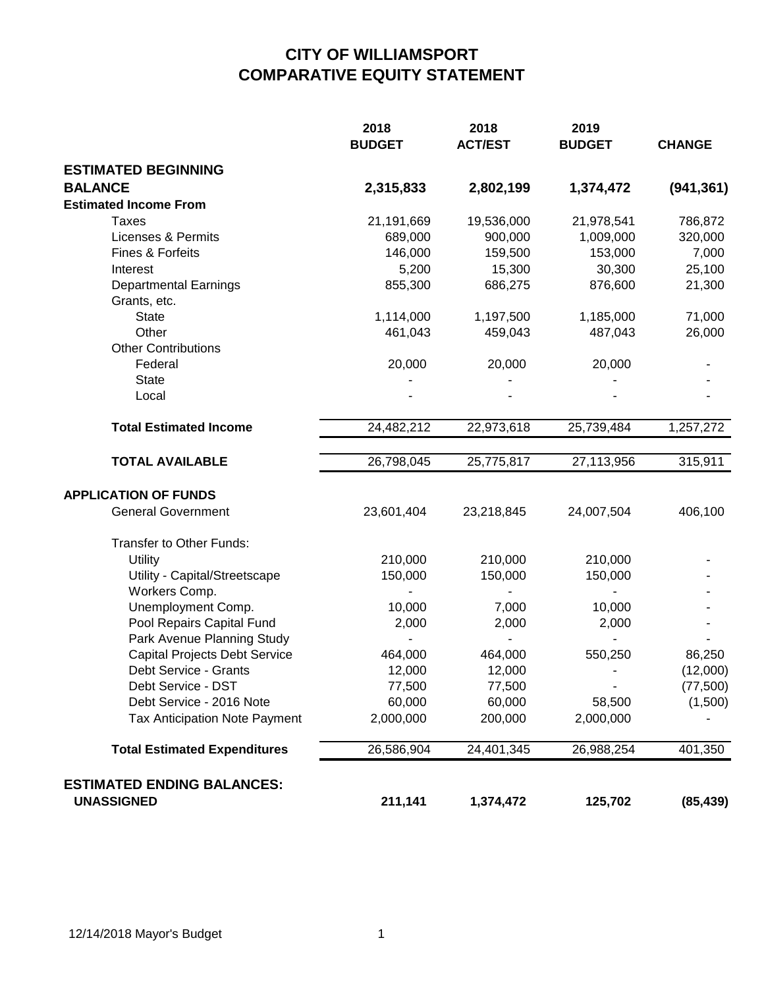## **CITY OF WILLIAMSPORT COMPARATIVE EQUITY STATEMENT**

|                                      | 2018<br><b>BUDGET</b> | 2018<br><b>ACT/EST</b> | 2019<br><b>BUDGET</b> | <b>CHANGE</b> |
|--------------------------------------|-----------------------|------------------------|-----------------------|---------------|
| <b>ESTIMATED BEGINNING</b>           |                       |                        |                       |               |
| <b>BALANCE</b>                       | 2,315,833             | 2,802,199              | 1,374,472             | (941, 361)    |
| <b>Estimated Income From</b>         |                       |                        |                       |               |
| <b>Taxes</b>                         | 21,191,669            | 19,536,000             | 21,978,541            | 786,872       |
| <b>Licenses &amp; Permits</b>        | 689,000               | 900,000                | 1,009,000             | 320,000       |
| Fines & Forfeits                     | 146,000               | 159,500                | 153,000               | 7,000         |
| Interest                             | 5,200                 | 15,300                 | 30,300                | 25,100        |
| <b>Departmental Earnings</b>         | 855,300               | 686,275                | 876,600               | 21,300        |
| Grants, etc.                         |                       |                        |                       |               |
| <b>State</b>                         | 1,114,000             | 1,197,500              | 1,185,000             | 71,000        |
| Other                                | 461,043               | 459,043                | 487,043               | 26,000        |
| <b>Other Contributions</b>           |                       |                        |                       |               |
| Federal                              | 20,000                | 20,000                 | 20,000                |               |
| <b>State</b>                         |                       |                        |                       |               |
| Local                                |                       |                        |                       |               |
| <b>Total Estimated Income</b>        | 24,482,212            | 22,973,618             | 25,739,484            | 1,257,272     |
| <b>TOTAL AVAILABLE</b>               | 26,798,045            | 25,775,817             | 27,113,956            | 315,911       |
|                                      |                       |                        |                       |               |
| <b>APPLICATION OF FUNDS</b>          |                       |                        |                       |               |
| <b>General Government</b>            | 23,601,404            | 23,218,845             | 24,007,504            | 406,100       |
| Transfer to Other Funds:             |                       |                        |                       |               |
| Utility                              | 210,000               | 210,000                | 210,000               |               |
| Utility - Capital/Streetscape        | 150,000               | 150,000                | 150,000               |               |
| Workers Comp.                        |                       |                        |                       |               |
| Unemployment Comp.                   | 10,000                | 7,000                  | 10,000                |               |
| Pool Repairs Capital Fund            | 2,000                 | 2,000                  | 2,000                 |               |
| Park Avenue Planning Study           |                       |                        |                       |               |
| <b>Capital Projects Debt Service</b> | 464,000               | 464,000                | 550,250               | 86,250        |
| Debt Service - Grants                | 12,000                | 12,000                 |                       | (12,000)      |
| Debt Service - DST                   | 77,500                | 77,500                 |                       | (77, 500)     |
| Debt Service - 2016 Note             | 60,000                | 60,000                 | 58,500                | (1,500)       |
| Tax Anticipation Note Payment        | 2,000,000             | 200,000                | 2,000,000             |               |
| <b>Total Estimated Expenditures</b>  | 26,586,904            | 24,401,345             | 26,988,254            | 401,350       |
| <b>ESTIMATED ENDING BALANCES:</b>    |                       |                        |                       |               |
| <b>UNASSIGNED</b>                    | 211,141               | 1,374,472              | 125,702               | (85, 439)     |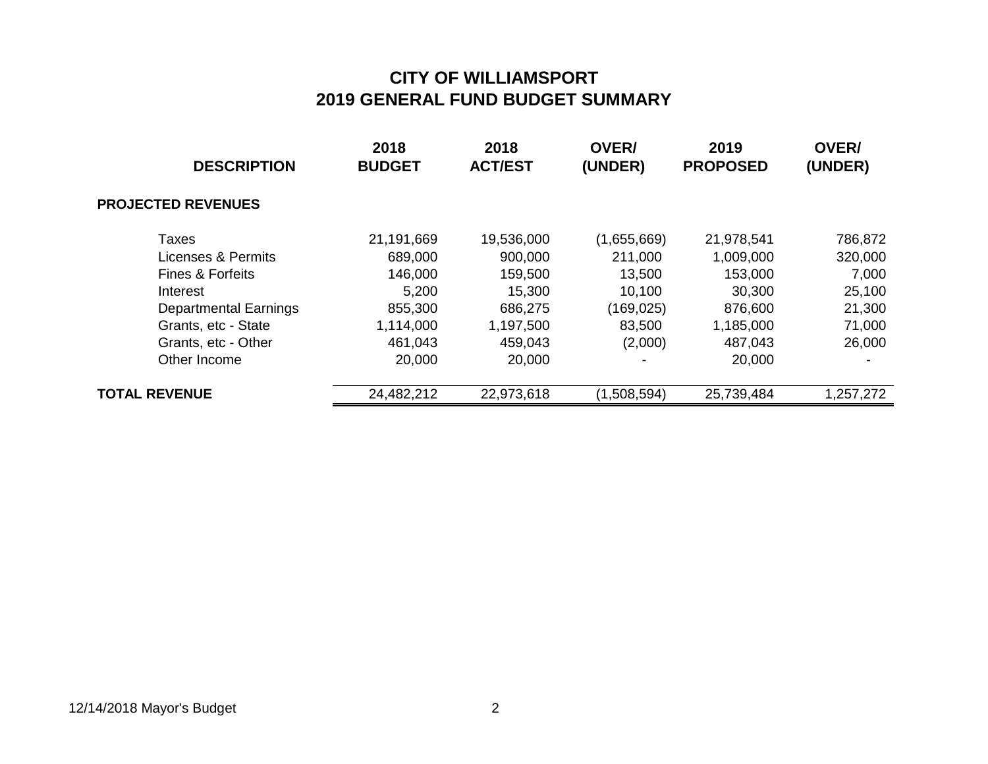| <b>DESCRIPTION</b>           | 2018<br><b>BUDGET</b> | 2018<br><b>ACT/EST</b> | <b>OVER/</b><br>(UNDER) | 2019<br><b>PROPOSED</b> | <b>OVER/</b><br>(UNDER) |
|------------------------------|-----------------------|------------------------|-------------------------|-------------------------|-------------------------|
| <b>PROJECTED REVENUES</b>    |                       |                        |                         |                         |                         |
| Taxes                        | 21,191,669            | 19,536,000             | (1,655,669)             | 21,978,541              | 786,872                 |
| Licenses & Permits           | 689,000               | 900,000                | 211,000                 | 1,009,000               | 320,000                 |
| <b>Fines &amp; Forfeits</b>  | 146,000               | 159,500                | 13,500                  | 153,000                 | 7,000                   |
| Interest                     | 5,200                 | 15,300                 | 10,100                  | 30,300                  | 25,100                  |
| <b>Departmental Earnings</b> | 855,300               | 686,275                | (169, 025)              | 876,600                 | 21,300                  |
| Grants, etc - State          | 1,114,000             | 1,197,500              | 83,500                  | 1,185,000               | 71,000                  |
| Grants, etc - Other          | 461,043               | 459,043                | (2,000)                 | 487,043                 | 26,000                  |
| Other Income                 | 20,000                | 20,000                 |                         | 20,000                  |                         |
| <b>TOTAL REVENUE</b>         | 24,482,212            | 22,973,618             | (1,508,594)             | 25,739,484              | 1,257,272               |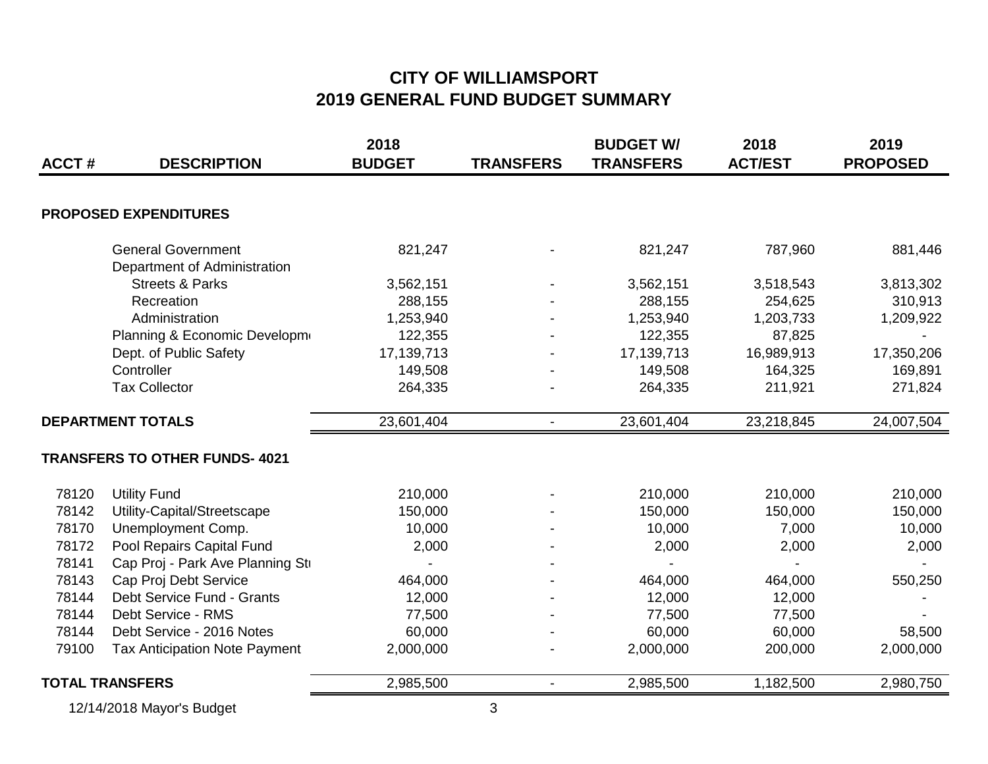| <b>ACCT#</b>             | <b>DESCRIPTION</b>                   | 2018<br><b>BUDGET</b> | <b>TRANSFERS</b> | <b>BUDGET W/</b><br><b>TRANSFERS</b> | 2018<br><b>ACT/EST</b> | 2019<br><b>PROPOSED</b> |
|--------------------------|--------------------------------------|-----------------------|------------------|--------------------------------------|------------------------|-------------------------|
|                          |                                      |                       |                  |                                      |                        |                         |
|                          | <b>PROPOSED EXPENDITURES</b>         |                       |                  |                                      |                        |                         |
|                          | <b>General Government</b>            | 821,247               |                  | 821,247                              | 787,960                | 881,446                 |
|                          | Department of Administration         |                       |                  |                                      |                        |                         |
|                          | <b>Streets &amp; Parks</b>           | 3,562,151             |                  | 3,562,151                            | 3,518,543              | 3,813,302               |
|                          | Recreation                           | 288,155               |                  | 288,155                              | 254,625                | 310,913                 |
|                          | Administration                       | 1,253,940             |                  | 1,253,940                            | 1,203,733              | 1,209,922               |
|                          | Planning & Economic Developm         | 122,355               |                  | 122,355                              | 87,825                 |                         |
|                          | Dept. of Public Safety               | 17,139,713            |                  | 17, 139, 713                         | 16,989,913             | 17,350,206              |
|                          | Controller                           | 149,508               |                  | 149,508                              | 164,325                | 169,891                 |
|                          | <b>Tax Collector</b>                 | 264,335               |                  | 264,335                              | 211,921                | 271,824                 |
| <b>DEPARTMENT TOTALS</b> |                                      | 23,601,404            | $\blacksquare$   | 23,601,404                           | 23,218,845             | 24,007,504              |
|                          | <b>TRANSFERS TO OTHER FUNDS-4021</b> |                       |                  |                                      |                        |                         |
| 78120                    | <b>Utility Fund</b>                  | 210,000               |                  | 210,000                              | 210,000                | 210,000                 |
| 78142                    | Utility-Capital/Streetscape          | 150,000               |                  | 150,000                              | 150,000                | 150,000                 |
| 78170                    | Unemployment Comp.                   | 10,000                |                  | 10,000                               | 7,000                  | 10,000                  |
| 78172                    | Pool Repairs Capital Fund            | 2,000                 |                  | 2,000                                | 2,000                  | 2,000                   |
| 78141                    | Cap Proj - Park Ave Planning St      |                       |                  |                                      |                        |                         |
| 78143                    | Cap Proj Debt Service                | 464,000               |                  | 464,000                              | 464,000                | 550,250                 |
| 78144                    | Debt Service Fund - Grants           | 12,000                |                  | 12,000                               | 12,000                 |                         |
| 78144                    | Debt Service - RMS                   | 77,500                |                  | 77,500                               | 77,500                 |                         |
| 78144                    | Debt Service - 2016 Notes            | 60,000                |                  | 60,000                               | 60,000                 | 58,500                  |
| 79100                    | <b>Tax Anticipation Note Payment</b> | 2,000,000             |                  | 2,000,000                            | 200,000                | 2,000,000               |
|                          | <b>TOTAL TRANSFERS</b>               | 2,985,500             | $\sim$           | 2,985,500                            | 1,182,500              | 2,980,750               |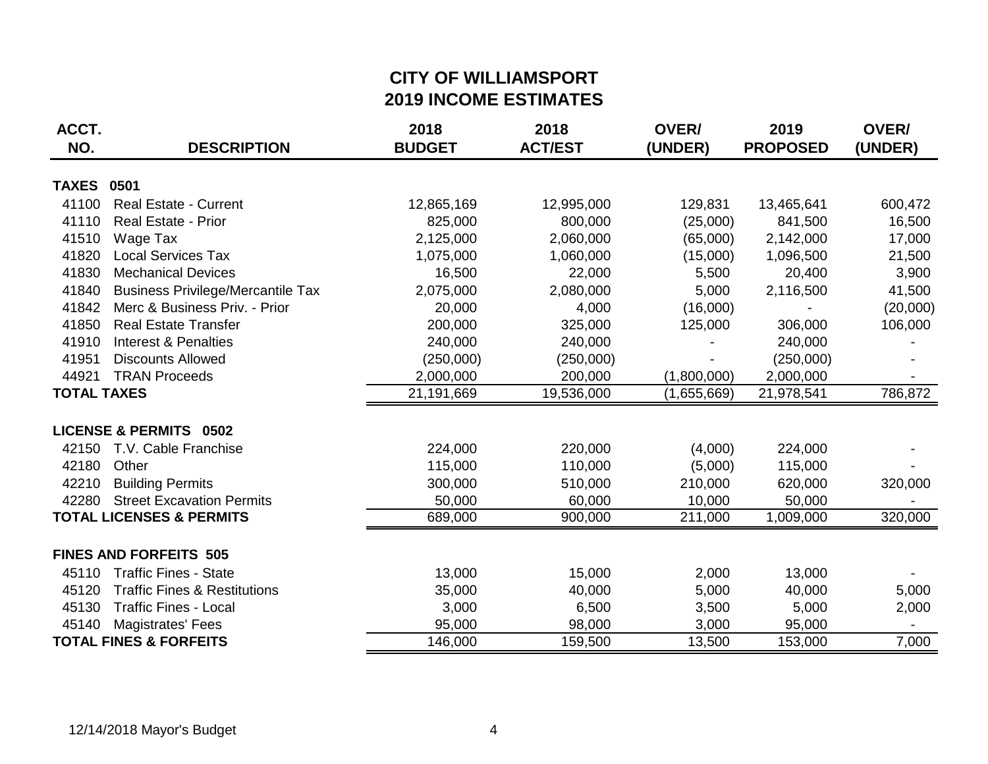## **CITY OF WILLIAMSPORT 2019 INCOME ESTIMATES**

| ACCT.              |                                          | 2018          | 2018           | OVER/       | 2019            | OVER/    |
|--------------------|------------------------------------------|---------------|----------------|-------------|-----------------|----------|
| NO.                | <b>DESCRIPTION</b>                       | <b>BUDGET</b> | <b>ACT/EST</b> | (UNDER)     | <b>PROPOSED</b> | (UNDER)  |
| <b>TAXES</b>       | 0501                                     |               |                |             |                 |          |
| 41100              | <b>Real Estate - Current</b>             | 12,865,169    | 12,995,000     | 129,831     | 13,465,641      | 600,472  |
| 41110              | <b>Real Estate - Prior</b>               | 825,000       | 800,000        | (25,000)    | 841,500         | 16,500   |
| 41510              | Wage Tax                                 | 2,125,000     | 2,060,000      | (65,000)    | 2,142,000       | 17,000   |
| 41820              | <b>Local Services Tax</b>                | 1,075,000     | 1,060,000      | (15,000)    | 1,096,500       | 21,500   |
| 41830              | <b>Mechanical Devices</b>                | 16,500        | 22,000         | 5,500       | 20,400          | 3,900    |
| 41840              | <b>Business Privilege/Mercantile Tax</b> | 2,075,000     | 2,080,000      | 5,000       | 2,116,500       | 41,500   |
| 41842              | Merc & Business Priv. - Prior            | 20,000        | 4,000          | (16,000)    |                 | (20,000) |
| 41850              | <b>Real Estate Transfer</b>              | 200,000       | 325,000        | 125,000     | 306,000         | 106,000  |
| 41910              | <b>Interest &amp; Penalties</b>          | 240,000       | 240,000        |             | 240,000         |          |
| 41951              | <b>Discounts Allowed</b>                 | (250,000)     | (250,000)      |             | (250,000)       |          |
| 44921              | <b>TRAN Proceeds</b>                     | 2,000,000     | 200,000        | (1,800,000) | 2,000,000       |          |
| <b>TOTAL TAXES</b> |                                          | 21,191,669    | 19,536,000     | (1,655,669) | 21,978,541      | 786,872  |
|                    | <b>LICENSE &amp; PERMITS 0502</b>        |               |                |             |                 |          |
| 42150              | T.V. Cable Franchise                     | 224,000       | 220,000        | (4,000)     | 224,000         |          |
| 42180              | Other                                    | 115,000       | 110,000        | (5,000)     | 115,000         |          |
| 42210              | <b>Building Permits</b>                  | 300,000       | 510,000        | 210,000     | 620,000         | 320,000  |
| 42280              | <b>Street Excavation Permits</b>         | 50,000        | 60,000         | 10,000      | 50,000          |          |
|                    | <b>TOTAL LICENSES &amp; PERMITS</b>      | 689,000       | 900,000        | 211,000     | 1,009,000       | 320,000  |
|                    | <b>FINES AND FORFEITS 505</b>            |               |                |             |                 |          |
| 45110              | <b>Traffic Fines - State</b>             | 13,000        | 15,000         | 2,000       | 13,000          |          |
| 45120              | <b>Traffic Fines &amp; Restitutions</b>  | 35,000        | 40,000         | 5,000       | 40,000          | 5,000    |
| 45130              | <b>Traffic Fines - Local</b>             | 3,000         | 6,500          | 3,500       | 5,000           | 2,000    |
| 45140              | Magistrates' Fees                        | 95,000        | 98,000         | 3,000       | 95,000          |          |
|                    | <b>TOTAL FINES &amp; FORFEITS</b>        | 146,000       | 159,500        | 13,500      | 153,000         | 7,000    |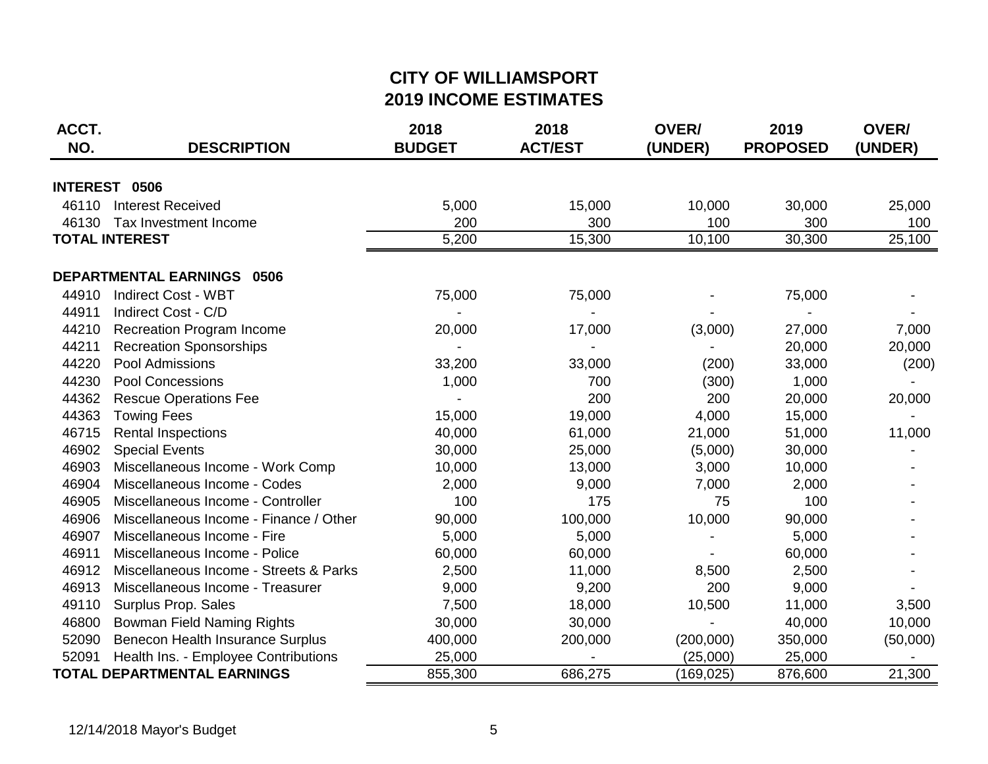## **CITY OF WILLIAMSPORT 2019 INCOME ESTIMATES**

| ACCT. |                                        | 2018          | 2018           | <b>OVER/</b> | 2019            | OVER/    |
|-------|----------------------------------------|---------------|----------------|--------------|-----------------|----------|
| NO.   | <b>DESCRIPTION</b>                     | <b>BUDGET</b> | <b>ACT/EST</b> | (UNDER)      | <b>PROPOSED</b> | (UNDER)  |
|       | INTEREST 0506                          |               |                |              |                 |          |
| 46110 | <b>Interest Received</b>               | 5,000         | 15,000         | 10,000       | 30,000          | 25,000   |
| 46130 | Tax Investment Income                  | 200           | 300            | 100          | 300             | 100      |
|       | <b>TOTAL INTEREST</b>                  | 5,200         | 15,300         | 10,100       | 30,300          | 25,100   |
|       | <b>DEPARTMENTAL EARNINGS 0506</b>      |               |                |              |                 |          |
| 44910 | <b>Indirect Cost - WBT</b>             | 75,000        | 75,000         |              | 75,000          |          |
| 44911 | Indirect Cost - C/D                    |               |                |              |                 |          |
| 44210 | <b>Recreation Program Income</b>       | 20,000        | 17,000         | (3,000)      | 27,000          | 7,000    |
| 44211 | <b>Recreation Sponsorships</b>         |               |                |              | 20,000          | 20,000   |
| 44220 | Pool Admissions                        | 33,200        | 33,000         | (200)        | 33,000          | (200)    |
| 44230 | <b>Pool Concessions</b>                | 1,000         | 700            | (300)        | 1,000           |          |
| 44362 | <b>Rescue Operations Fee</b>           |               | 200            | 200          | 20,000          | 20,000   |
| 44363 | <b>Towing Fees</b>                     | 15,000        | 19,000         | 4,000        | 15,000          |          |
| 46715 | <b>Rental Inspections</b>              | 40,000        | 61,000         | 21,000       | 51,000          | 11,000   |
| 46902 | <b>Special Events</b>                  | 30,000        | 25,000         | (5,000)      | 30,000          |          |
| 46903 | Miscellaneous Income - Work Comp       | 10,000        | 13,000         | 3,000        | 10,000          |          |
| 46904 | Miscellaneous Income - Codes           | 2,000         | 9,000          | 7,000        | 2,000           |          |
| 46905 | Miscellaneous Income - Controller      | 100           | 175            | 75           | 100             |          |
| 46906 | Miscellaneous Income - Finance / Other | 90,000        | 100,000        | 10,000       | 90,000          |          |
| 46907 | Miscellaneous Income - Fire            | 5,000         | 5,000          |              | 5,000           |          |
| 46911 | Miscellaneous Income - Police          | 60,000        | 60,000         |              | 60,000          |          |
| 46912 | Miscellaneous Income - Streets & Parks | 2,500         | 11,000         | 8,500        | 2,500           |          |
| 46913 | Miscellaneous Income - Treasurer       | 9,000         | 9,200          | 200          | 9,000           |          |
| 49110 | Surplus Prop. Sales                    | 7,500         | 18,000         | 10,500       | 11,000          | 3,500    |
| 46800 | <b>Bowman Field Naming Rights</b>      | 30,000        | 30,000         |              | 40,000          | 10,000   |
| 52090 | Benecon Health Insurance Surplus       | 400,000       | 200,000        | (200,000)    | 350,000         | (50,000) |
| 52091 | Health Ins. - Employee Contributions   | 25,000        |                | (25,000)     | 25,000          |          |
|       | TOTAL DEPARTMENTAL EARNINGS            | 855,300       | 686,275        | (169, 025)   | 876,600         | 21,300   |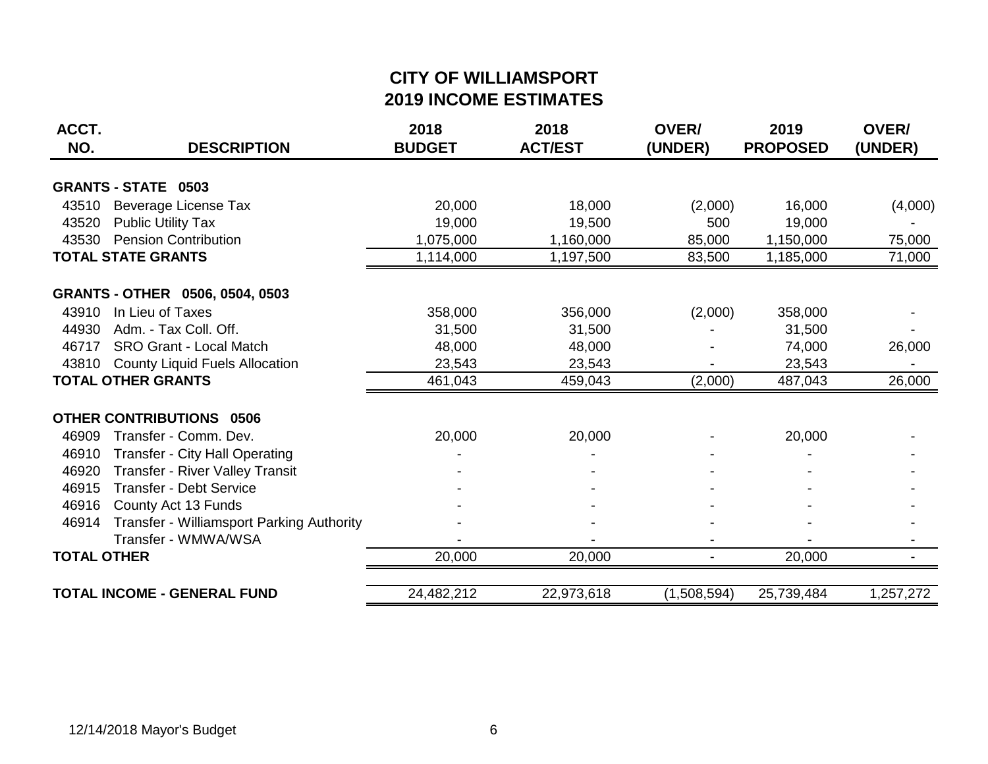## **CITY OF WILLIAMSPORT 2019 INCOME ESTIMATES**

| ACCT.<br>NO.       | <b>DESCRIPTION</b>                        | 2018<br><b>BUDGET</b> | 2018<br><b>ACT/EST</b> | OVER/<br>(UNDER) | 2019<br><b>PROPOSED</b> | OVER/<br>(UNDER) |
|--------------------|-------------------------------------------|-----------------------|------------------------|------------------|-------------------------|------------------|
|                    | <b>GRANTS - STATE 0503</b>                |                       |                        |                  |                         |                  |
|                    |                                           |                       |                        |                  |                         |                  |
|                    | 43510 Beverage License Tax                | 20,000                | 18,000                 | (2,000)          | 16,000                  | (4,000)          |
| 43520              | <b>Public Utility Tax</b>                 | 19,000                | 19,500                 | 500              | 19,000                  |                  |
| 43530              | <b>Pension Contribution</b>               | 1,075,000             | 1,160,000              | 85,000           | 1,150,000               | 75,000           |
|                    | <b>TOTAL STATE GRANTS</b>                 | 1,114,000             | 1,197,500              | 83,500           | 1,185,000               | 71,000           |
|                    | GRANTS - OTHER 0506, 0504, 0503           |                       |                        |                  |                         |                  |
| 43910              | In Lieu of Taxes                          | 358,000               | 356,000                | (2,000)          | 358,000                 |                  |
| 44930              | Adm. - Tax Coll. Off.                     | 31,500                | 31,500                 |                  | 31,500                  |                  |
| 46717              | <b>SRO Grant - Local Match</b>            | 48,000                | 48,000                 |                  | 74,000                  | 26,000           |
| 43810              | <b>County Liquid Fuels Allocation</b>     | 23,543                | 23,543                 |                  | 23,543                  |                  |
|                    | <b>TOTAL OTHER GRANTS</b>                 | 461,043               | 459,043                | (2,000)          | 487,043                 | 26,000           |
|                    |                                           |                       |                        |                  |                         |                  |
|                    | <b>OTHER CONTRIBUTIONS 0506</b>           |                       |                        |                  |                         |                  |
| 46909              | Transfer - Comm. Dev.                     | 20,000                | 20,000                 |                  | 20,000                  |                  |
| 46910              | Transfer - City Hall Operating            |                       |                        |                  |                         |                  |
| 46920              | Transfer - River Valley Transit           |                       |                        |                  |                         |                  |
| 46915              | <b>Transfer - Debt Service</b>            |                       |                        |                  |                         |                  |
| 46916              | County Act 13 Funds                       |                       |                        |                  |                         |                  |
| 46914              | Transfer - Williamsport Parking Authority |                       |                        |                  |                         |                  |
|                    | Transfer - WMWA/WSA                       |                       |                        |                  |                         |                  |
| <b>TOTAL OTHER</b> |                                           | 20,000                | 20,000                 |                  | 20,000                  |                  |
|                    | <b>TOTAL INCOME - GENERAL FUND</b>        | 24,482,212            | 22,973,618             | (1,508,594)      | 25,739,484              | 1,257,272        |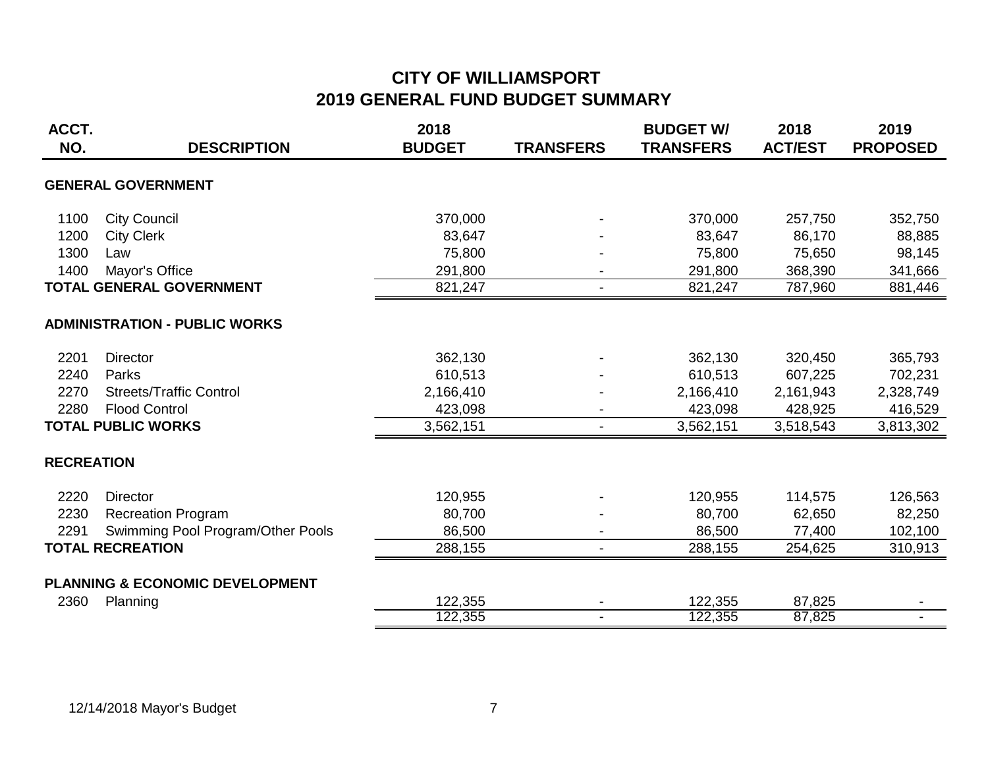| ACCT.             |                                            | 2018          |                  | <b>BUDGET W/</b> | 2018           | 2019            |
|-------------------|--------------------------------------------|---------------|------------------|------------------|----------------|-----------------|
| NO.               | <b>DESCRIPTION</b>                         | <b>BUDGET</b> | <b>TRANSFERS</b> | <b>TRANSFERS</b> | <b>ACT/EST</b> | <b>PROPOSED</b> |
|                   | <b>GENERAL GOVERNMENT</b>                  |               |                  |                  |                |                 |
| 1100              | <b>City Council</b>                        | 370,000       |                  | 370,000          | 257,750        | 352,750         |
| 1200              | <b>City Clerk</b>                          | 83,647        |                  | 83,647           | 86,170         | 88,885          |
| 1300              | Law                                        | 75,800        |                  | 75,800           | 75,650         | 98,145          |
| 1400              | Mayor's Office                             | 291,800       |                  | 291,800          | 368,390        | 341,666         |
|                   | TOTAL GENERAL GOVERNMENT                   | 821,247       | $\blacksquare$   | 821,247          | 787,960        | 881,446         |
|                   | <b>ADMINISTRATION - PUBLIC WORKS</b>       |               |                  |                  |                |                 |
| 2201              | <b>Director</b>                            | 362,130       |                  | 362,130          | 320,450        | 365,793         |
| 2240              | Parks                                      | 610,513       |                  | 610,513          | 607,225        | 702,231         |
| 2270              | <b>Streets/Traffic Control</b>             | 2,166,410     |                  | 2,166,410        | 2,161,943      | 2,328,749       |
| 2280              | <b>Flood Control</b>                       | 423,098       |                  | 423,098          | 428,925        | 416,529         |
|                   | <b>TOTAL PUBLIC WORKS</b>                  | 3,562,151     |                  | 3,562,151        | 3,518,543      | 3,813,302       |
| <b>RECREATION</b> |                                            |               |                  |                  |                |                 |
| 2220              | <b>Director</b>                            | 120,955       |                  | 120,955          | 114,575        | 126,563         |
| 2230              | <b>Recreation Program</b>                  | 80,700        |                  | 80,700           | 62,650         | 82,250          |
| 2291              | Swimming Pool Program/Other Pools          | 86,500        |                  | 86,500           | 77,400         | 102,100         |
|                   | <b>TOTAL RECREATION</b>                    | 288,155       |                  | 288,155          | 254,625        | 310,913         |
|                   | <b>PLANNING &amp; ECONOMIC DEVELOPMENT</b> |               |                  |                  |                |                 |
| 2360              | Planning                                   | 122,355       |                  | 122,355          | 87,825         |                 |
|                   |                                            | 122,355       |                  | 122,355          | 87,825         |                 |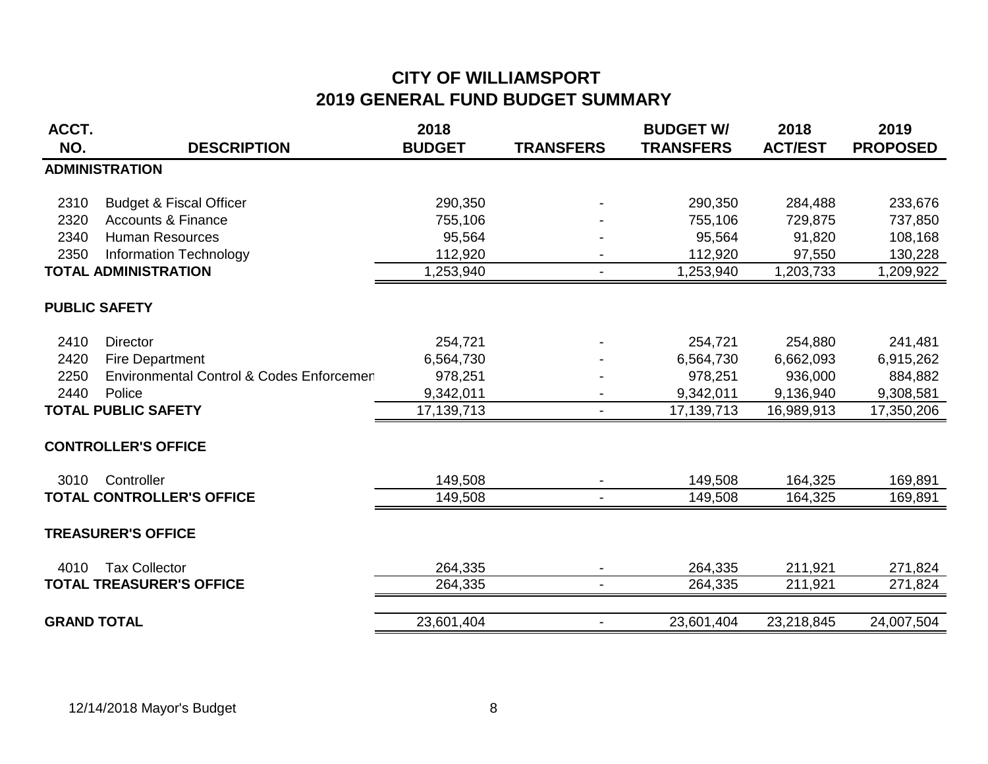| ACCT.              |                                          | 2018          |                          | <b>BUDGET W/</b> | 2018           | 2019            |
|--------------------|------------------------------------------|---------------|--------------------------|------------------|----------------|-----------------|
| NO.                | <b>DESCRIPTION</b>                       | <b>BUDGET</b> | <b>TRANSFERS</b>         | <b>TRANSFERS</b> | <b>ACT/EST</b> | <b>PROPOSED</b> |
|                    | <b>ADMINISTRATION</b>                    |               |                          |                  |                |                 |
|                    |                                          |               |                          |                  |                |                 |
| 2310               | <b>Budget &amp; Fiscal Officer</b>       | 290,350       |                          | 290,350          | 284,488        | 233,676         |
| 2320               | <b>Accounts &amp; Finance</b>            | 755,106       |                          | 755,106          | 729,875        | 737,850         |
| 2340               | <b>Human Resources</b>                   | 95,564        |                          | 95,564           | 91,820         | 108,168         |
| 2350               | Information Technology                   | 112,920       |                          | 112,920          | 97,550         | 130,228         |
|                    | <b>TOTAL ADMINISTRATION</b>              | 1,253,940     | $\overline{\phantom{a}}$ | 1,253,940        | 1,203,733      | 1,209,922       |
|                    | <b>PUBLIC SAFETY</b>                     |               |                          |                  |                |                 |
| 2410               | <b>Director</b>                          | 254,721       |                          | 254,721          | 254,880        | 241,481         |
| 2420               | <b>Fire Department</b>                   | 6,564,730     |                          | 6,564,730        | 6,662,093      | 6,915,262       |
| 2250               | Environmental Control & Codes Enforcemen | 978,251       |                          | 978,251          | 936,000        | 884,882         |
| 2440               | Police                                   | 9,342,011     |                          | 9,342,011        | 9,136,940      | 9,308,581       |
|                    | <b>TOTAL PUBLIC SAFETY</b>               | 17,139,713    | $\overline{\phantom{a}}$ | 17,139,713       | 16,989,913     | 17,350,206      |
|                    | <b>CONTROLLER'S OFFICE</b>               |               |                          |                  |                |                 |
| 3010               | Controller                               | 149,508       |                          | 149,508          | 164,325        | 169,891         |
|                    | <b>TOTAL CONTROLLER'S OFFICE</b>         | 149,508       |                          | 149,508          | 164,325        | 169,891         |
|                    | <b>TREASURER'S OFFICE</b>                |               |                          |                  |                |                 |
| 4010               | <b>Tax Collector</b>                     | 264,335       | $\overline{\phantom{a}}$ | 264,335          | 211,921        | 271,824         |
|                    | <b>TOTAL TREASURER'S OFFICE</b>          | 264,335       | $\blacksquare$           | 264,335          | 211,921        | 271,824         |
| <b>GRAND TOTAL</b> |                                          | 23,601,404    | $\blacksquare$           | 23,601,404       | 23,218,845     | 24,007,504      |
|                    |                                          |               |                          |                  |                |                 |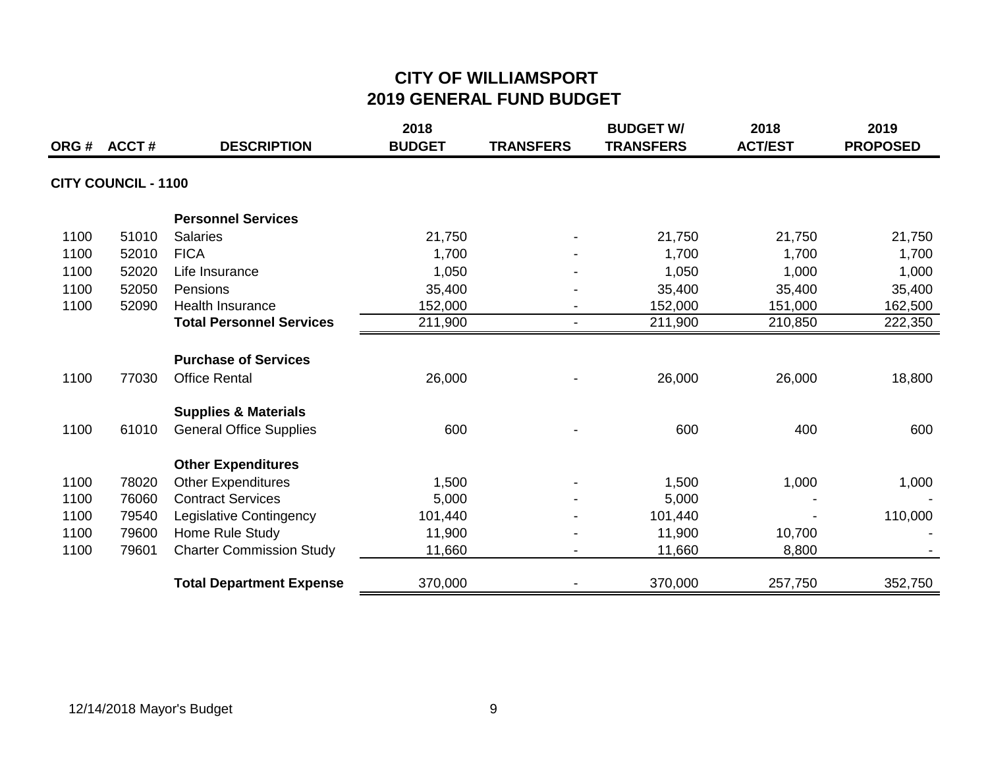|      | ORG# ACCT#                 | <b>DESCRIPTION</b>              | 2018<br><b>BUDGET</b> | <b>TRANSFERS</b> | <b>BUDGET W/</b><br><b>TRANSFERS</b> | 2018<br><b>ACT/EST</b> | 2019<br><b>PROPOSED</b> |
|------|----------------------------|---------------------------------|-----------------------|------------------|--------------------------------------|------------------------|-------------------------|
|      | <b>CITY COUNCIL - 1100</b> |                                 |                       |                  |                                      |                        |                         |
|      |                            | <b>Personnel Services</b>       |                       |                  |                                      |                        |                         |
| 1100 | 51010                      | <b>Salaries</b>                 | 21,750                |                  | 21,750                               | 21,750                 | 21,750                  |
| 1100 | 52010                      | <b>FICA</b>                     | 1,700                 |                  | 1,700                                | 1,700                  | 1,700                   |
| 1100 | 52020                      | Life Insurance                  | 1,050                 |                  | 1,050                                | 1,000                  | 1,000                   |
| 1100 | 52050                      | Pensions                        | 35,400                |                  | 35,400                               | 35,400                 | 35,400                  |
| 1100 | 52090                      | <b>Health Insurance</b>         | 152,000               | $\blacksquare$   | 152,000                              | 151,000                | 162,500                 |
|      |                            | <b>Total Personnel Services</b> | 211,900               | $\blacksquare$   | 211,900                              | 210,850                | 222,350                 |
|      |                            | <b>Purchase of Services</b>     |                       |                  |                                      |                        |                         |
| 1100 | 77030                      | <b>Office Rental</b>            | 26,000                |                  | 26,000                               | 26,000                 | 18,800                  |
|      |                            | <b>Supplies &amp; Materials</b> |                       |                  |                                      |                        |                         |
| 1100 | 61010                      | <b>General Office Supplies</b>  | 600                   |                  | 600                                  | 400                    | 600                     |
|      |                            | <b>Other Expenditures</b>       |                       |                  |                                      |                        |                         |
| 1100 | 78020                      | <b>Other Expenditures</b>       | 1,500                 |                  | 1,500                                | 1,000                  | 1,000                   |
| 1100 | 76060                      | <b>Contract Services</b>        | 5,000                 |                  | 5,000                                |                        |                         |
| 1100 | 79540                      | Legislative Contingency         | 101,440               |                  | 101,440                              |                        | 110,000                 |
| 1100 | 79600                      | Home Rule Study                 | 11,900                |                  | 11,900                               | 10,700                 |                         |
| 1100 | 79601                      | <b>Charter Commission Study</b> | 11,660                |                  | 11,660                               | 8,800                  |                         |
|      |                            | <b>Total Department Expense</b> | 370,000               |                  | 370,000                              | 257,750                | 352,750                 |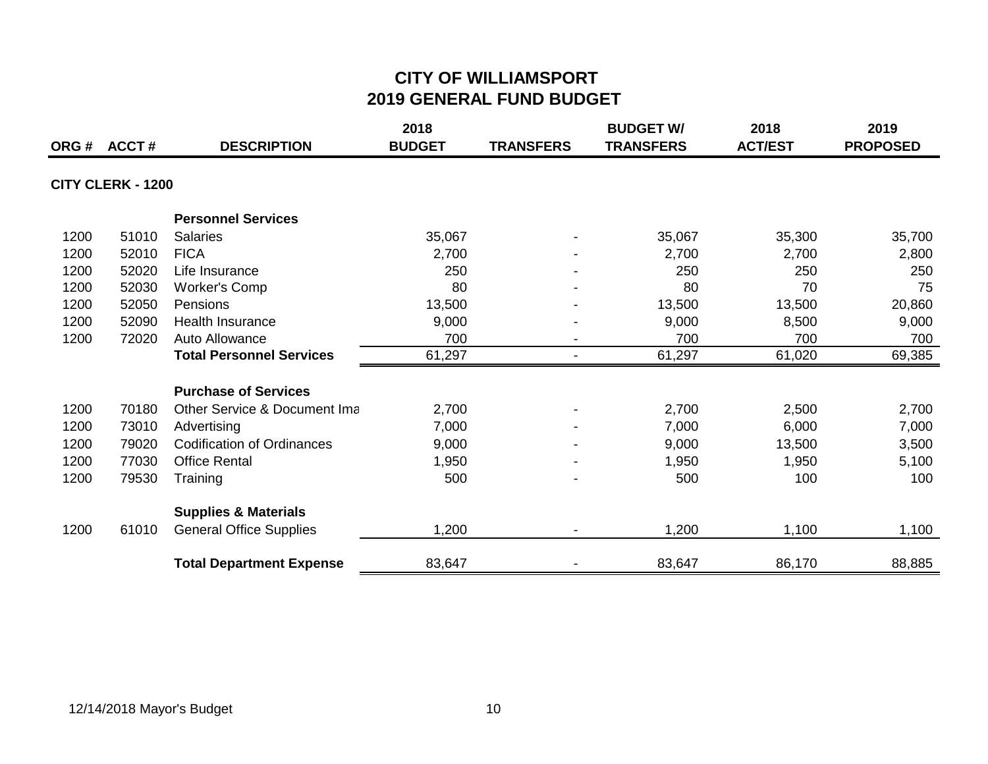| ORG # | ACCT#                    | <b>DESCRIPTION</b>                | 2018<br><b>BUDGET</b> | <b>TRANSFERS</b> | <b>BUDGET W/</b><br><b>TRANSFERS</b> | 2018<br><b>ACT/EST</b> | 2019<br><b>PROPOSED</b> |
|-------|--------------------------|-----------------------------------|-----------------------|------------------|--------------------------------------|------------------------|-------------------------|
|       |                          |                                   |                       |                  |                                      |                        |                         |
|       | <b>CITY CLERK - 1200</b> |                                   |                       |                  |                                      |                        |                         |
|       |                          | <b>Personnel Services</b>         |                       |                  |                                      |                        |                         |
| 1200  | 51010                    | <b>Salaries</b>                   | 35,067                |                  | 35,067                               | 35,300                 | 35,700                  |
| 1200  | 52010                    | <b>FICA</b>                       | 2,700                 |                  | 2,700                                | 2,700                  | 2,800                   |
| 1200  | 52020                    | Life Insurance                    | 250                   |                  | 250                                  | 250                    | 250                     |
| 1200  | 52030                    | <b>Worker's Comp</b>              | 80                    |                  | 80                                   | 70                     | 75                      |
| 1200  | 52050                    | <b>Pensions</b>                   | 13,500                |                  | 13,500                               | 13,500                 | 20,860                  |
| 1200  | 52090                    | <b>Health Insurance</b>           | 9,000                 |                  | 9,000                                | 8,500                  | 9,000                   |
| 1200  | 72020                    | Auto Allowance                    | 700                   |                  | 700                                  | 700                    | 700                     |
|       |                          | <b>Total Personnel Services</b>   | 61,297                |                  | 61,297                               | 61,020                 | 69,385                  |
|       |                          | <b>Purchase of Services</b>       |                       |                  |                                      |                        |                         |
| 1200  | 70180                    | Other Service & Document Ima      | 2,700                 |                  | 2,700                                | 2,500                  | 2,700                   |
| 1200  | 73010                    | Advertising                       | 7,000                 |                  | 7,000                                | 6,000                  | 7,000                   |
| 1200  | 79020                    | <b>Codification of Ordinances</b> | 9,000                 |                  | 9,000                                | 13,500                 | 3,500                   |
| 1200  | 77030                    | <b>Office Rental</b>              | 1,950                 |                  | 1,950                                | 1,950                  | 5,100                   |
| 1200  | 79530                    | Training                          | 500                   |                  | 500                                  | 100                    | 100                     |
|       |                          | <b>Supplies &amp; Materials</b>   |                       |                  |                                      |                        |                         |
| 1200  | 61010                    | <b>General Office Supplies</b>    | 1,200                 |                  | 1,200                                | 1,100                  | 1,100                   |
|       |                          | <b>Total Department Expense</b>   | 83,647                |                  | 83,647                               | 86,170                 | 88,885                  |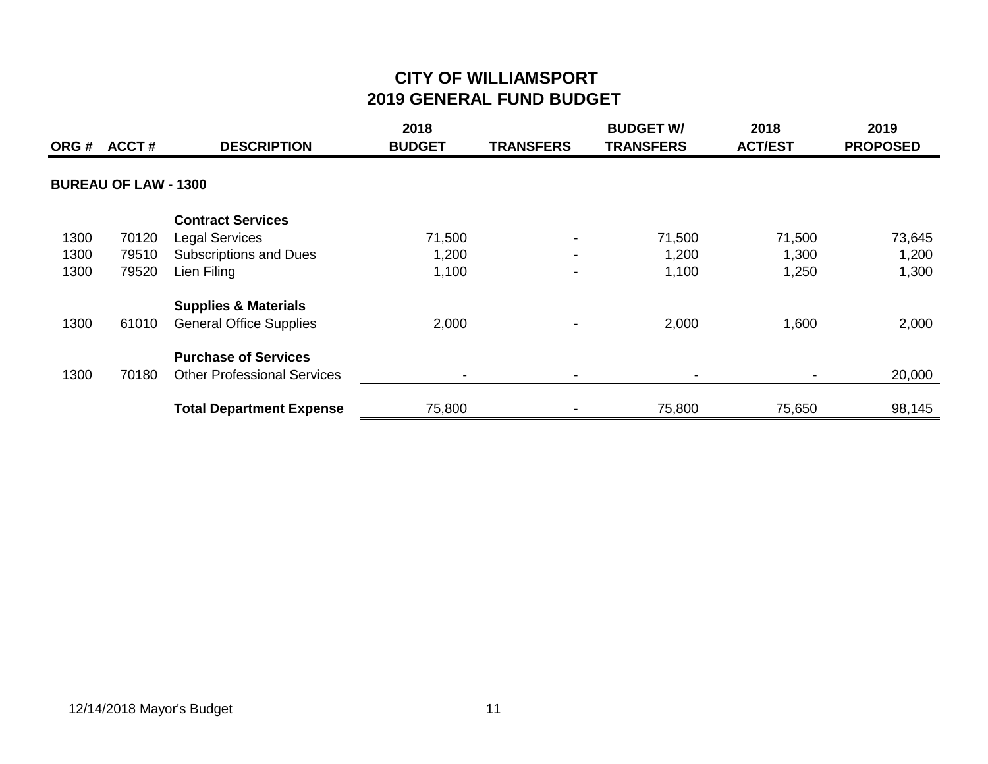| ORG # | <b>ACCT#</b>                | <b>DESCRIPTION</b>                 | 2018<br><b>BUDGET</b> | <b>TRANSFERS</b>         | <b>BUDGET W/</b><br><b>TRANSFERS</b> | 2018<br><b>ACT/EST</b> | 2019<br><b>PROPOSED</b> |
|-------|-----------------------------|------------------------------------|-----------------------|--------------------------|--------------------------------------|------------------------|-------------------------|
|       | <b>BUREAU OF LAW - 1300</b> |                                    |                       |                          |                                      |                        |                         |
|       |                             | <b>Contract Services</b>           |                       |                          |                                      |                        |                         |
| 1300  | 70120                       | <b>Legal Services</b>              | 71,500                |                          | 71,500                               | 71,500                 | 73,645                  |
| 1300  | 79510                       | <b>Subscriptions and Dues</b>      | 1,200                 | $\blacksquare$           | 1,200                                | 1,300                  | 1,200                   |
| 1300  | 79520                       | Lien Filing                        | 1,100                 | $\blacksquare$           | 1,100                                | 1,250                  | 1,300                   |
|       |                             | <b>Supplies &amp; Materials</b>    |                       |                          |                                      |                        |                         |
| 1300  | 61010                       | <b>General Office Supplies</b>     | 2,000                 | $\blacksquare$           | 2,000                                | 1,600                  | 2,000                   |
|       |                             | <b>Purchase of Services</b>        |                       |                          |                                      |                        |                         |
| 1300  | 70180                       | <b>Other Professional Services</b> |                       | $\overline{\phantom{0}}$ |                                      |                        | 20,000                  |
|       |                             | <b>Total Department Expense</b>    | 75,800                |                          | 75,800                               | 75,650                 | 98,145                  |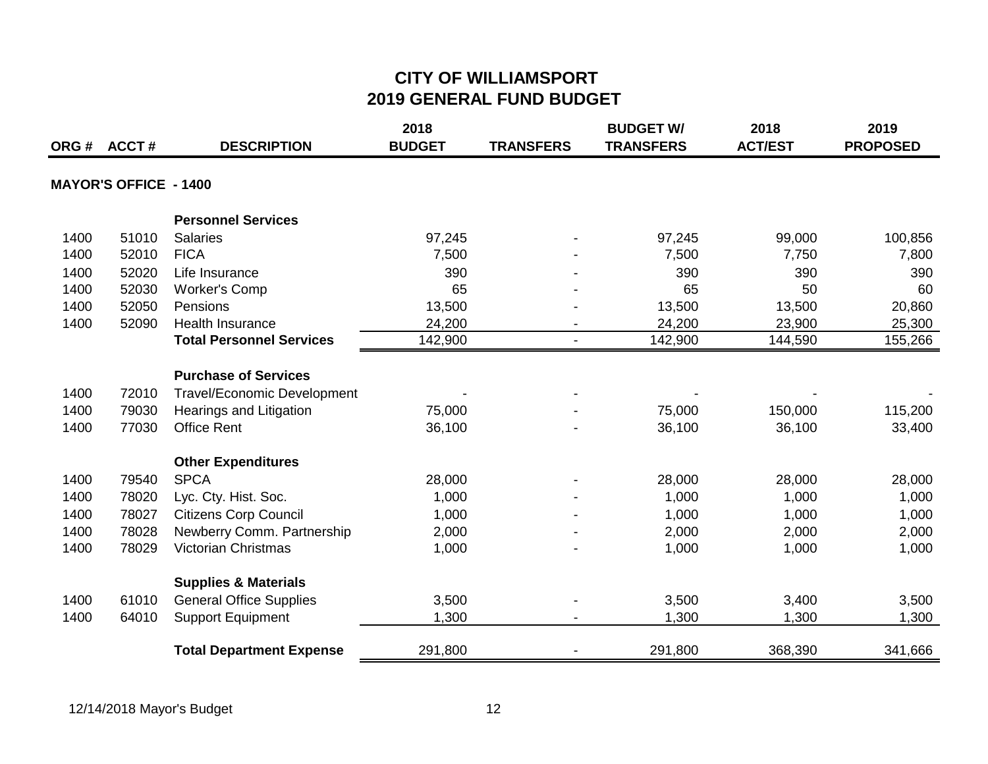| ORG# | <b>ACCT#</b>                 | <b>DESCRIPTION</b>                 | 2018<br><b>BUDGET</b> | <b>TRANSFERS</b>         | <b>BUDGET W/</b><br><b>TRANSFERS</b> | 2018<br><b>ACT/EST</b> | 2019<br><b>PROPOSED</b> |
|------|------------------------------|------------------------------------|-----------------------|--------------------------|--------------------------------------|------------------------|-------------------------|
|      |                              |                                    |                       |                          |                                      |                        |                         |
|      | <b>MAYOR'S OFFICE - 1400</b> |                                    |                       |                          |                                      |                        |                         |
|      |                              | <b>Personnel Services</b>          |                       |                          |                                      |                        |                         |
| 1400 | 51010                        | <b>Salaries</b>                    | 97,245                |                          | 97,245                               | 99,000                 | 100,856                 |
| 1400 | 52010                        | <b>FICA</b>                        | 7,500                 |                          | 7,500                                | 7,750                  | 7,800                   |
| 1400 | 52020                        | Life Insurance                     | 390                   |                          | 390                                  | 390                    | 390                     |
| 1400 | 52030                        | <b>Worker's Comp</b>               | 65                    |                          | 65                                   | 50                     | 60                      |
| 1400 | 52050                        | Pensions                           | 13,500                |                          | 13,500                               | 13,500                 | 20,860                  |
| 1400 | 52090                        | <b>Health Insurance</b>            | 24,200                |                          | 24,200                               | 23,900                 | 25,300                  |
|      |                              | <b>Total Personnel Services</b>    | 142,900               | $\overline{\phantom{a}}$ | 142,900                              | 144,590                | 155,266                 |
|      |                              | <b>Purchase of Services</b>        |                       |                          |                                      |                        |                         |
| 1400 | 72010                        | <b>Travel/Economic Development</b> |                       |                          |                                      |                        |                         |
| 1400 | 79030                        | Hearings and Litigation            | 75,000                |                          | 75,000                               | 150,000                | 115,200                 |
| 1400 | 77030                        | <b>Office Rent</b>                 | 36,100                |                          | 36,100                               | 36,100                 | 33,400                  |
|      |                              | <b>Other Expenditures</b>          |                       |                          |                                      |                        |                         |
| 1400 | 79540                        | <b>SPCA</b>                        | 28,000                |                          | 28,000                               | 28,000                 | 28,000                  |
| 1400 | 78020                        | Lyc. Cty. Hist. Soc.               | 1,000                 |                          | 1,000                                | 1,000                  | 1,000                   |
| 1400 | 78027                        | <b>Citizens Corp Council</b>       | 1,000                 |                          | 1,000                                | 1,000                  | 1,000                   |
| 1400 | 78028                        | Newberry Comm. Partnership         | 2,000                 |                          | 2,000                                | 2,000                  | 2,000                   |
| 1400 | 78029                        | <b>Victorian Christmas</b>         | 1,000                 |                          | 1,000                                | 1,000                  | 1,000                   |
|      |                              | <b>Supplies &amp; Materials</b>    |                       |                          |                                      |                        |                         |
| 1400 | 61010                        | <b>General Office Supplies</b>     | 3,500                 |                          | 3,500                                | 3,400                  | 3,500                   |
| 1400 | 64010                        | <b>Support Equipment</b>           | 1,300                 |                          | 1,300                                | 1,300                  | 1,300                   |
|      |                              | <b>Total Department Expense</b>    | 291,800               |                          | 291,800                              | 368,390                | 341,666                 |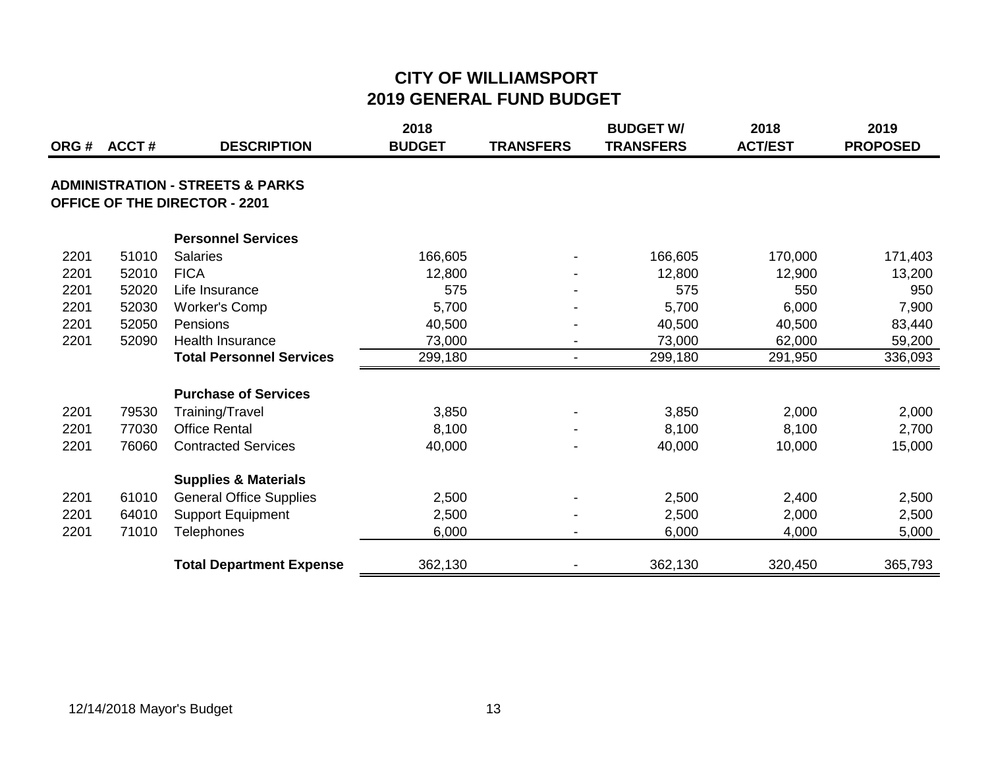| ORG# | ACCT# | <b>DESCRIPTION</b>                          | 2018<br><b>BUDGET</b> | <b>TRANSFERS</b>         | <b>BUDGET W/</b><br><b>TRANSFERS</b> | 2018<br><b>ACT/EST</b> | 2019<br><b>PROPOSED</b> |
|------|-------|---------------------------------------------|-----------------------|--------------------------|--------------------------------------|------------------------|-------------------------|
|      |       |                                             |                       |                          |                                      |                        |                         |
|      |       | <b>ADMINISTRATION - STREETS &amp; PARKS</b> |                       |                          |                                      |                        |                         |
|      |       | <b>OFFICE OF THE DIRECTOR - 2201</b>        |                       |                          |                                      |                        |                         |
|      |       | <b>Personnel Services</b>                   |                       |                          |                                      |                        |                         |
| 2201 | 51010 | <b>Salaries</b>                             | 166,605               |                          | 166,605                              | 170,000                | 171,403                 |
| 2201 | 52010 | <b>FICA</b>                                 | 12,800                |                          | 12,800                               | 12,900                 | 13,200                  |
| 2201 | 52020 | Life Insurance                              | 575                   |                          | 575                                  | 550                    | 950                     |
| 2201 | 52030 | Worker's Comp                               | 5,700                 |                          | 5,700                                | 6,000                  | 7,900                   |
| 2201 | 52050 | Pensions                                    | 40,500                |                          | 40,500                               | 40,500                 | 83,440                  |
| 2201 | 52090 | Health Insurance                            | 73,000                | $\overline{\phantom{a}}$ | 73,000                               | 62,000                 | 59,200                  |
|      |       | <b>Total Personnel Services</b>             | 299,180               | $\overline{\phantom{0}}$ | 299,180                              | 291,950                | 336,093                 |
|      |       | <b>Purchase of Services</b>                 |                       |                          |                                      |                        |                         |
| 2201 | 79530 | Training/Travel                             | 3,850                 |                          | 3,850                                | 2,000                  | 2,000                   |
| 2201 | 77030 | <b>Office Rental</b>                        | 8,100                 |                          | 8,100                                | 8,100                  | 2,700                   |
| 2201 | 76060 | <b>Contracted Services</b>                  | 40,000                |                          | 40,000                               | 10,000                 | 15,000                  |
|      |       | <b>Supplies &amp; Materials</b>             |                       |                          |                                      |                        |                         |
| 2201 | 61010 | <b>General Office Supplies</b>              | 2,500                 |                          | 2,500                                | 2,400                  | 2,500                   |
| 2201 | 64010 | <b>Support Equipment</b>                    | 2,500                 |                          | 2,500                                | 2,000                  | 2,500                   |
| 2201 | 71010 | <b>Telephones</b>                           | 6,000                 |                          | 6,000                                | 4,000                  | 5,000                   |
|      |       | <b>Total Department Expense</b>             | 362,130               |                          | 362,130                              | 320,450                | 365,793                 |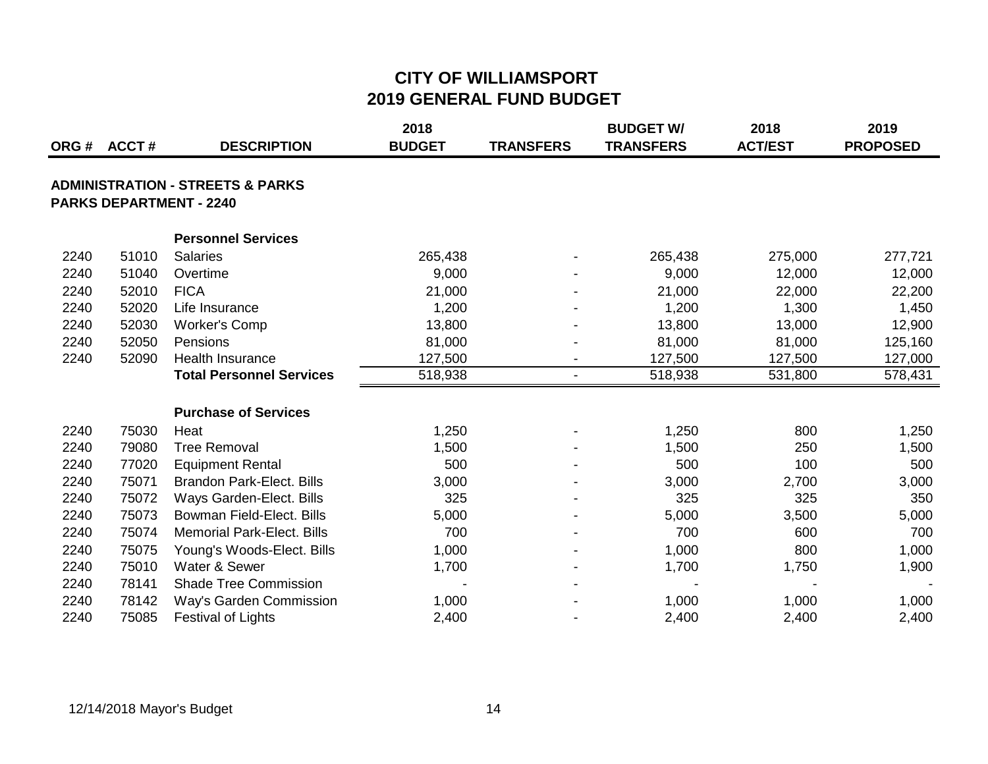|      | ORG# ACCT# | <b>DESCRIPTION</b>                                                            | 2018<br><b>BUDGET</b> | <b>TRANSFERS</b>         | <b>BUDGET W/</b><br><b>TRANSFERS</b> | 2018<br><b>ACT/EST</b> | 2019<br><b>PROPOSED</b> |
|------|------------|-------------------------------------------------------------------------------|-----------------------|--------------------------|--------------------------------------|------------------------|-------------------------|
|      |            | <b>ADMINISTRATION - STREETS &amp; PARKS</b><br><b>PARKS DEPARTMENT - 2240</b> |                       |                          |                                      |                        |                         |
|      |            | <b>Personnel Services</b>                                                     |                       |                          |                                      |                        |                         |
| 2240 | 51010      | <b>Salaries</b>                                                               | 265,438               |                          | 265,438                              | 275,000                | 277,721                 |
| 2240 | 51040      | Overtime                                                                      | 9,000                 |                          | 9,000                                | 12,000                 | 12,000                  |
| 2240 | 52010      | <b>FICA</b>                                                                   | 21,000                |                          | 21,000                               | 22,000                 | 22,200                  |
| 2240 | 52020      | Life Insurance                                                                | 1,200                 |                          | 1,200                                | 1,300                  | 1,450                   |
| 2240 | 52030      | <b>Worker's Comp</b>                                                          | 13,800                |                          | 13,800                               | 13,000                 | 12,900                  |
| 2240 | 52050      | Pensions                                                                      | 81,000                |                          | 81,000                               | 81,000                 | 125,160                 |
| 2240 | 52090      | <b>Health Insurance</b>                                                       | 127,500               | $\overline{\phantom{a}}$ | 127,500                              | 127,500                | 127,000                 |
|      |            | <b>Total Personnel Services</b>                                               | 518,938               | $\overline{\phantom{a}}$ | 518,938                              | 531,800                | 578,431                 |
|      |            | <b>Purchase of Services</b>                                                   |                       |                          |                                      |                        |                         |
| 2240 | 75030      | Heat                                                                          | 1,250                 |                          | 1,250                                | 800                    | 1,250                   |
| 2240 | 79080      | <b>Tree Removal</b>                                                           | 1,500                 |                          | 1,500                                | 250                    | 1,500                   |
| 2240 | 77020      | <b>Equipment Rental</b>                                                       | 500                   |                          | 500                                  | 100                    | 500                     |
| 2240 | 75071      | <b>Brandon Park-Elect. Bills</b>                                              | 3,000                 |                          | 3,000                                | 2,700                  | 3,000                   |
| 2240 | 75072      | Ways Garden-Elect. Bills                                                      | 325                   |                          | 325                                  | 325                    | 350                     |
| 2240 | 75073      | Bowman Field-Elect. Bills                                                     | 5,000                 |                          | 5,000                                | 3,500                  | 5,000                   |
| 2240 | 75074      | <b>Memorial Park-Elect. Bills</b>                                             | 700                   |                          | 700                                  | 600                    | 700                     |
| 2240 | 75075      | Young's Woods-Elect. Bills                                                    | 1,000                 |                          | 1,000                                | 800                    | 1,000                   |
| 2240 | 75010      | Water & Sewer                                                                 | 1,700                 |                          | 1,700                                | 1,750                  | 1,900                   |
| 2240 | 78141      | <b>Shade Tree Commission</b>                                                  |                       |                          |                                      |                        |                         |
| 2240 | 78142      | Way's Garden Commission                                                       | 1,000                 |                          | 1,000                                | 1,000                  | 1,000                   |
| 2240 | 75085      | <b>Festival of Lights</b>                                                     | 2,400                 |                          | 2,400                                | 2,400                  | 2,400                   |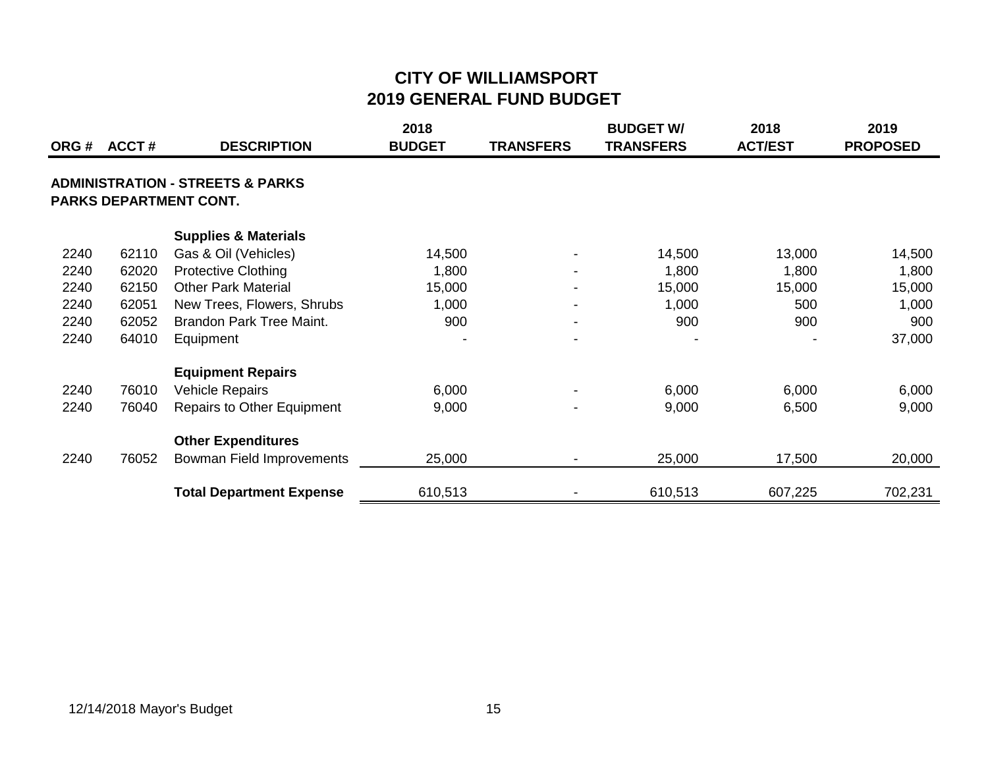|       |       |                                                                       | 2018          |                          | <b>BUDGET W/</b> | 2018           | 2019            |
|-------|-------|-----------------------------------------------------------------------|---------------|--------------------------|------------------|----------------|-----------------|
| ORG # | ACCT# | <b>DESCRIPTION</b>                                                    | <b>BUDGET</b> | <b>TRANSFERS</b>         | <b>TRANSFERS</b> | <b>ACT/EST</b> | <b>PROPOSED</b> |
|       |       | <b>ADMINISTRATION - STREETS &amp; PARKS</b><br>PARKS DEPARTMENT CONT. |               |                          |                  |                |                 |
|       |       | <b>Supplies &amp; Materials</b>                                       |               |                          |                  |                |                 |
| 2240  | 62110 | Gas & Oil (Vehicles)                                                  | 14,500        |                          | 14,500           | 13,000         | 14,500          |
| 2240  | 62020 | <b>Protective Clothing</b>                                            | 1,800         | $\overline{\phantom{a}}$ | 1,800            | 1,800          | 1,800           |
| 2240  | 62150 | <b>Other Park Material</b>                                            | 15,000        | $\overline{\phantom{a}}$ | 15,000           | 15,000         | 15,000          |
| 2240  | 62051 | New Trees, Flowers, Shrubs                                            | 1,000         |                          | 1,000            | 500            | 1,000           |
| 2240  | 62052 | Brandon Park Tree Maint.                                              | 900           | $\overline{\phantom{a}}$ | 900              | 900            | 900             |
| 2240  | 64010 | Equipment                                                             |               | $\overline{\phantom{a}}$ |                  |                | 37,000          |
|       |       | <b>Equipment Repairs</b>                                              |               |                          |                  |                |                 |
| 2240  | 76010 | <b>Vehicle Repairs</b>                                                | 6,000         |                          | 6,000            | 6,000          | 6,000           |
| 2240  | 76040 | <b>Repairs to Other Equipment</b>                                     | 9,000         |                          | 9,000            | 6,500          | 9,000           |
|       |       | <b>Other Expenditures</b>                                             |               |                          |                  |                |                 |
| 2240  | 76052 | Bowman Field Improvements                                             | 25,000        |                          | 25,000           | 17,500         | 20,000          |
|       |       | <b>Total Department Expense</b>                                       | 610,513       |                          | 610,513          | 607,225        | 702,231         |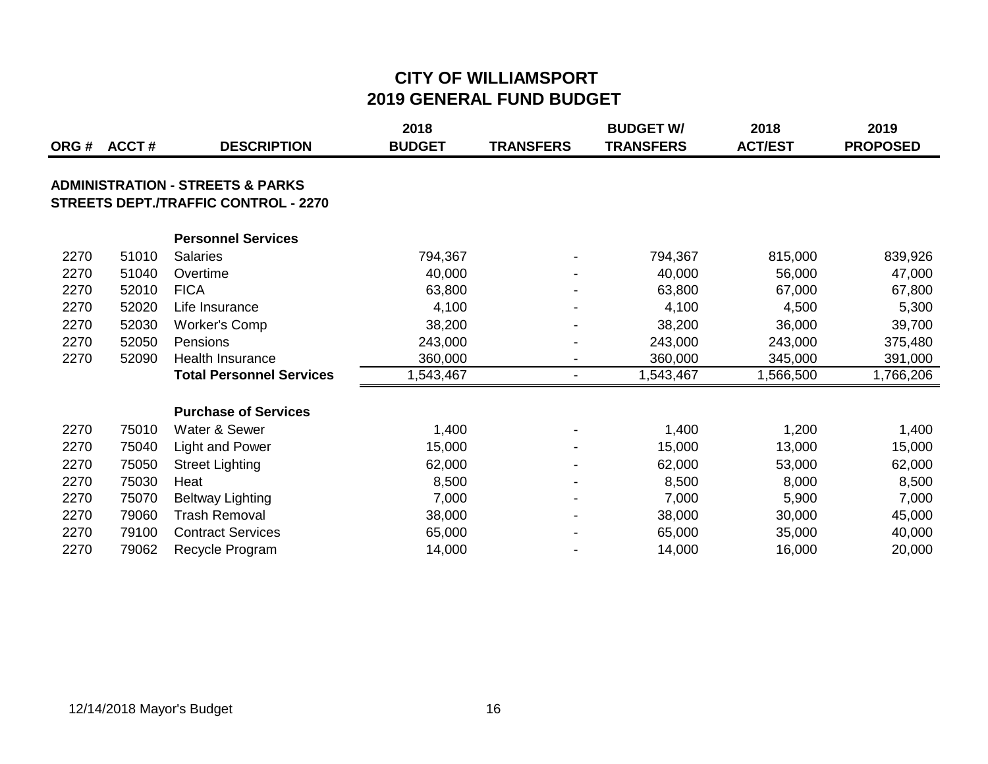| ORG# | ACCT# | <b>DESCRIPTION</b>                                                                         | 2018<br><b>BUDGET</b> | <b>TRANSFERS</b>         | <b>BUDGET W/</b><br><b>TRANSFERS</b> | 2018<br><b>ACT/EST</b> | 2019<br><b>PROPOSED</b> |
|------|-------|--------------------------------------------------------------------------------------------|-----------------------|--------------------------|--------------------------------------|------------------------|-------------------------|
|      |       | <b>ADMINISTRATION - STREETS &amp; PARKS</b><br><b>STREETS DEPT./TRAFFIC CONTROL - 2270</b> |                       |                          |                                      |                        |                         |
|      |       | <b>Personnel Services</b>                                                                  |                       |                          |                                      |                        |                         |
| 2270 | 51010 | <b>Salaries</b>                                                                            | 794,367               |                          | 794,367                              | 815,000                | 839,926                 |
| 2270 | 51040 | Overtime                                                                                   | 40,000                |                          | 40,000                               | 56,000                 | 47,000                  |
| 2270 | 52010 | <b>FICA</b>                                                                                | 63,800                |                          | 63,800                               | 67,000                 | 67,800                  |
| 2270 | 52020 | Life Insurance                                                                             | 4,100                 |                          | 4,100                                | 4,500                  | 5,300                   |
| 2270 | 52030 | <b>Worker's Comp</b>                                                                       | 38,200                |                          | 38,200                               | 36,000                 | 39,700                  |
| 2270 | 52050 | Pensions                                                                                   | 243,000               |                          | 243,000                              | 243,000                | 375,480                 |
| 2270 | 52090 | Health Insurance                                                                           | 360,000               | $\overline{\phantom{a}}$ | 360,000                              | 345,000                | 391,000                 |
|      |       | <b>Total Personnel Services</b>                                                            | 1,543,467             | $\overline{\phantom{a}}$ | 1,543,467                            | 1,566,500              | 1,766,206               |
|      |       | <b>Purchase of Services</b>                                                                |                       |                          |                                      |                        |                         |
| 2270 | 75010 | Water & Sewer                                                                              | 1,400                 |                          | 1,400                                | 1,200                  | 1,400                   |
| 2270 | 75040 | <b>Light and Power</b>                                                                     | 15,000                |                          | 15,000                               | 13,000                 | 15,000                  |
| 2270 | 75050 | <b>Street Lighting</b>                                                                     | 62,000                |                          | 62,000                               | 53,000                 | 62,000                  |
| 2270 | 75030 | Heat                                                                                       | 8,500                 |                          | 8,500                                | 8,000                  | 8,500                   |
| 2270 | 75070 | Beltway Lighting                                                                           | 7,000                 | $\blacksquare$           | 7,000                                | 5,900                  | 7,000                   |
| 2270 | 79060 | <b>Trash Removal</b>                                                                       | 38,000                |                          | 38,000                               | 30,000                 | 45,000                  |
| 2270 | 79100 | <b>Contract Services</b>                                                                   | 65,000                |                          | 65,000                               | 35,000                 | 40,000                  |
| 2270 | 79062 | Recycle Program                                                                            | 14,000                |                          | 14,000                               | 16,000                 | 20,000                  |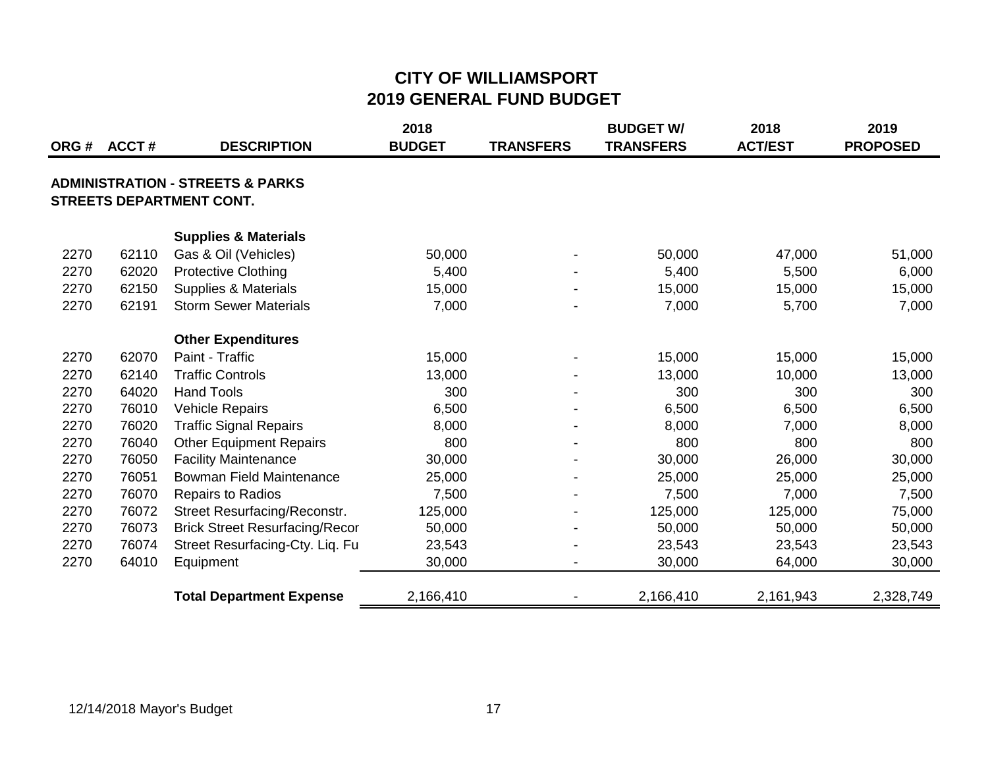|      | ORG # ACCT # | <b>DESCRIPTION</b>                                                             | 2018<br><b>BUDGET</b> | <b>TRANSFERS</b>         | <b>BUDGET W/</b><br><b>TRANSFERS</b> | 2018<br><b>ACT/EST</b> | 2019<br><b>PROPOSED</b> |
|------|--------------|--------------------------------------------------------------------------------|-----------------------|--------------------------|--------------------------------------|------------------------|-------------------------|
|      |              | <b>ADMINISTRATION - STREETS &amp; PARKS</b><br><b>STREETS DEPARTMENT CONT.</b> |                       |                          |                                      |                        |                         |
|      |              | <b>Supplies &amp; Materials</b>                                                |                       |                          |                                      |                        |                         |
| 2270 | 62110        | Gas & Oil (Vehicles)                                                           | 50,000                |                          | 50,000                               | 47,000                 | 51,000                  |
| 2270 | 62020        | <b>Protective Clothing</b>                                                     | 5,400                 |                          | 5,400                                | 5,500                  | 6,000                   |
| 2270 | 62150        | <b>Supplies &amp; Materials</b>                                                | 15,000                |                          | 15,000                               | 15,000                 | 15,000                  |
| 2270 | 62191        | <b>Storm Sewer Materials</b>                                                   | 7,000                 | $\overline{\phantom{a}}$ | 7,000                                | 5,700                  | 7,000                   |
|      |              | <b>Other Expenditures</b>                                                      |                       |                          |                                      |                        |                         |
| 2270 | 62070        | Paint - Traffic                                                                | 15,000                |                          | 15,000                               | 15,000                 | 15,000                  |
| 2270 | 62140        | <b>Traffic Controls</b>                                                        | 13,000                |                          | 13,000                               | 10,000                 | 13,000                  |
| 2270 | 64020        | <b>Hand Tools</b>                                                              | 300                   |                          | 300                                  | 300                    | 300                     |
| 2270 | 76010        | <b>Vehicle Repairs</b>                                                         | 6,500                 |                          | 6,500                                | 6,500                  | 6,500                   |
| 2270 | 76020        | <b>Traffic Signal Repairs</b>                                                  | 8,000                 |                          | 8,000                                | 7,000                  | 8,000                   |
| 2270 | 76040        | <b>Other Equipment Repairs</b>                                                 | 800                   |                          | 800                                  | 800                    | 800                     |
| 2270 | 76050        | <b>Facility Maintenance</b>                                                    | 30,000                |                          | 30,000                               | 26,000                 | 30,000                  |
| 2270 | 76051        | Bowman Field Maintenance                                                       | 25,000                |                          | 25,000                               | 25,000                 | 25,000                  |
| 2270 | 76070        | <b>Repairs to Radios</b>                                                       | 7,500                 |                          | 7,500                                | 7,000                  | 7,500                   |
| 2270 | 76072        | Street Resurfacing/Reconstr.                                                   | 125,000               |                          | 125,000                              | 125,000                | 75,000                  |
| 2270 | 76073        | <b>Brick Street Resurfacing/Recor</b>                                          | 50,000                |                          | 50,000                               | 50,000                 | 50,000                  |
| 2270 | 76074        | Street Resurfacing-Cty. Liq. Fu                                                | 23,543                |                          | 23,543                               | 23,543                 | 23,543                  |
| 2270 | 64010        | Equipment                                                                      | 30,000                |                          | 30,000                               | 64,000                 | 30,000                  |
|      |              | <b>Total Department Expense</b>                                                | 2,166,410             |                          | 2,166,410                            | 2,161,943              | 2,328,749               |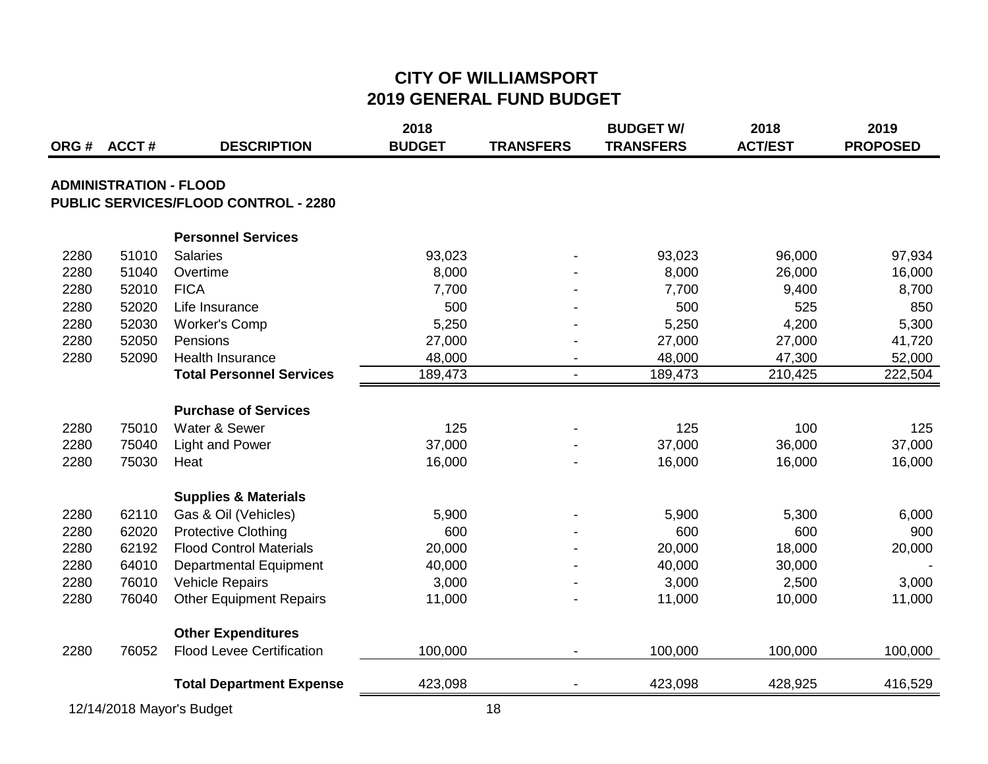|      |                               |                                             | 2018          |                  | <b>BUDGET W/</b> | 2018           | 2019            |
|------|-------------------------------|---------------------------------------------|---------------|------------------|------------------|----------------|-----------------|
| ORG# | <b>ACCT#</b>                  | <b>DESCRIPTION</b>                          | <b>BUDGET</b> | <b>TRANSFERS</b> | <b>TRANSFERS</b> | <b>ACT/EST</b> | <b>PROPOSED</b> |
|      | <b>ADMINISTRATION - FLOOD</b> |                                             |               |                  |                  |                |                 |
|      |                               | <b>PUBLIC SERVICES/FLOOD CONTROL - 2280</b> |               |                  |                  |                |                 |
|      |                               |                                             |               |                  |                  |                |                 |
|      |                               | <b>Personnel Services</b>                   |               |                  |                  |                |                 |
| 2280 | 51010                         | <b>Salaries</b>                             | 93,023        |                  | 93,023           | 96,000         | 97,934          |
| 2280 | 51040                         | Overtime                                    | 8,000         |                  | 8,000            | 26,000         | 16,000          |
| 2280 | 52010                         | <b>FICA</b>                                 | 7,700         |                  | 7,700            | 9,400          | 8,700           |
| 2280 | 52020                         | Life Insurance                              | 500           |                  | 500              | 525            | 850             |
| 2280 | 52030                         | <b>Worker's Comp</b>                        | 5,250         |                  | 5,250            | 4,200          | 5,300           |
| 2280 | 52050                         | Pensions                                    | 27,000        |                  | 27,000           | 27,000         | 41,720          |
| 2280 | 52090                         | Health Insurance                            | 48,000        |                  | 48,000           | 47,300         | 52,000          |
|      |                               | <b>Total Personnel Services</b>             | 189,473       |                  | 189,473          | 210,425        | 222,504         |
|      |                               |                                             |               |                  |                  |                |                 |
|      |                               | <b>Purchase of Services</b>                 |               |                  |                  |                |                 |
| 2280 | 75010                         | Water & Sewer                               | 125           |                  | 125              | 100            | 125             |
| 2280 | 75040                         | <b>Light and Power</b>                      | 37,000        |                  | 37,000           | 36,000         | 37,000          |
| 2280 | 75030                         | Heat                                        | 16,000        |                  | 16,000           | 16,000         | 16,000          |
|      |                               | <b>Supplies &amp; Materials</b>             |               |                  |                  |                |                 |
| 2280 | 62110                         | Gas & Oil (Vehicles)                        | 5,900         |                  | 5,900            | 5,300          | 6,000           |
| 2280 | 62020                         | <b>Protective Clothing</b>                  | 600           |                  | 600              | 600            | 900             |
| 2280 | 62192                         | <b>Flood Control Materials</b>              | 20,000        |                  | 20,000           | 18,000         | 20,000          |
| 2280 | 64010                         | <b>Departmental Equipment</b>               | 40,000        |                  | 40,000           | 30,000         |                 |
| 2280 | 76010                         | <b>Vehicle Repairs</b>                      | 3,000         |                  | 3,000            | 2,500          | 3,000           |
| 2280 | 76040                         | <b>Other Equipment Repairs</b>              | 11,000        |                  | 11,000           | 10,000         | 11,000          |
|      |                               | <b>Other Expenditures</b>                   |               |                  |                  |                |                 |
| 2280 | 76052                         | <b>Flood Levee Certification</b>            | 100,000       |                  | 100,000          | 100,000        | 100,000         |
|      |                               |                                             |               |                  |                  |                |                 |
|      |                               | <b>Total Department Expense</b>             | 423,098       |                  | 423,098          | 428,925        | 416,529         |

12/14/2018 Mayor's Budget 18 and 18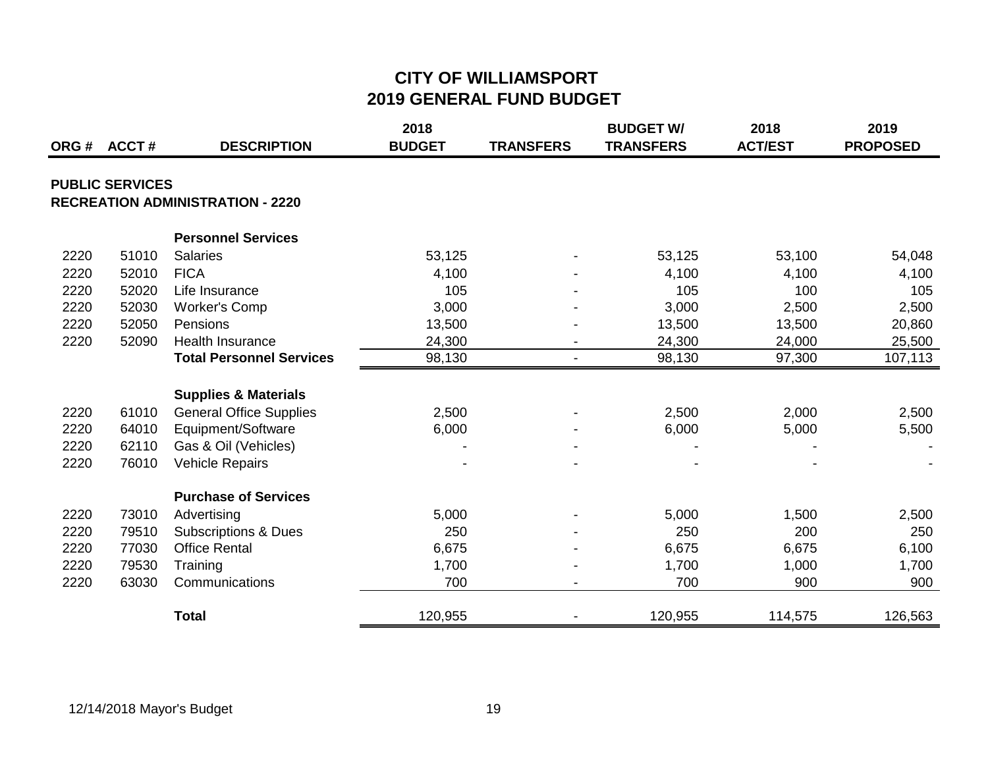|      | ORG# ACCT#             |                                         | 2018<br><b>BUDGET</b> |                  | <b>BUDGET W/</b><br><b>TRANSFERS</b> | 2018<br><b>ACT/EST</b> | 2019<br><b>PROPOSED</b> |
|------|------------------------|-----------------------------------------|-----------------------|------------------|--------------------------------------|------------------------|-------------------------|
|      |                        | <b>DESCRIPTION</b>                      |                       | <b>TRANSFERS</b> |                                      |                        |                         |
|      | <b>PUBLIC SERVICES</b> |                                         |                       |                  |                                      |                        |                         |
|      |                        | <b>RECREATION ADMINISTRATION - 2220</b> |                       |                  |                                      |                        |                         |
|      |                        | <b>Personnel Services</b>               |                       |                  |                                      |                        |                         |
| 2220 | 51010                  | <b>Salaries</b>                         | 53,125                |                  | 53,125                               | 53,100                 | 54,048                  |
| 2220 | 52010                  | <b>FICA</b>                             | 4,100                 |                  | 4,100                                | 4,100                  | 4,100                   |
| 2220 | 52020                  | Life Insurance                          | 105                   |                  | 105                                  | 100                    | 105                     |
| 2220 | 52030                  | <b>Worker's Comp</b>                    | 3,000                 |                  | 3,000                                | 2,500                  | 2,500                   |
| 2220 | 52050                  | Pensions                                | 13,500                |                  | 13,500                               | 13,500                 | 20,860                  |
| 2220 | 52090                  | <b>Health Insurance</b>                 | 24,300                |                  | 24,300                               | 24,000                 | 25,500                  |
|      |                        | <b>Total Personnel Services</b>         | 98,130                |                  | 98,130                               | 97,300                 | 107,113                 |
|      |                        | <b>Supplies &amp; Materials</b>         |                       |                  |                                      |                        |                         |
| 2220 | 61010                  | <b>General Office Supplies</b>          | 2,500                 |                  | 2,500                                | 2,000                  | 2,500                   |
| 2220 | 64010                  | Equipment/Software                      | 6,000                 |                  | 6,000                                | 5,000                  | 5,500                   |
| 2220 | 62110                  | Gas & Oil (Vehicles)                    |                       |                  |                                      |                        |                         |
| 2220 | 76010                  | <b>Vehicle Repairs</b>                  |                       |                  |                                      |                        |                         |
|      |                        | <b>Purchase of Services</b>             |                       |                  |                                      |                        |                         |
| 2220 | 73010                  | Advertising                             | 5,000                 |                  | 5,000                                | 1,500                  | 2,500                   |
| 2220 | 79510                  | <b>Subscriptions &amp; Dues</b>         | 250                   |                  | 250                                  | 200                    | 250                     |
| 2220 | 77030                  | <b>Office Rental</b>                    | 6,675                 |                  | 6,675                                | 6,675                  | 6,100                   |
| 2220 | 79530                  | Training                                | 1,700                 |                  | 1,700                                | 1,000                  | 1,700                   |
| 2220 | 63030                  | Communications                          | 700                   |                  | 700                                  | 900                    | 900                     |
|      |                        | <b>Total</b>                            | 120,955               |                  | 120,955                              | 114,575                | 126,563                 |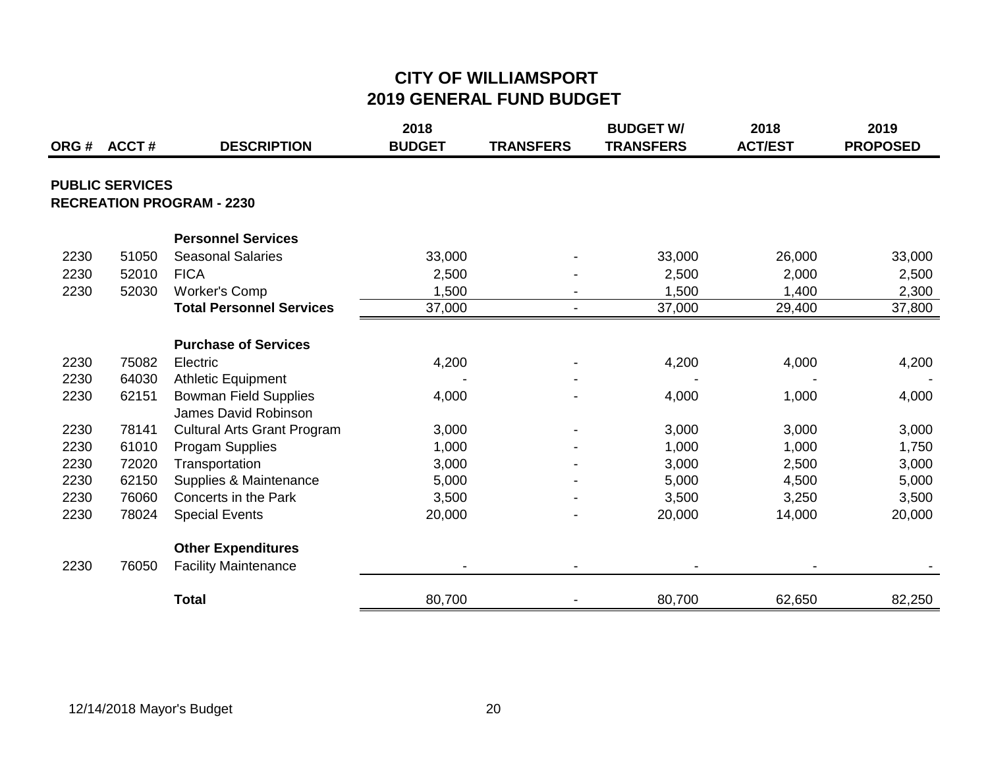|      | ORG # ACCT #           | <b>DESCRIPTION</b>                 | 2018<br><b>BUDGET</b> | <b>TRANSFERS</b> | <b>BUDGET W/</b><br><b>TRANSFERS</b> | 2018<br><b>ACT/EST</b> | 2019<br><b>PROPOSED</b> |
|------|------------------------|------------------------------------|-----------------------|------------------|--------------------------------------|------------------------|-------------------------|
|      | <b>PUBLIC SERVICES</b> |                                    |                       |                  |                                      |                        |                         |
|      |                        | <b>RECREATION PROGRAM - 2230</b>   |                       |                  |                                      |                        |                         |
|      |                        | <b>Personnel Services</b>          |                       |                  |                                      |                        |                         |
| 2230 | 51050                  | <b>Seasonal Salaries</b>           | 33,000                |                  | 33,000                               | 26,000                 | 33,000                  |
| 2230 | 52010                  | <b>FICA</b>                        | 2,500                 |                  | 2,500                                | 2,000                  | 2,500                   |
| 2230 | 52030                  | Worker's Comp                      | 1,500                 |                  | 1,500                                | 1,400                  | 2,300                   |
|      |                        | <b>Total Personnel Services</b>    | 37,000                | $\blacksquare$   | 37,000                               | 29,400                 | 37,800                  |
|      |                        | <b>Purchase of Services</b>        |                       |                  |                                      |                        |                         |
| 2230 | 75082                  | Electric                           | 4,200                 |                  | 4,200                                | 4,000                  | 4,200                   |
| 2230 | 64030                  | <b>Athletic Equipment</b>          |                       |                  |                                      |                        |                         |
| 2230 | 62151                  | <b>Bowman Field Supplies</b>       | 4,000                 |                  | 4,000                                | 1,000                  | 4,000                   |
|      |                        | James David Robinson               |                       |                  |                                      |                        |                         |
| 2230 | 78141                  | <b>Cultural Arts Grant Program</b> | 3,000                 |                  | 3,000                                | 3,000                  | 3,000                   |
| 2230 | 61010                  | Progam Supplies                    | 1,000                 |                  | 1,000                                | 1,000                  | 1,750                   |
| 2230 | 72020                  | Transportation                     | 3,000                 |                  | 3,000                                | 2,500                  | 3,000                   |
| 2230 | 62150                  | Supplies & Maintenance             | 5,000                 |                  | 5,000                                | 4,500                  | 5,000                   |
| 2230 | 76060                  | Concerts in the Park               | 3,500                 |                  | 3,500                                | 3,250                  | 3,500                   |
| 2230 | 78024                  | <b>Special Events</b>              | 20,000                |                  | 20,000                               | 14,000                 | 20,000                  |
|      |                        | <b>Other Expenditures</b>          |                       |                  |                                      |                        |                         |
| 2230 | 76050                  | <b>Facility Maintenance</b>        |                       |                  |                                      |                        |                         |
|      |                        | <b>Total</b>                       | 80,700                |                  | 80,700                               | 62,650                 | 82,250                  |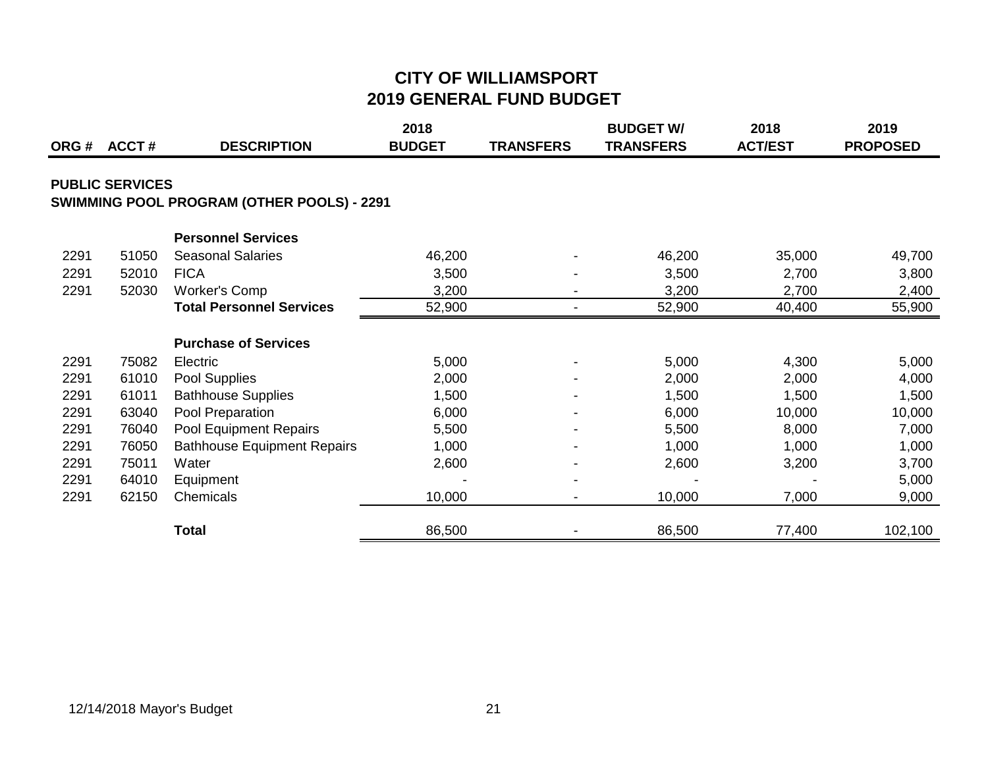| ORG# | <b>ACCT#</b>           | <b>DESCRIPTION</b>                         | 2018<br><b>BUDGET</b> | <b>TRANSFERS</b> | <b>BUDGET W/</b><br><b>TRANSFERS</b> | 2018<br><b>ACT/EST</b> | 2019<br><b>PROPOSED</b> |
|------|------------------------|--------------------------------------------|-----------------------|------------------|--------------------------------------|------------------------|-------------------------|
|      | <b>PUBLIC SERVICES</b> | SWIMMING POOL PROGRAM (OTHER POOLS) - 2291 |                       |                  |                                      |                        |                         |
|      |                        | <b>Personnel Services</b>                  |                       |                  |                                      |                        |                         |
| 2291 | 51050                  | <b>Seasonal Salaries</b>                   | 46,200                |                  | 46,200                               | 35,000                 | 49,700                  |
| 2291 | 52010                  | <b>FICA</b>                                | 3,500                 |                  | 3,500                                | 2,700                  | 3,800                   |
| 2291 | 52030                  | <b>Worker's Comp</b>                       | 3,200                 |                  | 3,200                                | 2,700                  | 2,400                   |
|      |                        | <b>Total Personnel Services</b>            | 52,900                | $\blacksquare$   | 52,900                               | 40,400                 | 55,900                  |
|      |                        | <b>Purchase of Services</b>                |                       |                  |                                      |                        |                         |
| 2291 | 75082                  | Electric                                   | 5,000                 |                  | 5,000                                | 4,300                  | 5,000                   |
| 2291 | 61010                  | Pool Supplies                              | 2,000                 |                  | 2,000                                | 2,000                  | 4,000                   |
| 2291 | 61011                  | <b>Bathhouse Supplies</b>                  | 1,500                 |                  | 1,500                                | 1,500                  | 1,500                   |
| 2291 | 63040                  | Pool Preparation                           | 6,000                 |                  | 6,000                                | 10,000                 | 10,000                  |
| 2291 | 76040                  | Pool Equipment Repairs                     | 5,500                 |                  | 5,500                                | 8,000                  | 7,000                   |
| 2291 | 76050                  | <b>Bathhouse Equipment Repairs</b>         | 1,000                 |                  | 1,000                                | 1,000                  | 1,000                   |
| 2291 | 75011                  | Water                                      | 2,600                 |                  | 2,600                                | 3,200                  | 3,700                   |
| 2291 | 64010                  | Equipment                                  |                       |                  |                                      |                        | 5,000                   |
| 2291 | 62150                  | Chemicals                                  | 10,000                |                  | 10,000                               | 7,000                  | 9,000                   |
|      |                        | <b>Total</b>                               | 86,500                |                  | 86,500                               | 77,400                 | 102,100                 |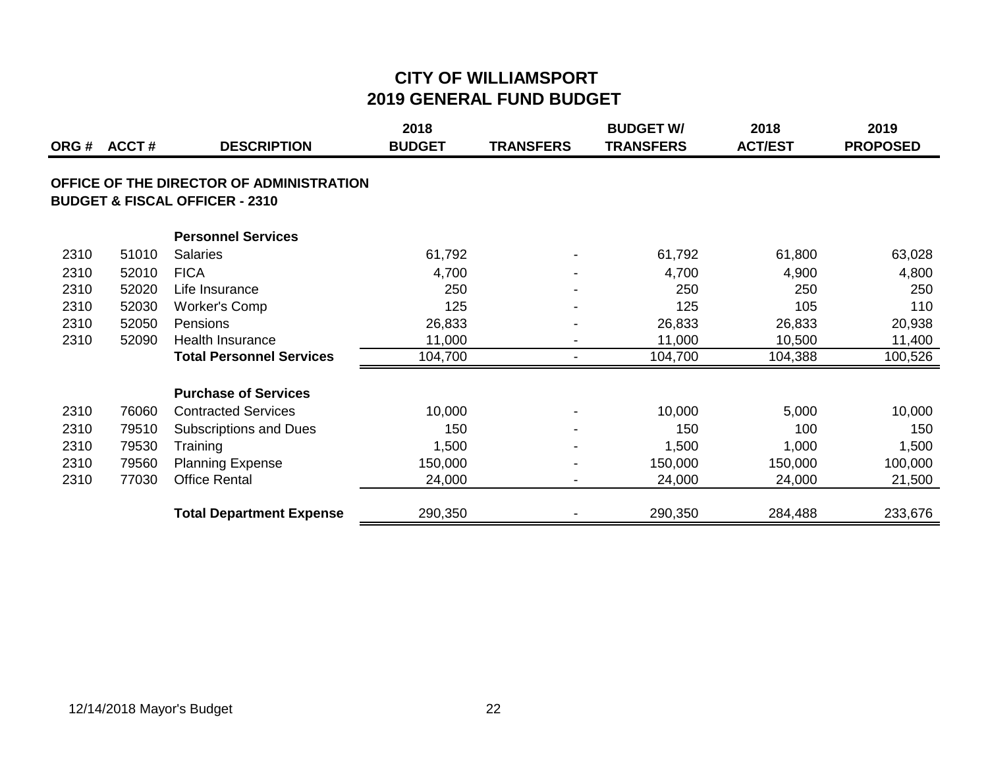| ORG# | <b>ACCT#</b> | <b>DESCRIPTION</b>                                                                    | 2018<br><b>BUDGET</b> | <b>TRANSFERS</b>         | <b>BUDGET W/</b><br><b>TRANSFERS</b> | 2018<br><b>ACT/EST</b> | 2019<br><b>PROPOSED</b> |
|------|--------------|---------------------------------------------------------------------------------------|-----------------------|--------------------------|--------------------------------------|------------------------|-------------------------|
|      |              | OFFICE OF THE DIRECTOR OF ADMINISTRATION<br><b>BUDGET &amp; FISCAL OFFICER - 2310</b> |                       |                          |                                      |                        |                         |
|      |              | <b>Personnel Services</b>                                                             |                       |                          |                                      |                        |                         |
| 2310 | 51010        | <b>Salaries</b>                                                                       | 61,792                |                          | 61,792                               | 61,800                 | 63,028                  |
| 2310 | 52010        | <b>FICA</b>                                                                           | 4,700                 |                          | 4,700                                | 4,900                  | 4,800                   |
| 2310 | 52020        | Life Insurance                                                                        | 250                   |                          | 250                                  | 250                    | 250                     |
| 2310 | 52030        | <b>Worker's Comp</b>                                                                  | 125                   |                          | 125                                  | 105                    | 110                     |
| 2310 | 52050        | Pensions                                                                              | 26,833                |                          | 26,833                               | 26,833                 | 20,938                  |
| 2310 | 52090        | <b>Health Insurance</b>                                                               | 11,000                | $\overline{\phantom{a}}$ | 11,000                               | 10,500                 | 11,400                  |
|      |              | <b>Total Personnel Services</b>                                                       | 104,700               | $\overline{\phantom{a}}$ | 104,700                              | 104,388                | 100,526                 |
|      |              | <b>Purchase of Services</b>                                                           |                       |                          |                                      |                        |                         |
| 2310 | 76060        | <b>Contracted Services</b>                                                            | 10,000                |                          | 10,000                               | 5,000                  | 10,000                  |
| 2310 | 79510        | <b>Subscriptions and Dues</b>                                                         | 150                   |                          | 150                                  | 100                    | 150                     |
| 2310 | 79530        | Training                                                                              | 1,500                 |                          | 1,500                                | 1,000                  | 1,500                   |
| 2310 | 79560        | <b>Planning Expense</b>                                                               | 150,000               |                          | 150,000                              | 150,000                | 100,000                 |
| 2310 | 77030        | <b>Office Rental</b>                                                                  | 24,000                | $\overline{\phantom{0}}$ | 24,000                               | 24,000                 | 21,500                  |
|      |              | <b>Total Department Expense</b>                                                       | 290,350               |                          | 290,350                              | 284,488                | 233,676                 |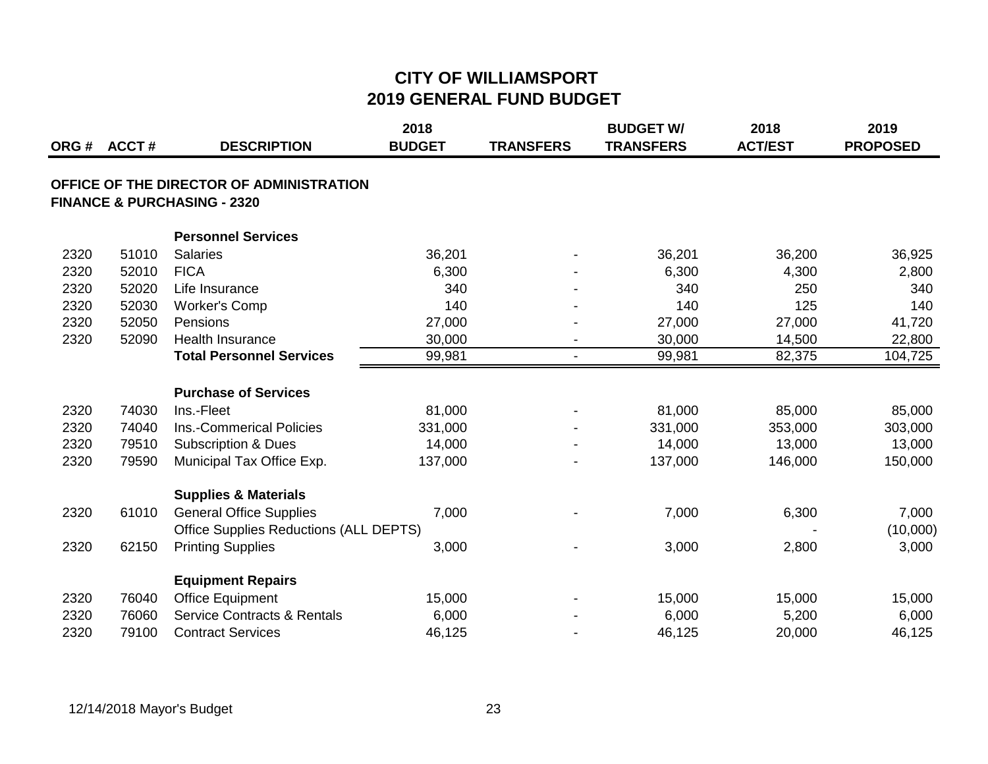|      | ORG # ACCT # | <b>DESCRIPTION</b>                                                                 | 2018<br><b>BUDGET</b> | <b>TRANSFERS</b> | <b>BUDGET W/</b><br><b>TRANSFERS</b> | 2018<br><b>ACT/EST</b> | 2019<br><b>PROPOSED</b> |
|------|--------------|------------------------------------------------------------------------------------|-----------------------|------------------|--------------------------------------|------------------------|-------------------------|
|      |              | OFFICE OF THE DIRECTOR OF ADMINISTRATION<br><b>FINANCE &amp; PURCHASING - 2320</b> |                       |                  |                                      |                        |                         |
|      |              | <b>Personnel Services</b>                                                          |                       |                  |                                      |                        |                         |
| 2320 | 51010        | Salaries                                                                           | 36,201                |                  | 36,201                               | 36,200                 | 36,925                  |
| 2320 | 52010        | <b>FICA</b>                                                                        | 6,300                 |                  | 6,300                                | 4,300                  | 2,800                   |
| 2320 | 52020        | Life Insurance                                                                     | 340                   |                  | 340                                  | 250                    | 340                     |
| 2320 | 52030        | <b>Worker's Comp</b>                                                               | 140                   |                  | 140                                  | 125                    | 140                     |
| 2320 | 52050        | Pensions                                                                           | 27,000                |                  | 27,000                               | 27,000                 | 41,720                  |
| 2320 | 52090        | <b>Health Insurance</b>                                                            | 30,000                |                  | 30,000                               | 14,500                 | 22,800                  |
|      |              | <b>Total Personnel Services</b>                                                    | 99,981                |                  | 99,981                               | 82,375                 | 104,725                 |
|      |              | <b>Purchase of Services</b>                                                        |                       |                  |                                      |                        |                         |
| 2320 | 74030        | Ins.-Fleet                                                                         | 81,000                |                  | 81,000                               | 85,000                 | 85,000                  |
| 2320 | 74040        | Ins.-Commerical Policies                                                           | 331,000               |                  | 331,000                              | 353,000                | 303,000                 |
| 2320 | 79510        | <b>Subscription &amp; Dues</b>                                                     | 14,000                |                  | 14,000                               | 13,000                 | 13,000                  |
| 2320 | 79590        | Municipal Tax Office Exp.                                                          | 137,000               |                  | 137,000                              | 146,000                | 150,000                 |
|      |              | <b>Supplies &amp; Materials</b>                                                    |                       |                  |                                      |                        |                         |
| 2320 | 61010        | <b>General Office Supplies</b>                                                     | 7,000                 |                  | 7,000                                | 6,300                  | 7,000                   |
|      |              | <b>Office Supplies Reductions (ALL DEPTS)</b>                                      |                       |                  |                                      |                        | (10,000)                |
| 2320 | 62150        | <b>Printing Supplies</b>                                                           | 3,000                 |                  | 3,000                                | 2,800                  | 3,000                   |
|      |              | <b>Equipment Repairs</b>                                                           |                       |                  |                                      |                        |                         |
| 2320 | 76040        | <b>Office Equipment</b>                                                            | 15,000                |                  | 15,000                               | 15,000                 | 15,000                  |
| 2320 | 76060        | <b>Service Contracts &amp; Rentals</b>                                             | 6,000                 |                  | 6,000                                | 5,200                  | 6,000                   |
| 2320 | 79100        | <b>Contract Services</b>                                                           | 46,125                |                  | 46,125                               | 20,000                 | 46,125                  |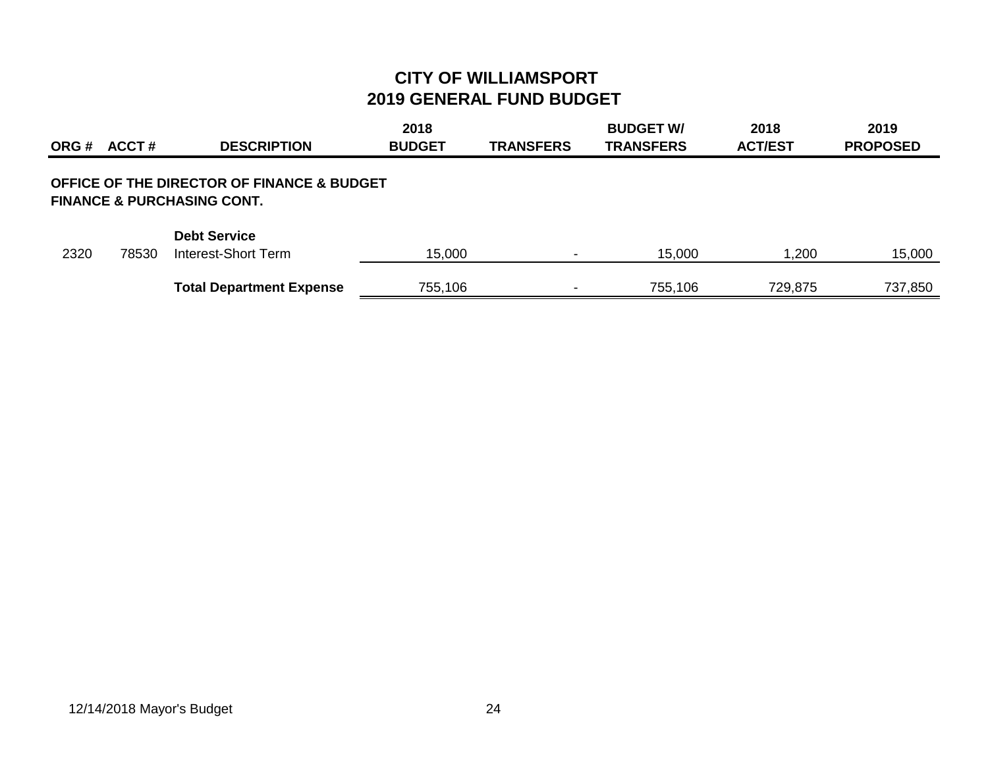| ORG # | ACCT# | <b>DESCRIPTION</b>                                                                             | 2018<br><b>BUDGET</b> | <b>TRANSFERS</b>         | <b>BUDGET W/</b><br><b>TRANSFERS</b> | 2018<br><b>ACT/EST</b> | 2019<br><b>PROPOSED</b> |
|-------|-------|------------------------------------------------------------------------------------------------|-----------------------|--------------------------|--------------------------------------|------------------------|-------------------------|
|       |       | <b>OFFICE OF THE DIRECTOR OF FINANCE &amp; BUDGET</b><br><b>FINANCE &amp; PURCHASING CONT.</b> |                       |                          |                                      |                        |                         |
| 2320  | 78530 | <b>Debt Service</b><br>Interest-Short Term                                                     | 15,000                | $\overline{\phantom{0}}$ | 15,000                               | 1,200                  | 15,000                  |
|       |       | <b>Total Department Expense</b>                                                                | 755,106               | $\,$                     | 755,106                              | 729,875                | 737,850                 |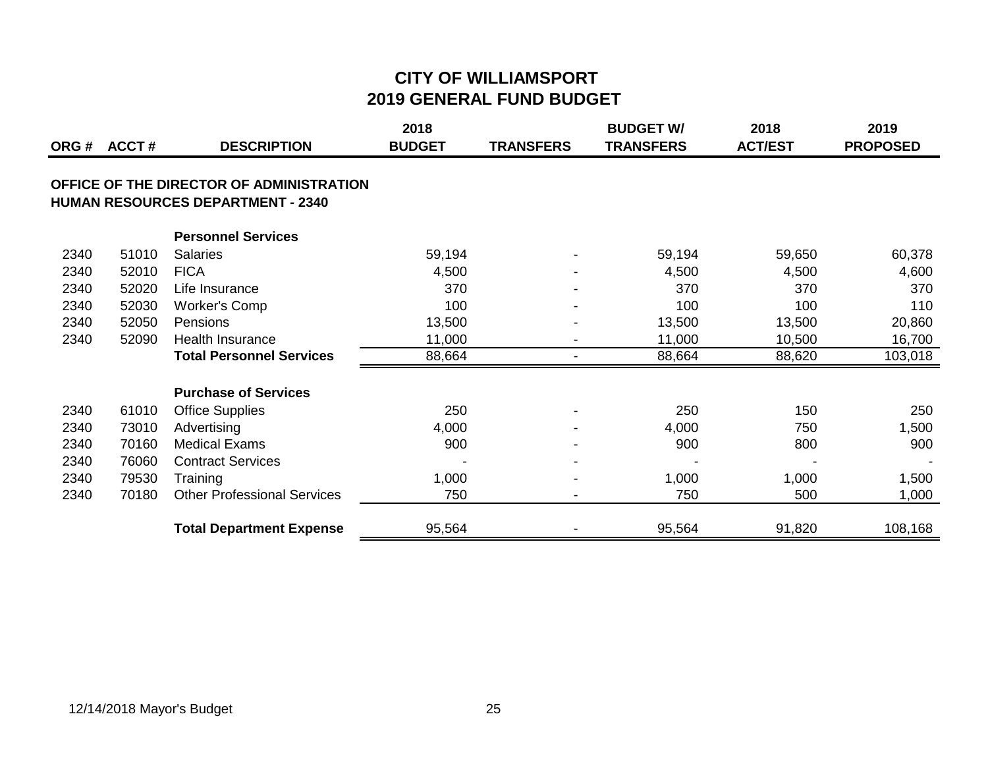| ORG# | <b>ACCT#</b> | <b>DESCRIPTION</b>                                                                   | 2018<br><b>BUDGET</b> | <b>TRANSFERS</b> | <b>BUDGET W/</b><br><b>TRANSFERS</b> | 2018<br><b>ACT/EST</b> | 2019<br><b>PROPOSED</b> |
|------|--------------|--------------------------------------------------------------------------------------|-----------------------|------------------|--------------------------------------|------------------------|-------------------------|
|      |              | OFFICE OF THE DIRECTOR OF ADMINISTRATION<br><b>HUMAN RESOURCES DEPARTMENT - 2340</b> |                       |                  |                                      |                        |                         |
|      |              | <b>Personnel Services</b>                                                            |                       |                  |                                      |                        |                         |
| 2340 | 51010        | <b>Salaries</b>                                                                      | 59,194                |                  | 59,194                               | 59,650                 | 60,378                  |
| 2340 | 52010        | <b>FICA</b>                                                                          | 4,500                 |                  | 4,500                                | 4,500                  | 4,600                   |
| 2340 | 52020        | Life Insurance                                                                       | 370                   |                  | 370                                  | 370                    | 370                     |
| 2340 | 52030        | Worker's Comp                                                                        | 100                   |                  | 100                                  | 100                    | 110                     |
| 2340 | 52050        | <b>Pensions</b>                                                                      | 13,500                |                  | 13,500                               | 13,500                 | 20,860                  |
| 2340 | 52090        | <b>Health Insurance</b>                                                              | 11,000                |                  | 11,000                               | 10,500                 | 16,700                  |
|      |              | <b>Total Personnel Services</b>                                                      | 88,664                |                  | 88,664                               | 88,620                 | 103,018                 |
|      |              | <b>Purchase of Services</b>                                                          |                       |                  |                                      |                        |                         |
| 2340 | 61010        | <b>Office Supplies</b>                                                               | 250                   |                  | 250                                  | 150                    | 250                     |
| 2340 | 73010        | Advertising                                                                          | 4,000                 |                  | 4,000                                | 750                    | 1,500                   |
| 2340 | 70160        | <b>Medical Exams</b>                                                                 | 900                   |                  | 900                                  | 800                    | 900                     |
| 2340 | 76060        | <b>Contract Services</b>                                                             |                       |                  |                                      |                        |                         |
| 2340 | 79530        | Training                                                                             | 1,000                 |                  | 1,000                                | 1,000                  | 1,500                   |
| 2340 | 70180        | <b>Other Professional Services</b>                                                   | 750                   |                  | 750                                  | 500                    | 1,000                   |
|      |              | <b>Total Department Expense</b>                                                      | 95,564                |                  | 95,564                               | 91,820                 | 108,168                 |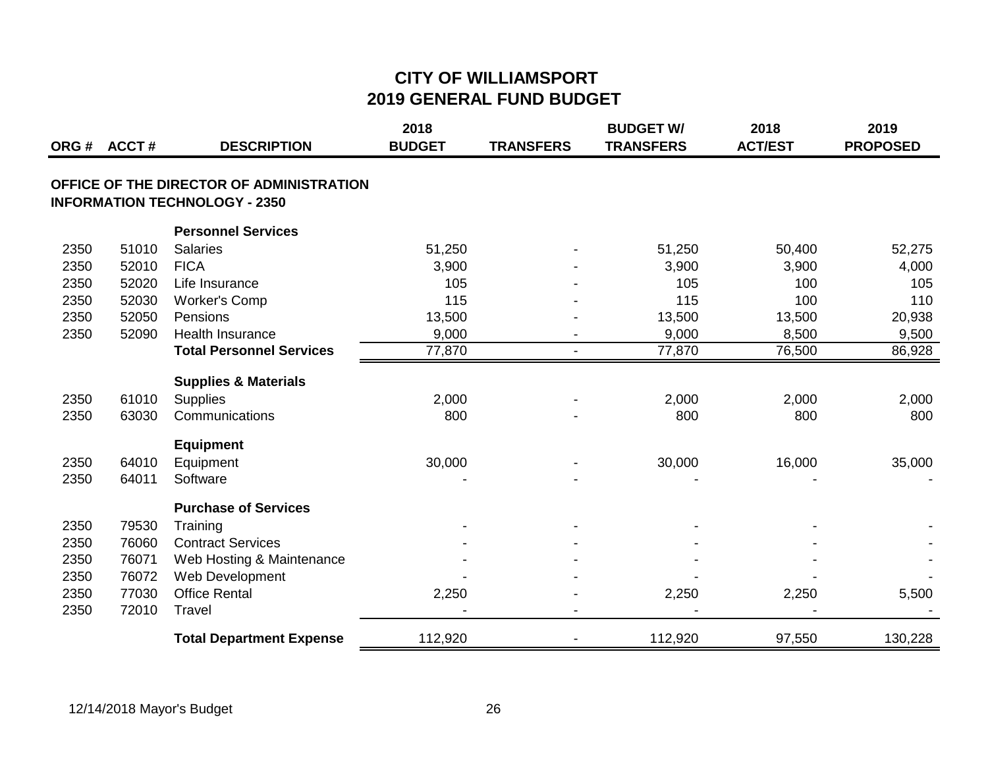|      |       |                                                                                  | 2018          |                  | <b>BUDGET W/</b> | 2018           | 2019            |
|------|-------|----------------------------------------------------------------------------------|---------------|------------------|------------------|----------------|-----------------|
| ORG# | ACCT# | <b>DESCRIPTION</b>                                                               | <b>BUDGET</b> | <b>TRANSFERS</b> | <b>TRANSFERS</b> | <b>ACT/EST</b> | <b>PROPOSED</b> |
|      |       | OFFICE OF THE DIRECTOR OF ADMINISTRATION<br><b>INFORMATION TECHNOLOGY - 2350</b> |               |                  |                  |                |                 |
|      |       | <b>Personnel Services</b>                                                        |               |                  |                  |                |                 |
| 2350 | 51010 | <b>Salaries</b>                                                                  | 51,250        |                  | 51,250           | 50,400         | 52,275          |
| 2350 | 52010 | <b>FICA</b>                                                                      | 3,900         |                  | 3,900            | 3,900          | 4,000           |
| 2350 | 52020 | Life Insurance                                                                   | 105           |                  | 105              | 100            | 105             |
| 2350 | 52030 | <b>Worker's Comp</b>                                                             | 115           |                  | 115              | 100            | 110             |
| 2350 | 52050 | Pensions                                                                         | 13,500        |                  | 13,500           | 13,500         | 20,938          |
| 2350 | 52090 | <b>Health Insurance</b>                                                          | 9,000         |                  | 9,000            | 8,500          | 9,500           |
|      |       | <b>Total Personnel Services</b>                                                  | 77,870        | $\blacksquare$   | 77,870           | 76,500         | 86,928          |
|      |       | <b>Supplies &amp; Materials</b>                                                  |               |                  |                  |                |                 |
| 2350 | 61010 | <b>Supplies</b>                                                                  | 2,000         |                  | 2,000            | 2,000          | 2,000           |
| 2350 | 63030 | Communications                                                                   | 800           |                  | 800              | 800            | 800             |
|      |       | <b>Equipment</b>                                                                 |               |                  |                  |                |                 |
| 2350 | 64010 | Equipment                                                                        | 30,000        |                  | 30,000           | 16,000         | 35,000          |
| 2350 | 64011 | Software                                                                         |               |                  |                  |                |                 |
|      |       | <b>Purchase of Services</b>                                                      |               |                  |                  |                |                 |
| 2350 | 79530 | Training                                                                         |               |                  |                  |                |                 |
| 2350 | 76060 | <b>Contract Services</b>                                                         |               |                  |                  |                |                 |
| 2350 | 76071 | Web Hosting & Maintenance                                                        |               |                  |                  |                |                 |
| 2350 | 76072 | Web Development                                                                  |               |                  |                  |                |                 |
| 2350 | 77030 | <b>Office Rental</b>                                                             | 2,250         |                  | 2,250            | 2,250          | 5,500           |
| 2350 | 72010 | Travel                                                                           |               |                  |                  |                |                 |
|      |       | <b>Total Department Expense</b>                                                  | 112,920       |                  | 112,920          | 97,550         | 130,228         |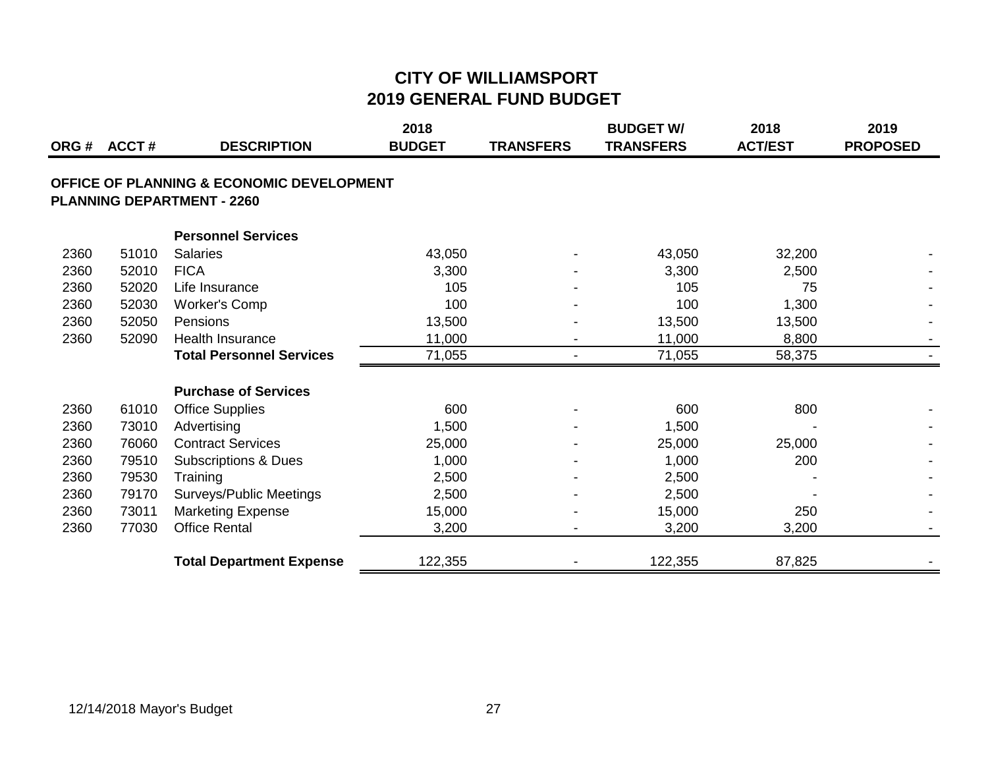| ORG # | <b>ACCT#</b> | <b>DESCRIPTION</b>                                                                        | 2018<br><b>BUDGET</b> | <b>TRANSFERS</b> | <b>BUDGET W/</b><br><b>TRANSFERS</b> | 2018<br><b>ACT/EST</b> | 2019<br><b>PROPOSED</b> |
|-------|--------------|-------------------------------------------------------------------------------------------|-----------------------|------------------|--------------------------------------|------------------------|-------------------------|
|       |              | <b>OFFICE OF PLANNING &amp; ECONOMIC DEVELOPMENT</b><br><b>PLANNING DEPARTMENT - 2260</b> |                       |                  |                                      |                        |                         |
|       |              | <b>Personnel Services</b>                                                                 |                       |                  |                                      |                        |                         |
| 2360  | 51010        | <b>Salaries</b>                                                                           | 43,050                |                  | 43,050                               | 32,200                 |                         |
| 2360  | 52010        | <b>FICA</b>                                                                               | 3,300                 |                  | 3,300                                | 2,500                  |                         |
| 2360  | 52020        | Life Insurance                                                                            | 105                   |                  | 105                                  | 75                     |                         |
| 2360  | 52030        | <b>Worker's Comp</b>                                                                      | 100                   |                  | 100                                  | 1,300                  |                         |
| 2360  | 52050        | Pensions                                                                                  | 13,500                |                  | 13,500                               | 13,500                 |                         |
| 2360  | 52090        | Health Insurance                                                                          | 11,000                |                  | 11,000                               | 8,800                  |                         |
|       |              | <b>Total Personnel Services</b>                                                           | 71,055                |                  | 71,055                               | 58,375                 |                         |
|       |              | <b>Purchase of Services</b>                                                               |                       |                  |                                      |                        |                         |
| 2360  | 61010        | <b>Office Supplies</b>                                                                    | 600                   |                  | 600                                  | 800                    |                         |
| 2360  | 73010        | Advertising                                                                               | 1,500                 |                  | 1,500                                |                        |                         |
| 2360  | 76060        | <b>Contract Services</b>                                                                  | 25,000                |                  | 25,000                               | 25,000                 |                         |
| 2360  | 79510        | <b>Subscriptions &amp; Dues</b>                                                           | 1,000                 |                  | 1,000                                | 200                    |                         |
| 2360  | 79530        | Training                                                                                  | 2,500                 |                  | 2,500                                |                        |                         |
| 2360  | 79170        | Surveys/Public Meetings                                                                   | 2,500                 |                  | 2,500                                |                        |                         |
| 2360  | 73011        | <b>Marketing Expense</b>                                                                  | 15,000                |                  | 15,000                               | 250                    |                         |
| 2360  | 77030        | <b>Office Rental</b>                                                                      | 3,200                 |                  | 3,200                                | 3,200                  |                         |
|       |              | <b>Total Department Expense</b>                                                           | 122,355               |                  | 122,355                              | 87,825                 |                         |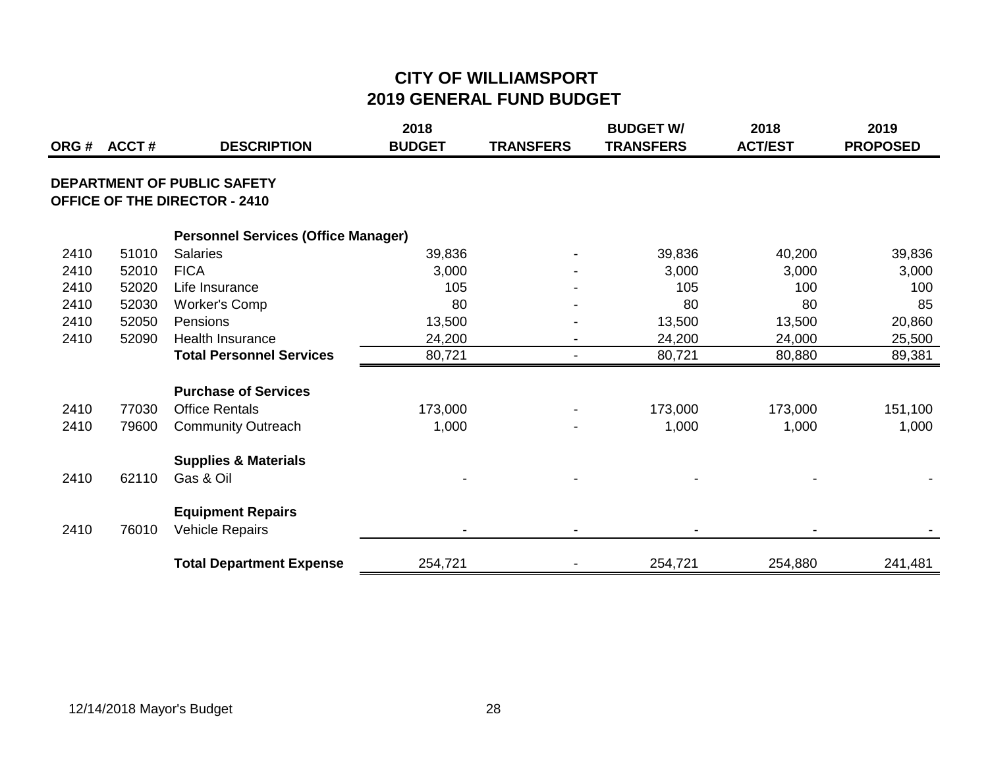|      | ORG# ACCT# | <b>DESCRIPTION</b>                                                         | 2018<br><b>BUDGET</b> | <b>TRANSFERS</b>         | <b>BUDGET W/</b><br><b>TRANSFERS</b> | 2018<br><b>ACT/EST</b> | 2019<br><b>PROPOSED</b> |
|------|------------|----------------------------------------------------------------------------|-----------------------|--------------------------|--------------------------------------|------------------------|-------------------------|
|      |            | <b>DEPARTMENT OF PUBLIC SAFETY</b><br><b>OFFICE OF THE DIRECTOR - 2410</b> |                       |                          |                                      |                        |                         |
|      |            | <b>Personnel Services (Office Manager)</b>                                 |                       |                          |                                      |                        |                         |
| 2410 | 51010      | <b>Salaries</b>                                                            | 39,836                |                          | 39,836                               | 40,200                 | 39,836                  |
| 2410 | 52010      | <b>FICA</b>                                                                | 3,000                 |                          | 3,000                                | 3,000                  | 3,000                   |
| 2410 | 52020      | Life Insurance                                                             | 105                   |                          | 105                                  | 100                    | 100                     |
| 2410 | 52030      | <b>Worker's Comp</b>                                                       | 80                    |                          | 80                                   | 80                     | 85                      |
| 2410 | 52050      | Pensions                                                                   | 13,500                |                          | 13,500                               | 13,500                 | 20,860                  |
| 2410 | 52090      | <b>Health Insurance</b>                                                    | 24,200                | $\overline{\phantom{a}}$ | 24,200                               | 24,000                 | 25,500                  |
|      |            | <b>Total Personnel Services</b>                                            | 80,721                | $\overline{\phantom{a}}$ | 80,721                               | 80,880                 | 89,381                  |
|      |            | <b>Purchase of Services</b>                                                |                       |                          |                                      |                        |                         |
| 2410 | 77030      | <b>Office Rentals</b>                                                      | 173,000               |                          | 173,000                              | 173,000                | 151,100                 |
| 2410 | 79600      | <b>Community Outreach</b>                                                  | 1,000                 |                          | 1,000                                | 1,000                  | 1,000                   |
|      |            | <b>Supplies &amp; Materials</b>                                            |                       |                          |                                      |                        |                         |
| 2410 | 62110      | Gas & Oil                                                                  |                       |                          |                                      |                        |                         |
|      |            | <b>Equipment Repairs</b>                                                   |                       |                          |                                      |                        |                         |
| 2410 | 76010      | <b>Vehicle Repairs</b>                                                     |                       |                          |                                      |                        |                         |
|      |            | <b>Total Department Expense</b>                                            | 254,721               | $\blacksquare$           | 254,721                              | 254,880                | 241,481                 |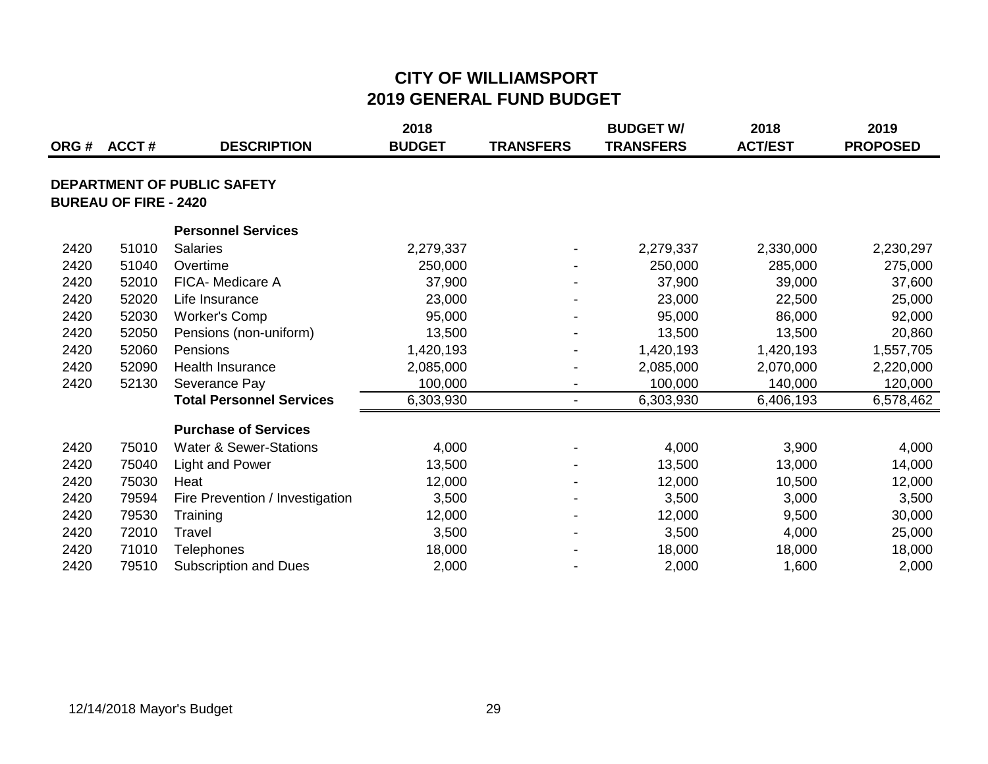|      |                              |                                   | 2018          |                          | <b>BUDGET W/</b> | 2018           | 2019            |
|------|------------------------------|-----------------------------------|---------------|--------------------------|------------------|----------------|-----------------|
| ORG# | <b>ACCT#</b>                 | <b>DESCRIPTION</b>                | <b>BUDGET</b> | <b>TRANSFERS</b>         | <b>TRANSFERS</b> | <b>ACT/EST</b> | <b>PROPOSED</b> |
|      |                              | DEPARTMENT OF PUBLIC SAFETY       |               |                          |                  |                |                 |
|      | <b>BUREAU OF FIRE - 2420</b> |                                   |               |                          |                  |                |                 |
|      |                              | <b>Personnel Services</b>         |               |                          |                  |                |                 |
| 2420 | 51010                        | <b>Salaries</b>                   | 2,279,337     |                          | 2,279,337        | 2,330,000      | 2,230,297       |
| 2420 | 51040                        | Overtime                          | 250,000       |                          | 250,000          | 285,000        | 275,000         |
| 2420 | 52010                        | FICA- Medicare A                  | 37,900        |                          | 37,900           | 39,000         | 37,600          |
| 2420 | 52020                        | Life Insurance                    | 23,000        |                          | 23,000           | 22,500         | 25,000          |
| 2420 | 52030                        | <b>Worker's Comp</b>              | 95,000        |                          | 95,000           | 86,000         | 92,000          |
| 2420 | 52050                        | Pensions (non-uniform)            | 13,500        |                          | 13,500           | 13,500         | 20,860          |
| 2420 | 52060                        | Pensions                          | 1,420,193     |                          | 1,420,193        | 1,420,193      | 1,557,705       |
| 2420 | 52090                        | <b>Health Insurance</b>           | 2,085,000     |                          | 2,085,000        | 2,070,000      | 2,220,000       |
| 2420 | 52130                        | Severance Pay                     | 100,000       | $\overline{\phantom{0}}$ | 100,000          | 140,000        | 120,000         |
|      |                              | <b>Total Personnel Services</b>   | 6,303,930     | $\blacksquare$           | 6,303,930        | 6,406,193      | 6,578,462       |
|      |                              | <b>Purchase of Services</b>       |               |                          |                  |                |                 |
| 2420 | 75010                        | <b>Water &amp; Sewer-Stations</b> | 4,000         |                          | 4,000            | 3,900          | 4,000           |
| 2420 | 75040                        | Light and Power                   | 13,500        |                          | 13,500           | 13,000         | 14,000          |
| 2420 | 75030                        | Heat                              | 12,000        |                          | 12,000           | 10,500         | 12,000          |
| 2420 | 79594                        | Fire Prevention / Investigation   | 3,500         |                          | 3,500            | 3,000          | 3,500           |
| 2420 | 79530                        | Training                          | 12,000        |                          | 12,000           | 9,500          | 30,000          |
| 2420 | 72010                        | Travel                            | 3,500         |                          | 3,500            | 4,000          | 25,000          |
| 2420 | 71010                        | <b>Telephones</b>                 | 18,000        |                          | 18,000           | 18,000         | 18,000          |
| 2420 | 79510                        | <b>Subscription and Dues</b>      | 2,000         |                          | 2,000            | 1,600          | 2,000           |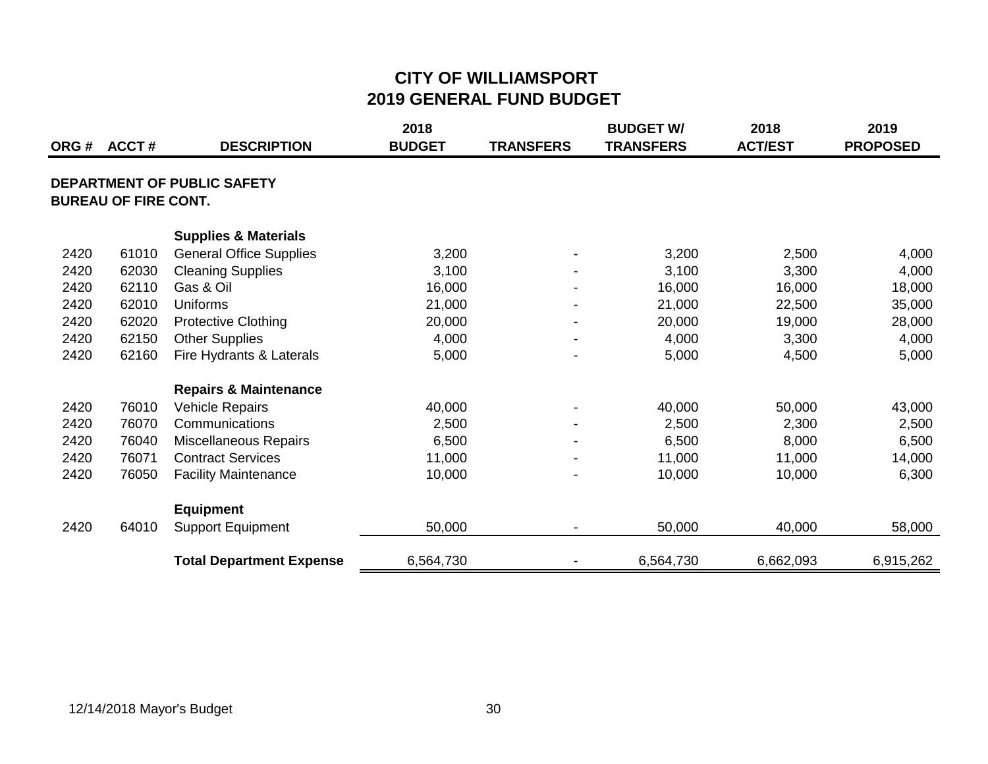| ORG# | ACCT#                       | <b>DESCRIPTION</b>                 | 2018<br><b>BUDGET</b> | <b>TRANSFERS</b> | <b>BUDGET W/</b><br><b>TRANSFERS</b> | 2018<br><b>ACT/EST</b> | 2019<br><b>PROPOSED</b> |
|------|-----------------------------|------------------------------------|-----------------------|------------------|--------------------------------------|------------------------|-------------------------|
|      | <b>BUREAU OF FIRE CONT.</b> | <b>DEPARTMENT OF PUBLIC SAFETY</b> |                       |                  |                                      |                        |                         |
|      |                             | <b>Supplies &amp; Materials</b>    |                       |                  |                                      |                        |                         |
| 2420 | 61010                       | <b>General Office Supplies</b>     | 3,200                 |                  | 3,200                                | 2,500                  |                         |
| 2420 | 62030                       | <b>Cleaning Supplies</b>           | 3,100                 |                  | 3,100                                | 3,300                  | 4,000<br>4,000          |
| 2420 | 62110                       | Gas & Oil                          | 16,000                |                  | 16,000                               | 16,000                 | 18,000                  |
| 2420 | 62010                       | <b>Uniforms</b>                    | 21,000                | $\blacksquare$   | 21,000                               | 22,500                 | 35,000                  |
| 2420 | 62020                       | <b>Protective Clothing</b>         | 20,000                | $\blacksquare$   | 20,000                               | 19,000                 | 28,000                  |
| 2420 | 62150                       | <b>Other Supplies</b>              | 4,000                 | $\blacksquare$   | 4,000                                | 3,300                  | 4,000                   |
| 2420 | 62160                       | Fire Hydrants & Laterals           | 5,000                 |                  | 5,000                                | 4,500                  | 5,000                   |
|      |                             | <b>Repairs &amp; Maintenance</b>   |                       |                  |                                      |                        |                         |
| 2420 | 76010                       | <b>Vehicle Repairs</b>             | 40,000                | $\blacksquare$   | 40,000                               | 50,000                 | 43,000                  |
| 2420 | 76070                       | Communications                     | 2,500                 | $\blacksquare$   | 2,500                                | 2,300                  | 2,500                   |
| 2420 | 76040                       | Miscellaneous Repairs              | 6,500                 |                  | 6,500                                | 8,000                  | 6,500                   |
| 2420 | 76071                       | <b>Contract Services</b>           | 11,000                |                  | 11,000                               | 11,000                 | 14,000                  |
| 2420 | 76050                       | <b>Facility Maintenance</b>        | 10,000                |                  | 10,000                               | 10,000                 | 6,300                   |
|      |                             | <b>Equipment</b>                   |                       |                  |                                      |                        |                         |
| 2420 | 64010                       | <b>Support Equipment</b>           | 50,000                | $\blacksquare$   | 50,000                               | 40,000                 | 58,000                  |
|      |                             | <b>Total Department Expense</b>    | 6,564,730             | $\blacksquare$   | 6,564,730                            | 6,662,093              | 6,915,262               |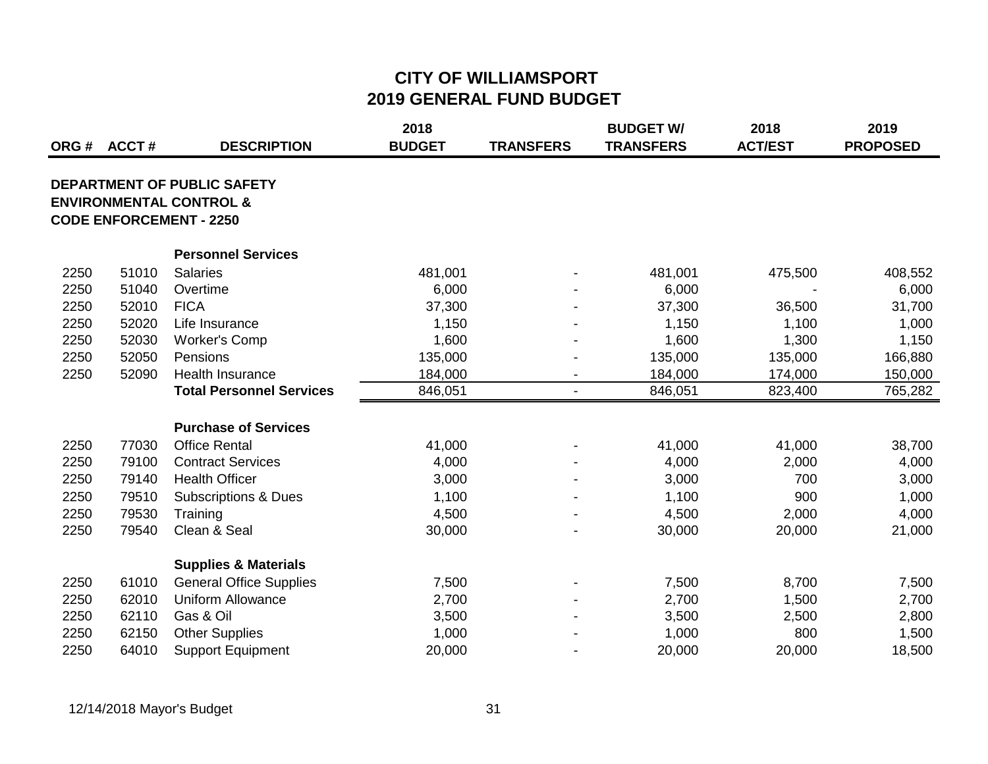| ORG# | <b>ACCT#</b> | <b>DESCRIPTION</b>                                                                                  | 2018<br><b>BUDGET</b> | <b>TRANSFERS</b>         | <b>BUDGET W/</b><br><b>TRANSFERS</b> | 2018<br><b>ACT/EST</b> | 2019<br><b>PROPOSED</b> |
|------|--------------|-----------------------------------------------------------------------------------------------------|-----------------------|--------------------------|--------------------------------------|------------------------|-------------------------|
|      |              | DEPARTMENT OF PUBLIC SAFETY<br><b>ENVIRONMENTAL CONTROL &amp;</b><br><b>CODE ENFORCEMENT - 2250</b> |                       |                          |                                      |                        |                         |
|      |              | <b>Personnel Services</b>                                                                           |                       |                          |                                      |                        |                         |
| 2250 | 51010        | <b>Salaries</b>                                                                                     | 481,001               |                          | 481,001                              | 475,500                | 408,552                 |
| 2250 | 51040        | Overtime                                                                                            | 6,000                 |                          | 6,000                                |                        | 6,000                   |
| 2250 | 52010        | <b>FICA</b>                                                                                         | 37,300                |                          | 37,300                               | 36,500                 | 31,700                  |
| 2250 | 52020        | Life Insurance                                                                                      | 1,150                 |                          | 1,150                                | 1,100                  | 1,000                   |
| 2250 | 52030        | <b>Worker's Comp</b>                                                                                | 1,600                 |                          | 1,600                                | 1,300                  | 1,150                   |
| 2250 | 52050        | Pensions                                                                                            | 135,000               |                          | 135,000                              | 135,000                | 166,880                 |
| 2250 | 52090        | Health Insurance                                                                                    | 184,000               | $\overline{\phantom{a}}$ | 184,000                              | 174,000                | 150,000                 |
|      |              | <b>Total Personnel Services</b>                                                                     | 846,051               | $\overline{\phantom{a}}$ | 846,051                              | 823,400                | 765,282                 |
|      |              | <b>Purchase of Services</b>                                                                         |                       |                          |                                      |                        |                         |
| 2250 | 77030        | <b>Office Rental</b>                                                                                | 41,000                |                          | 41,000                               | 41,000                 | 38,700                  |
| 2250 | 79100        | <b>Contract Services</b>                                                                            | 4,000                 |                          | 4,000                                | 2,000                  | 4,000                   |
| 2250 | 79140        | <b>Health Officer</b>                                                                               | 3,000                 |                          | 3,000                                | 700                    | 3,000                   |
| 2250 | 79510        | <b>Subscriptions &amp; Dues</b>                                                                     | 1,100                 |                          | 1,100                                | 900                    | 1,000                   |
| 2250 | 79530        | Training                                                                                            | 4,500                 |                          | 4,500                                | 2,000                  | 4,000                   |
| 2250 | 79540        | Clean & Seal                                                                                        | 30,000                |                          | 30,000                               | 20,000                 | 21,000                  |
|      |              | <b>Supplies &amp; Materials</b>                                                                     |                       |                          |                                      |                        |                         |
| 2250 | 61010        | <b>General Office Supplies</b>                                                                      | 7,500                 |                          | 7,500                                | 8,700                  | 7,500                   |
| 2250 | 62010        | <b>Uniform Allowance</b>                                                                            | 2,700                 |                          | 2,700                                | 1,500                  | 2,700                   |
| 2250 | 62110        | Gas & Oil                                                                                           | 3,500                 |                          | 3,500                                | 2,500                  | 2,800                   |
| 2250 | 62150        | <b>Other Supplies</b>                                                                               | 1,000                 |                          | 1,000                                | 800                    | 1,500                   |
| 2250 | 64010        | <b>Support Equipment</b>                                                                            | 20,000                |                          | 20,000                               | 20,000                 | 18,500                  |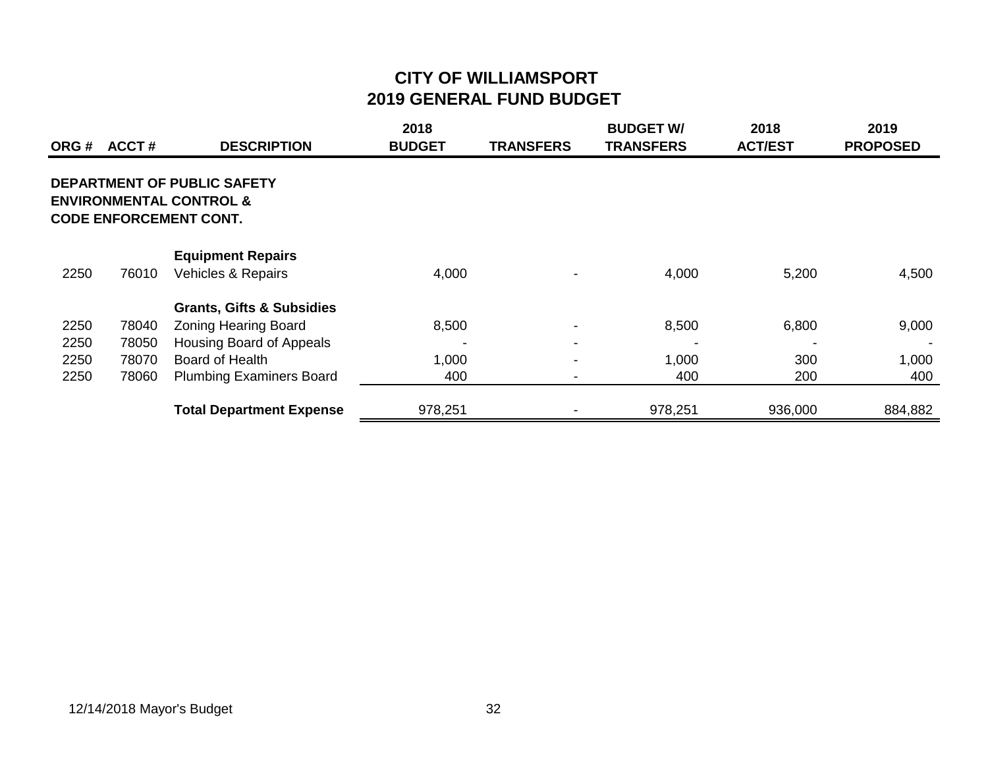|      | ORG # ACCT # | <b>DESCRIPTION</b>                                                                                 | 2018<br><b>BUDGET</b> | <b>TRANSFERS</b> | <b>BUDGET W/</b><br><b>TRANSFERS</b> | 2018<br><b>ACT/EST</b> | 2019<br><b>PROPOSED</b> |
|------|--------------|----------------------------------------------------------------------------------------------------|-----------------------|------------------|--------------------------------------|------------------------|-------------------------|
|      |              | DEPARTMENT OF PUBLIC SAFETY<br><b>ENVIRONMENTAL CONTROL &amp;</b><br><b>CODE ENFORCEMENT CONT.</b> |                       |                  |                                      |                        |                         |
|      |              | <b>Equipment Repairs</b>                                                                           |                       |                  |                                      |                        |                         |
| 2250 | 76010        | Vehicles & Repairs                                                                                 | 4,000                 |                  | 4,000                                | 5,200                  | 4,500                   |
|      |              | <b>Grants, Gifts &amp; Subsidies</b>                                                               |                       |                  |                                      |                        |                         |
| 2250 | 78040        | <b>Zoning Hearing Board</b>                                                                        | 8,500                 |                  | 8,500                                | 6,800                  | 9,000                   |
| 2250 | 78050        | Housing Board of Appeals                                                                           |                       |                  |                                      |                        |                         |
| 2250 | 78070        | <b>Board of Health</b>                                                                             | 1,000                 |                  | 1,000                                | 300                    | 1,000                   |
| 2250 | 78060        | <b>Plumbing Examiners Board</b>                                                                    | 400                   |                  | 400                                  | 200                    | 400                     |
|      |              | <b>Total Department Expense</b>                                                                    | 978,251               |                  | 978,251                              | 936,000                | 884,882                 |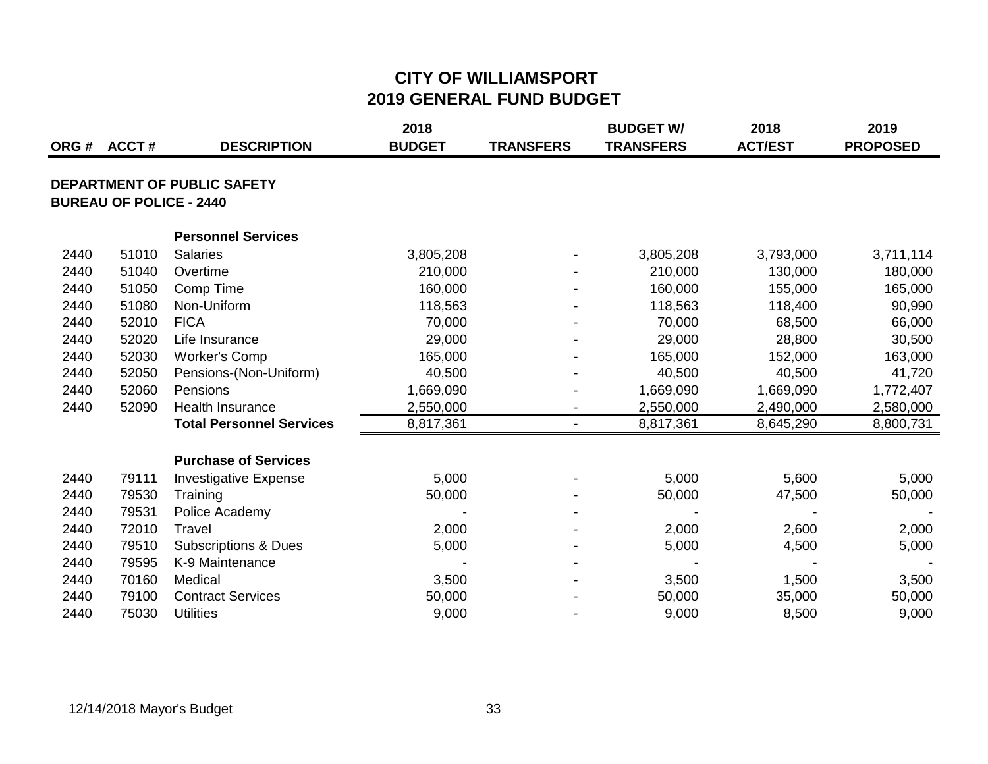|      | ORG # ACCT #                   | <b>DESCRIPTION</b>              | 2018<br><b>BUDGET</b> | <b>TRANSFERS</b> | <b>BUDGET W/</b><br><b>TRANSFERS</b> | 2018<br><b>ACT/EST</b> | 2019<br><b>PROPOSED</b> |
|------|--------------------------------|---------------------------------|-----------------------|------------------|--------------------------------------|------------------------|-------------------------|
|      | <b>BUREAU OF POLICE - 2440</b> | DEPARTMENT OF PUBLIC SAFETY     |                       |                  |                                      |                        |                         |
|      |                                | <b>Personnel Services</b>       |                       |                  |                                      |                        |                         |
| 2440 | 51010                          | <b>Salaries</b>                 | 3,805,208             |                  | 3,805,208                            | 3,793,000              | 3,711,114               |
| 2440 | 51040                          | Overtime                        | 210,000               |                  | 210,000                              | 130,000                | 180,000                 |
| 2440 | 51050                          | Comp Time                       | 160,000               |                  | 160,000                              | 155,000                | 165,000                 |
| 2440 | 51080                          | Non-Uniform                     | 118,563               |                  | 118,563                              | 118,400                | 90,990                  |
| 2440 | 52010                          | <b>FICA</b>                     | 70,000                |                  | 70,000                               | 68,500                 | 66,000                  |
| 2440 | 52020                          | Life Insurance                  | 29,000                |                  | 29,000                               | 28,800                 | 30,500                  |
| 2440 | 52030                          | <b>Worker's Comp</b>            | 165,000               |                  | 165,000                              | 152,000                | 163,000                 |
| 2440 | 52050                          | Pensions-(Non-Uniform)          | 40,500                |                  | 40,500                               | 40,500                 | 41,720                  |
| 2440 | 52060                          | Pensions                        | 1,669,090             |                  | 1,669,090                            | 1,669,090              | 1,772,407               |
| 2440 | 52090                          | <b>Health Insurance</b>         | 2,550,000             |                  | 2,550,000                            | 2,490,000              | 2,580,000               |
|      |                                | <b>Total Personnel Services</b> | 8,817,361             | $\blacksquare$   | 8,817,361                            | 8,645,290              | 8,800,731               |
|      |                                | <b>Purchase of Services</b>     |                       |                  |                                      |                        |                         |
| 2440 | 79111                          | <b>Investigative Expense</b>    | 5,000                 |                  | 5,000                                | 5,600                  | 5,000                   |
| 2440 | 79530                          | Training                        | 50,000                |                  | 50,000                               | 47,500                 | 50,000                  |
| 2440 | 79531                          | Police Academy                  |                       |                  |                                      |                        |                         |
| 2440 | 72010                          | Travel                          | 2,000                 |                  | 2,000                                | 2,600                  | 2,000                   |
| 2440 | 79510                          | <b>Subscriptions &amp; Dues</b> | 5,000                 |                  | 5,000                                | 4,500                  | 5,000                   |
| 2440 | 79595                          | K-9 Maintenance                 |                       |                  |                                      |                        |                         |
| 2440 | 70160                          | Medical                         | 3,500                 |                  | 3,500                                | 1,500                  | 3,500                   |
| 2440 | 79100                          | <b>Contract Services</b>        | 50,000                |                  | 50,000                               | 35,000                 | 50,000                  |
| 2440 | 75030                          | <b>Utilities</b>                | 9,000                 |                  | 9,000                                | 8,500                  | 9,000                   |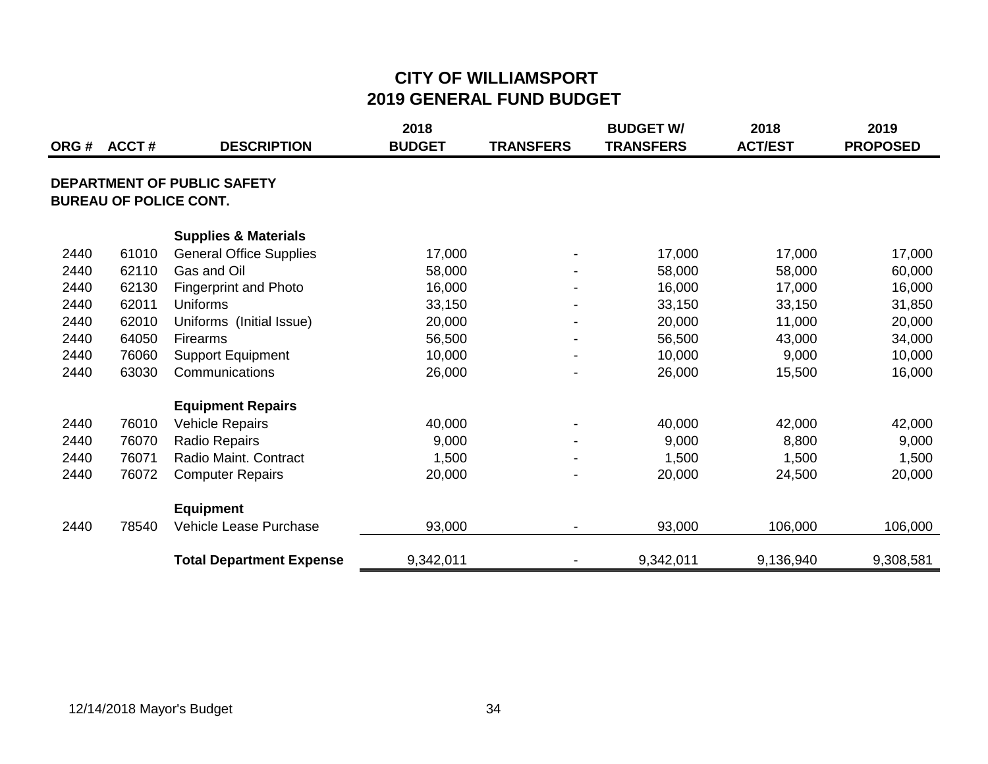| ORG# | ACCT# | <b>DESCRIPTION</b>                                                  | 2018<br><b>BUDGET</b> | <b>TRANSFERS</b>         | <b>BUDGET W/</b><br><b>TRANSFERS</b> | 2018<br><b>ACT/EST</b> | 2019<br><b>PROPOSED</b> |
|------|-------|---------------------------------------------------------------------|-----------------------|--------------------------|--------------------------------------|------------------------|-------------------------|
|      |       | <b>DEPARTMENT OF PUBLIC SAFETY</b><br><b>BUREAU OF POLICE CONT.</b> |                       |                          |                                      |                        |                         |
|      |       | <b>Supplies &amp; Materials</b>                                     |                       |                          |                                      |                        |                         |
| 2440 | 61010 | <b>General Office Supplies</b>                                      | 17,000                |                          | 17,000                               | 17,000                 | 17,000                  |
| 2440 | 62110 | Gas and Oil                                                         | 58,000                |                          | 58,000                               | 58,000                 | 60,000                  |
| 2440 | 62130 | <b>Fingerprint and Photo</b>                                        | 16,000                |                          | 16,000                               | 17,000                 | 16,000                  |
| 2440 | 62011 | Uniforms                                                            | 33,150                |                          | 33,150                               | 33,150                 | 31,850                  |
| 2440 | 62010 | Uniforms (Initial Issue)                                            | 20,000                | $\overline{\phantom{a}}$ | 20,000                               | 11,000                 | 20,000                  |
| 2440 | 64050 | Firearms                                                            | 56,500                | $\overline{\phantom{a}}$ | 56,500                               | 43,000                 | 34,000                  |
| 2440 | 76060 | <b>Support Equipment</b>                                            | 10,000                |                          | 10,000                               | 9,000                  | 10,000                  |
| 2440 | 63030 | Communications                                                      | 26,000                |                          | 26,000                               | 15,500                 | 16,000                  |
|      |       | <b>Equipment Repairs</b>                                            |                       |                          |                                      |                        |                         |
| 2440 | 76010 | <b>Vehicle Repairs</b>                                              | 40,000                | $\blacksquare$           | 40,000                               | 42,000                 | 42,000                  |
| 2440 | 76070 | <b>Radio Repairs</b>                                                | 9,000                 |                          | 9,000                                | 8,800                  | 9,000                   |
| 2440 | 76071 | Radio Maint. Contract                                               | 1,500                 |                          | 1,500                                | 1,500                  | 1,500                   |
| 2440 | 76072 | <b>Computer Repairs</b>                                             | 20,000                |                          | 20,000                               | 24,500                 | 20,000                  |
|      |       | <b>Equipment</b>                                                    |                       |                          |                                      |                        |                         |
| 2440 | 78540 | Vehicle Lease Purchase                                              | 93,000                | $\blacksquare$           | 93,000                               | 106,000                | 106,000                 |
|      |       | <b>Total Department Expense</b>                                     | 9,342,011             |                          | 9,342,011                            | 9,136,940              | 9,308,581               |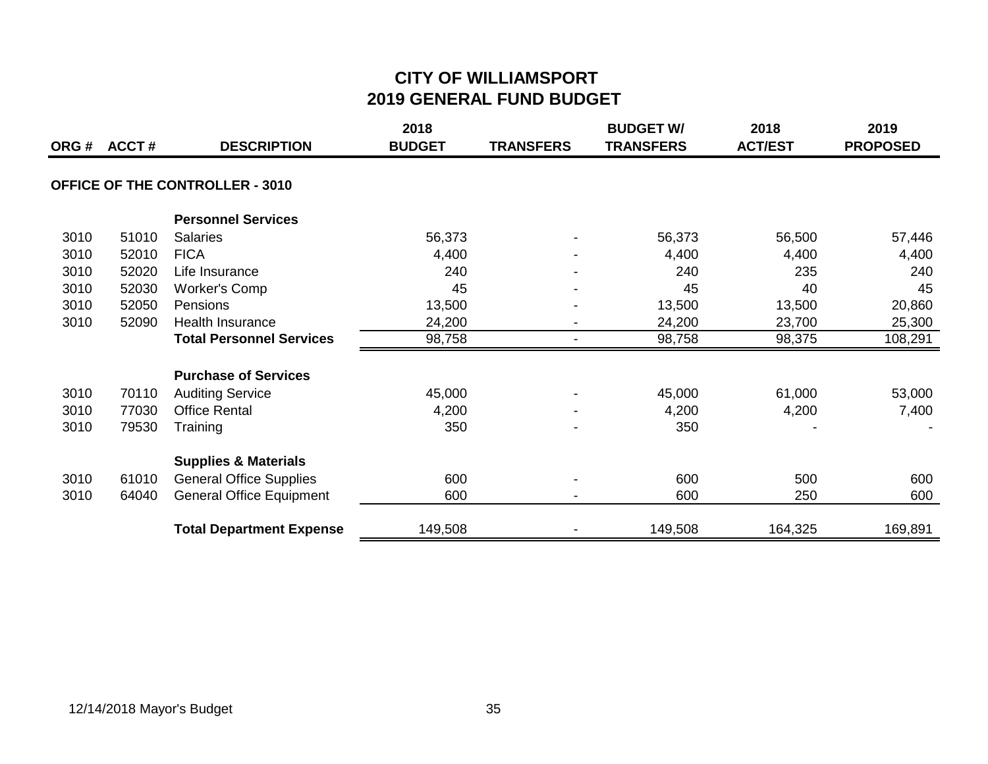| ORG# | <b>ACCT#</b> | <b>DESCRIPTION</b>                     | 2018<br><b>BUDGET</b> | <b>TRANSFERS</b> | <b>BUDGET W/</b><br><b>TRANSFERS</b> | 2018<br><b>ACT/EST</b> | 2019<br><b>PROPOSED</b> |
|------|--------------|----------------------------------------|-----------------------|------------------|--------------------------------------|------------------------|-------------------------|
|      |              | <b>OFFICE OF THE CONTROLLER - 3010</b> |                       |                  |                                      |                        |                         |
|      |              |                                        |                       |                  |                                      |                        |                         |
|      |              | <b>Personnel Services</b>              |                       |                  |                                      |                        |                         |
| 3010 | 51010        | <b>Salaries</b>                        | 56,373                |                  | 56,373                               | 56,500                 | 57,446                  |
| 3010 | 52010        | <b>FICA</b>                            | 4,400                 |                  | 4,400                                | 4,400                  | 4,400                   |
| 3010 | 52020        | Life Insurance                         | 240                   |                  | 240                                  | 235                    | 240                     |
| 3010 | 52030        | <b>Worker's Comp</b>                   | 45                    |                  | 45                                   | 40                     | 45                      |
| 3010 | 52050        | Pensions                               | 13,500                |                  | 13,500                               | 13,500                 | 20,860                  |
| 3010 | 52090        | <b>Health Insurance</b>                | 24,200                |                  | 24,200                               | 23,700                 | 25,300                  |
|      |              | <b>Total Personnel Services</b>        | 98,758                | $\blacksquare$   | 98,758                               | 98,375                 | 108,291                 |
|      |              | <b>Purchase of Services</b>            |                       |                  |                                      |                        |                         |
| 3010 | 70110        | <b>Auditing Service</b>                | 45,000                |                  | 45,000                               | 61,000                 | 53,000                  |
| 3010 | 77030        | <b>Office Rental</b>                   | 4,200                 |                  | 4,200                                | 4,200                  | 7,400                   |
| 3010 | 79530        | Training                               | 350                   |                  | 350                                  |                        |                         |
|      |              | <b>Supplies &amp; Materials</b>        |                       |                  |                                      |                        |                         |
| 3010 | 61010        | <b>General Office Supplies</b>         | 600                   |                  | 600                                  | 500                    | 600                     |
| 3010 | 64040        | <b>General Office Equipment</b>        | 600                   |                  | 600                                  | 250                    | 600                     |
|      |              | <b>Total Department Expense</b>        | 149,508               |                  | 149,508                              | 164,325                | 169,891                 |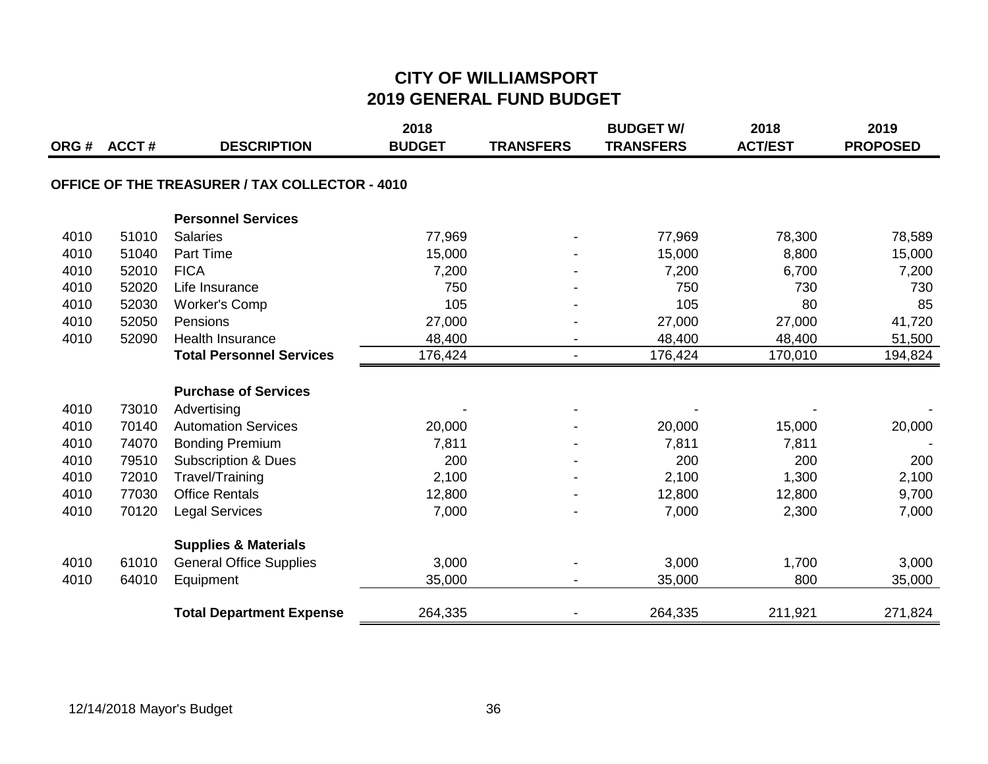|      | ORG # ACCT # | <b>DESCRIPTION</b>                                    | 2018<br><b>BUDGET</b> | <b>TRANSFERS</b> | <b>BUDGET W/</b><br><b>TRANSFERS</b> | 2018<br><b>ACT/EST</b> | 2019<br><b>PROPOSED</b> |
|------|--------------|-------------------------------------------------------|-----------------------|------------------|--------------------------------------|------------------------|-------------------------|
|      |              | <b>OFFICE OF THE TREASURER / TAX COLLECTOR - 4010</b> |                       |                  |                                      |                        |                         |
|      |              | <b>Personnel Services</b>                             |                       |                  |                                      |                        |                         |
| 4010 | 51010        | <b>Salaries</b>                                       | 77,969                |                  | 77,969                               | 78,300                 | 78,589                  |
| 4010 | 51040        | Part Time                                             | 15,000                |                  | 15,000                               | 8,800                  | 15,000                  |
| 4010 | 52010        | <b>FICA</b>                                           | 7,200                 |                  | 7,200                                | 6,700                  | 7,200                   |
| 4010 | 52020        | Life Insurance                                        | 750                   |                  | 750                                  | 730                    | 730                     |
| 4010 | 52030        | <b>Worker's Comp</b>                                  | 105                   |                  | 105                                  | 80                     | 85                      |
| 4010 | 52050        | Pensions                                              | 27,000                |                  | 27,000                               | 27,000                 | 41,720                  |
| 4010 | 52090        | <b>Health Insurance</b>                               | 48,400                |                  | 48,400                               | 48,400                 | 51,500                  |
|      |              | <b>Total Personnel Services</b>                       | 176,424               | $\blacksquare$   | 176,424                              | 170,010                | 194,824                 |
|      |              | <b>Purchase of Services</b>                           |                       |                  |                                      |                        |                         |
| 4010 | 73010        | Advertising                                           |                       |                  |                                      |                        |                         |
| 4010 | 70140        | <b>Automation Services</b>                            | 20,000                |                  | 20,000                               | 15,000                 | 20,000                  |
| 4010 | 74070        | <b>Bonding Premium</b>                                | 7,811                 |                  | 7,811                                | 7,811                  |                         |
| 4010 | 79510        | <b>Subscription &amp; Dues</b>                        | 200                   |                  | 200                                  | 200                    | 200                     |
| 4010 | 72010        | Travel/Training                                       | 2,100                 |                  | 2,100                                | 1,300                  | 2,100                   |
| 4010 | 77030        | <b>Office Rentals</b>                                 | 12,800                |                  | 12,800                               | 12,800                 | 9,700                   |
| 4010 | 70120        | <b>Legal Services</b>                                 | 7,000                 |                  | 7,000                                | 2,300                  | 7,000                   |
|      |              | <b>Supplies &amp; Materials</b>                       |                       |                  |                                      |                        |                         |
| 4010 | 61010        | <b>General Office Supplies</b>                        | 3,000                 |                  | 3,000                                | 1,700                  | 3,000                   |
| 4010 | 64010        | Equipment                                             | 35,000                |                  | 35,000                               | 800                    | 35,000                  |
|      |              | <b>Total Department Expense</b>                       | 264,335               |                  | 264,335                              | 211,921                | 271,824                 |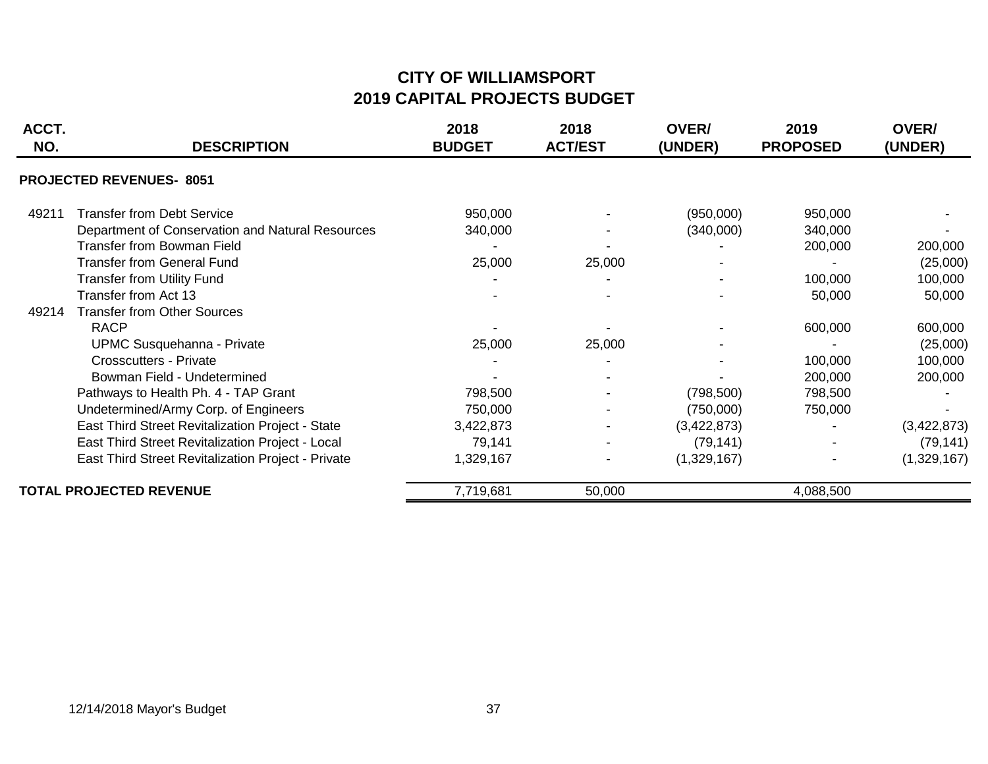#### **CITY OF WILLIAMSPORT 2019 CAPITAL PROJECTS BUDGET**

| ACCT.<br>NO. | <b>DESCRIPTION</b>                                 | 2018<br><b>BUDGET</b> | 2018<br><b>ACT/EST</b> | <b>OVER/</b><br>(UNDER) | 2019<br><b>PROPOSED</b> | OVER/<br>(UNDER) |
|--------------|----------------------------------------------------|-----------------------|------------------------|-------------------------|-------------------------|------------------|
|              | <b>PROJECTED REVENUES-8051</b>                     |                       |                        |                         |                         |                  |
| 49211        | <b>Transfer from Debt Service</b>                  | 950,000               |                        | (950,000)               | 950,000                 |                  |
|              | Department of Conservation and Natural Resources   | 340,000               |                        | (340,000)               | 340,000                 |                  |
|              | <b>Transfer from Bowman Field</b>                  |                       |                        |                         | 200,000                 | 200,000          |
|              | <b>Transfer from General Fund</b>                  | 25,000                | 25,000                 |                         |                         | (25,000)         |
|              | <b>Transfer from Utility Fund</b>                  |                       |                        |                         | 100,000                 | 100,000          |
|              | Transfer from Act 13                               |                       |                        |                         | 50,000                  | 50,000           |
| 49214        | <b>Transfer from Other Sources</b>                 |                       |                        |                         |                         |                  |
|              | <b>RACP</b>                                        |                       |                        |                         | 600,000                 | 600,000          |
|              | <b>UPMC Susquehanna - Private</b>                  | 25,000                | 25,000                 |                         |                         | (25,000)         |
|              | <b>Crosscutters - Private</b>                      |                       |                        |                         | 100,000                 | 100,000          |
|              | Bowman Field - Undetermined                        |                       |                        |                         | 200,000                 | 200,000          |
|              | Pathways to Health Ph. 4 - TAP Grant               | 798,500               |                        | (798, 500)              | 798,500                 |                  |
|              | Undetermined/Army Corp. of Engineers               | 750,000               |                        | (750,000)               | 750,000                 |                  |
|              | East Third Street Revitalization Project - State   | 3,422,873             |                        | (3,422,873)             |                         | (3,422,873)      |
|              | East Third Street Revitalization Project - Local   | 79,141                |                        | (79, 141)               |                         | (79, 141)        |
|              | East Third Street Revitalization Project - Private | 1,329,167             |                        | (1,329,167)             |                         | (1,329,167)      |
|              | <b>TOTAL PROJECTED REVENUE</b>                     | 7,719,681             | 50,000                 |                         | 4,088,500               |                  |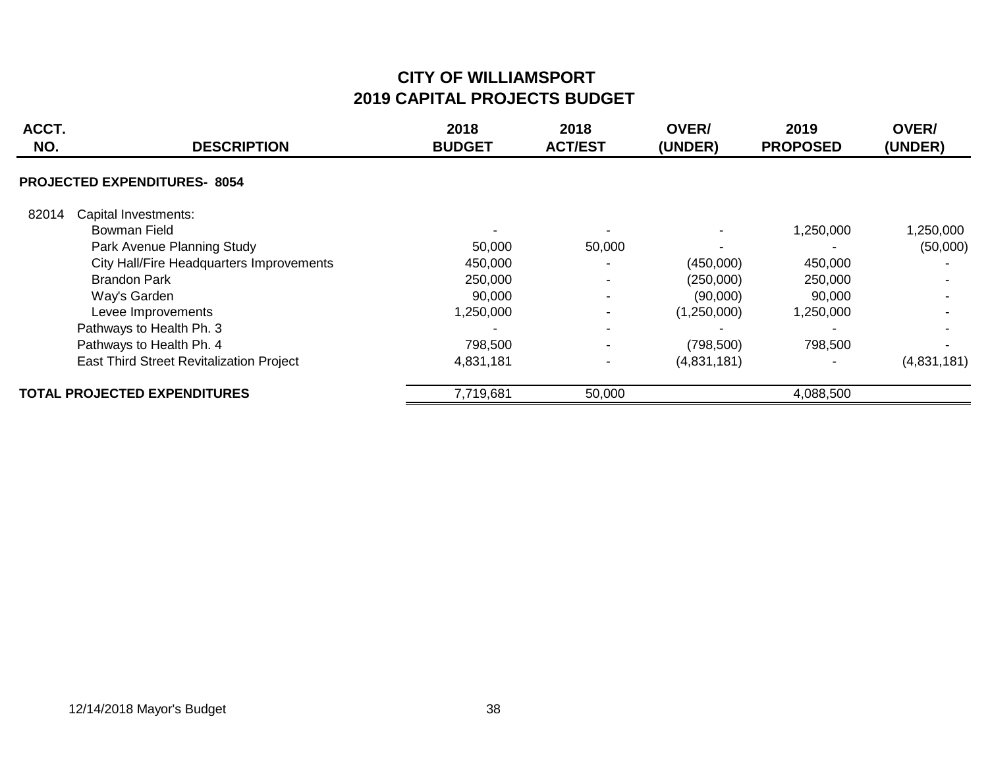#### **CITY OF WILLIAMSPORT 2019 CAPITAL PROJECTS BUDGET**

| ACCT.<br>NO. | <b>DESCRIPTION</b>                       | 2018<br><b>BUDGET</b> | 2018<br><b>ACT/EST</b> | <b>OVER/</b><br>(UNDER) | 2019<br><b>PROPOSED</b> | <b>OVER/</b><br>(UNDER) |
|--------------|------------------------------------------|-----------------------|------------------------|-------------------------|-------------------------|-------------------------|
|              | <b>PROJECTED EXPENDITURES-8054</b>       |                       |                        |                         |                         |                         |
| 82014        | Capital Investments:                     |                       |                        |                         |                         |                         |
|              | Bowman Field                             |                       |                        |                         | 1,250,000               | 1,250,000               |
|              | Park Avenue Planning Study               | 50,000                | 50,000                 |                         |                         | (50,000)                |
|              | City Hall/Fire Headquarters Improvements | 450,000               |                        | (450,000)               | 450,000                 |                         |
|              | <b>Brandon Park</b>                      | 250,000               |                        | (250,000)               | 250,000                 |                         |
|              | Way's Garden                             | 90,000                | $\blacksquare$         | (90,000)                | 90,000                  |                         |
|              | Levee Improvements                       | 1,250,000             |                        | (1,250,000)             | 1,250,000               |                         |
|              | Pathways to Health Ph. 3                 |                       |                        |                         |                         |                         |
|              | Pathways to Health Ph. 4                 | 798,500               | $\blacksquare$         | (798, 500)              | 798,500                 |                         |
|              | East Third Street Revitalization Project | 4,831,181             |                        | (4,831,181)             |                         | (4,831,181)             |
|              | <b>TOTAL PROJECTED EXPENDITURES</b>      | 7,719,681             | 50,000                 |                         | 4,088,500               |                         |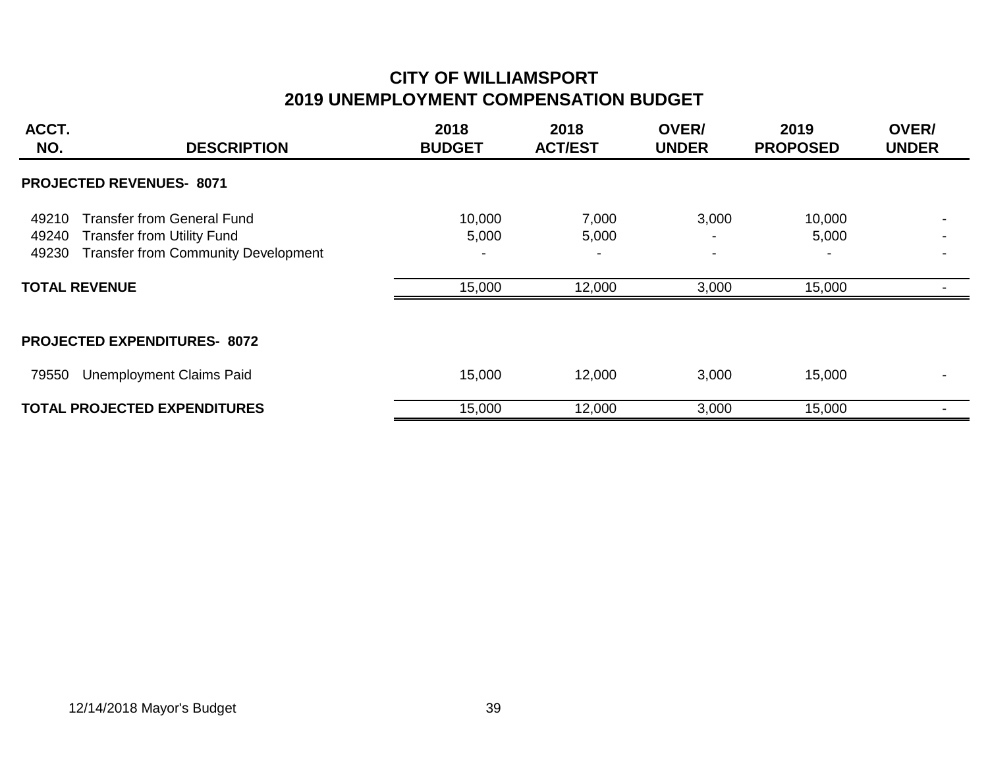# **CITY OF WILLIAMSPORT 2019 UNEMPLOYMENT COMPENSATION BUDGET**

| ACCT.<br>NO.            | <b>DESCRIPTION</b>                                                                                                                           | 2018<br><b>BUDGET</b>     | 2018<br><b>ACT/EST</b>   | <b>OVER/</b><br><b>UNDER</b>               | 2019<br><b>PROPOSED</b>   | OVER/<br><b>UNDER</b> |  |  |
|-------------------------|----------------------------------------------------------------------------------------------------------------------------------------------|---------------------------|--------------------------|--------------------------------------------|---------------------------|-----------------------|--|--|
|                         | <b>PROJECTED REVENUES- 8071</b>                                                                                                              |                           |                          |                                            |                           |                       |  |  |
| 49210<br>49240<br>49230 | <b>Transfer from General Fund</b><br><b>Transfer from Utility Fund</b><br><b>Transfer from Community Development</b><br><b>TOTAL REVENUE</b> | 10,000<br>5,000<br>15,000 | 7,000<br>5,000<br>12,000 | 3,000<br>$\overline{\phantom{a}}$<br>3,000 | 10,000<br>5,000<br>15,000 |                       |  |  |
|                         | <b>PROJECTED EXPENDITURES- 8072</b>                                                                                                          |                           |                          |                                            |                           |                       |  |  |
| 79550                   | <b>Unemployment Claims Paid</b>                                                                                                              | 15,000                    | 12,000                   | 3,000                                      | 15,000                    |                       |  |  |
|                         | <b>TOTAL PROJECTED EXPENDITURES</b>                                                                                                          | 15,000                    | 12,000                   | 3,000                                      | 15,000                    |                       |  |  |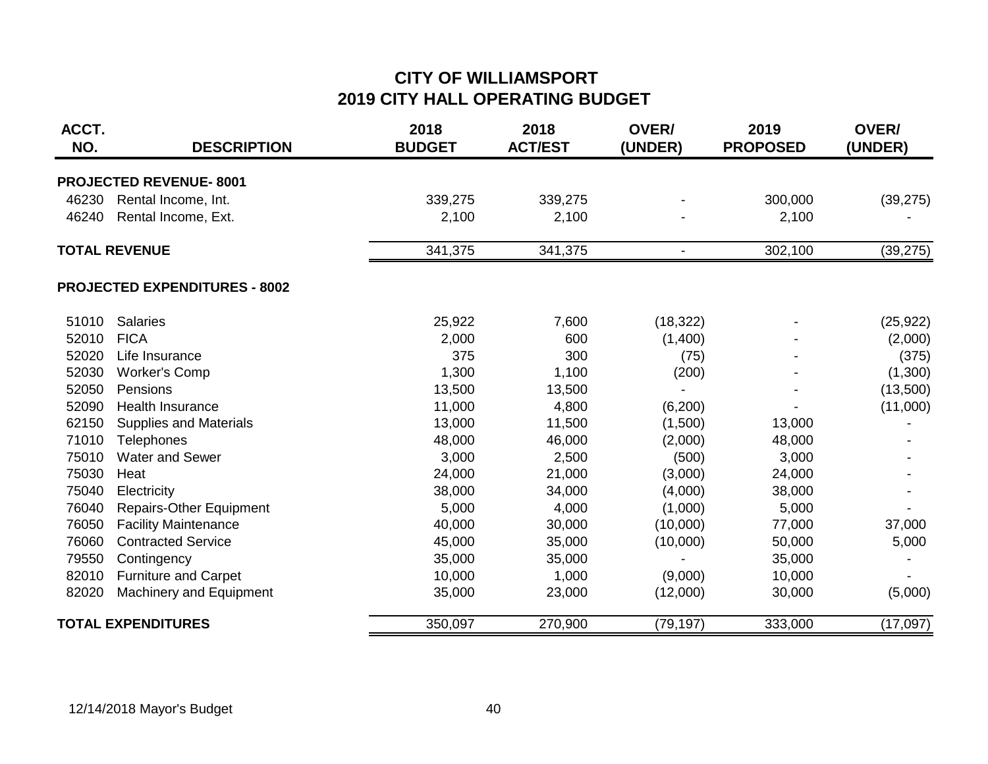## **CITY OF WILLIAMSPORT 2019 CITY HALL OPERATING BUDGET**

| ACCT.<br>NO. | <b>DESCRIPTION</b>                   | 2018<br><b>BUDGET</b> | 2018<br><b>ACT/EST</b> | OVER/<br>(UNDER) | 2019<br><b>PROPOSED</b> | OVER/<br>(UNDER) |
|--------------|--------------------------------------|-----------------------|------------------------|------------------|-------------------------|------------------|
|              | <b>PROJECTED REVENUE-8001</b>        |                       |                        |                  |                         |                  |
| 46230        | Rental Income, Int.                  | 339,275               | 339,275                |                  | 300,000                 | (39, 275)        |
| 46240        | Rental Income, Ext.                  | 2,100                 | 2,100                  |                  | 2,100                   |                  |
|              | <b>TOTAL REVENUE</b>                 | 341,375               | 341,375                |                  | 302,100                 | (39, 275)        |
|              | <b>PROJECTED EXPENDITURES - 8002</b> |                       |                        |                  |                         |                  |
| 51010        | <b>Salaries</b>                      | 25,922                | 7,600                  | (18, 322)        |                         | (25, 922)        |
| 52010        | <b>FICA</b>                          | 2,000                 | 600                    | (1,400)          |                         | (2,000)          |
| 52020        | Life Insurance                       | 375                   | 300                    | (75)             |                         | (375)            |
| 52030        | <b>Worker's Comp</b>                 | 1,300                 | 1,100                  | (200)            |                         | (1,300)          |
| 52050        | Pensions                             | 13,500                | 13,500                 |                  |                         | (13,500)         |
| 52090        | Health Insurance                     | 11,000                | 4,800                  | (6, 200)         |                         | (11,000)         |
| 62150        | <b>Supplies and Materials</b>        | 13,000                | 11,500                 | (1,500)          | 13,000                  |                  |
| 71010        | <b>Telephones</b>                    | 48,000                | 46,000                 | (2,000)          | 48,000                  |                  |
| 75010        | Water and Sewer                      | 3,000                 | 2,500                  | (500)            | 3,000                   |                  |
| 75030        | Heat                                 | 24,000                | 21,000                 | (3,000)          | 24,000                  |                  |
| 75040        | Electricity                          | 38,000                | 34,000                 | (4,000)          | 38,000                  |                  |
| 76040        | <b>Repairs-Other Equipment</b>       | 5,000                 | 4,000                  | (1,000)          | 5,000                   |                  |
| 76050        | <b>Facility Maintenance</b>          | 40,000                | 30,000                 | (10,000)         | 77,000                  | 37,000           |
| 76060        | <b>Contracted Service</b>            | 45,000                | 35,000                 | (10,000)         | 50,000                  | 5,000            |
| 79550        | Contingency                          | 35,000                | 35,000                 |                  | 35,000                  |                  |
| 82010        | <b>Furniture and Carpet</b>          | 10,000                | 1,000                  | (9,000)          | 10,000                  |                  |
| 82020        | <b>Machinery and Equipment</b>       | 35,000                | 23,000                 | (12,000)         | 30,000                  | (5,000)          |
|              | <b>TOTAL EXPENDITURES</b>            | 350,097               | 270,900                | (79, 197)        | 333,000                 | (17,097)         |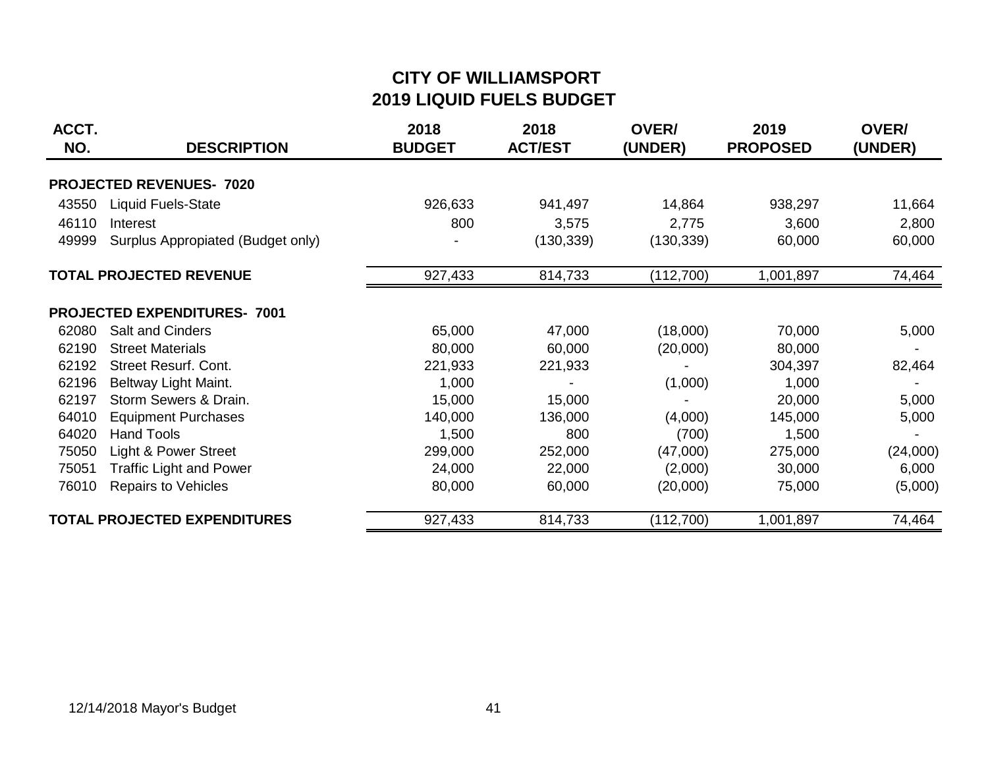# **CITY OF WILLIAMSPORT 2019 LIQUID FUELS BUDGET**

| ACCT.<br>NO.                    | <b>DESCRIPTION</b>                  | 2018<br><b>BUDGET</b> | 2018<br><b>ACT/EST</b> | <b>OVER/</b><br>(UNDER) | 2019<br><b>PROPOSED</b> | OVER/<br>(UNDER) |
|---------------------------------|-------------------------------------|-----------------------|------------------------|-------------------------|-------------------------|------------------|
| <b>PROJECTED REVENUES- 7020</b> |                                     |                       |                        |                         |                         |                  |
| 43550                           | <b>Liquid Fuels-State</b>           | 926,633               | 941,497                | 14,864                  | 938,297                 | 11,664           |
| 46110                           | Interest                            | 800                   | 3,575                  | 2,775                   | 3,600                   | 2,800            |
| 49999                           | Surplus Appropiated (Budget only)   |                       | (130, 339)             | (130, 339)              | 60,000                  | 60,000           |
|                                 | <b>TOTAL PROJECTED REVENUE</b>      | 927,433               | 814,733                | (112, 700)              | 1,001,897               | 74,464           |
|                                 | <b>PROJECTED EXPENDITURES- 7001</b> |                       |                        |                         |                         |                  |
| 62080                           | <b>Salt and Cinders</b>             | 65,000                | 47,000                 | (18,000)                | 70,000                  | 5,000            |
| 62190                           | <b>Street Materials</b>             | 80,000                | 60,000                 | (20,000)                | 80,000                  |                  |
| 62192                           | Street Resurf. Cont.                | 221,933               | 221,933                |                         | 304,397                 | 82,464           |
| 62196                           | Beltway Light Maint.                | 1,000                 |                        | (1,000)                 | 1,000                   |                  |
| 62197                           | Storm Sewers & Drain.               | 15,000                | 15,000                 |                         | 20,000                  | 5,000            |
| 64010                           | <b>Equipment Purchases</b>          | 140,000               | 136,000                | (4,000)                 | 145,000                 | 5,000            |
| 64020                           | <b>Hand Tools</b>                   | 1,500                 | 800                    | (700)                   | 1,500                   |                  |
| 75050                           | Light & Power Street                | 299,000               | 252,000                | (47,000)                | 275,000                 | (24,000)         |
| 75051                           | <b>Traffic Light and Power</b>      | 24,000                | 22,000                 | (2,000)                 | 30,000                  | 6,000            |
| 76010                           | <b>Repairs to Vehicles</b>          | 80,000                | 60,000                 | (20,000)                | 75,000                  | (5,000)          |
|                                 | <b>TOTAL PROJECTED EXPENDITURES</b> | 927,433               | 814,733                | (112, 700)              | 1,001,897               | 74,464           |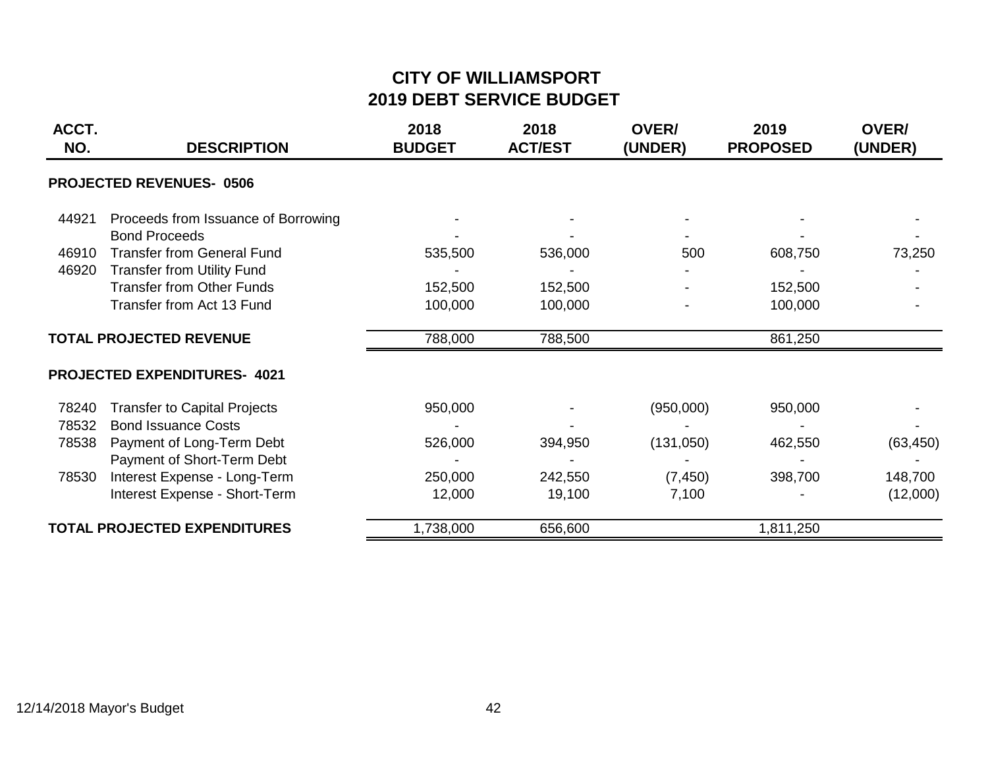# **CITY OF WILLIAMSPORT 2019 DEBT SERVICE BUDGET**

| ACCT.<br>NO. | <b>DESCRIPTION</b>                  | 2018<br><b>BUDGET</b> | 2018<br><b>ACT/EST</b> | OVER/<br>(UNDER) | 2019<br><b>PROPOSED</b> | OVER/<br>(UNDER) |
|--------------|-------------------------------------|-----------------------|------------------------|------------------|-------------------------|------------------|
|              | <b>PROJECTED REVENUES-0506</b>      |                       |                        |                  |                         |                  |
| 44921        | Proceeds from Issuance of Borrowing |                       |                        |                  |                         |                  |
|              | <b>Bond Proceeds</b>                |                       |                        |                  |                         |                  |
| 46910        | <b>Transfer from General Fund</b>   | 535,500               | 536,000                | 500              | 608,750                 | 73,250           |
| 46920        | <b>Transfer from Utility Fund</b>   |                       |                        |                  |                         |                  |
|              | <b>Transfer from Other Funds</b>    | 152,500               | 152,500                |                  | 152,500                 |                  |
|              | Transfer from Act 13 Fund           | 100,000               | 100,000                |                  | 100,000                 |                  |
|              | <b>TOTAL PROJECTED REVENUE</b>      | 788,000               | 788,500                |                  | 861,250                 |                  |
|              | <b>PROJECTED EXPENDITURES- 4021</b> |                       |                        |                  |                         |                  |
| 78240        | <b>Transfer to Capital Projects</b> | 950,000               |                        | (950,000)        | 950,000                 |                  |
| 78532        | <b>Bond Issuance Costs</b>          |                       |                        |                  |                         |                  |
| 78538        | Payment of Long-Term Debt           | 526,000               | 394,950                | (131,050)        | 462,550                 | (63, 450)        |
|              | Payment of Short-Term Debt          |                       |                        |                  |                         |                  |
| 78530        | Interest Expense - Long-Term        | 250,000               | 242,550                | (7, 450)         | 398,700                 | 148,700          |
|              | Interest Expense - Short-Term       | 12,000                | 19,100                 | 7,100            |                         | (12,000)         |
|              | <b>TOTAL PROJECTED EXPENDITURES</b> | 1,738,000             | 656,600                |                  | 1,811,250               |                  |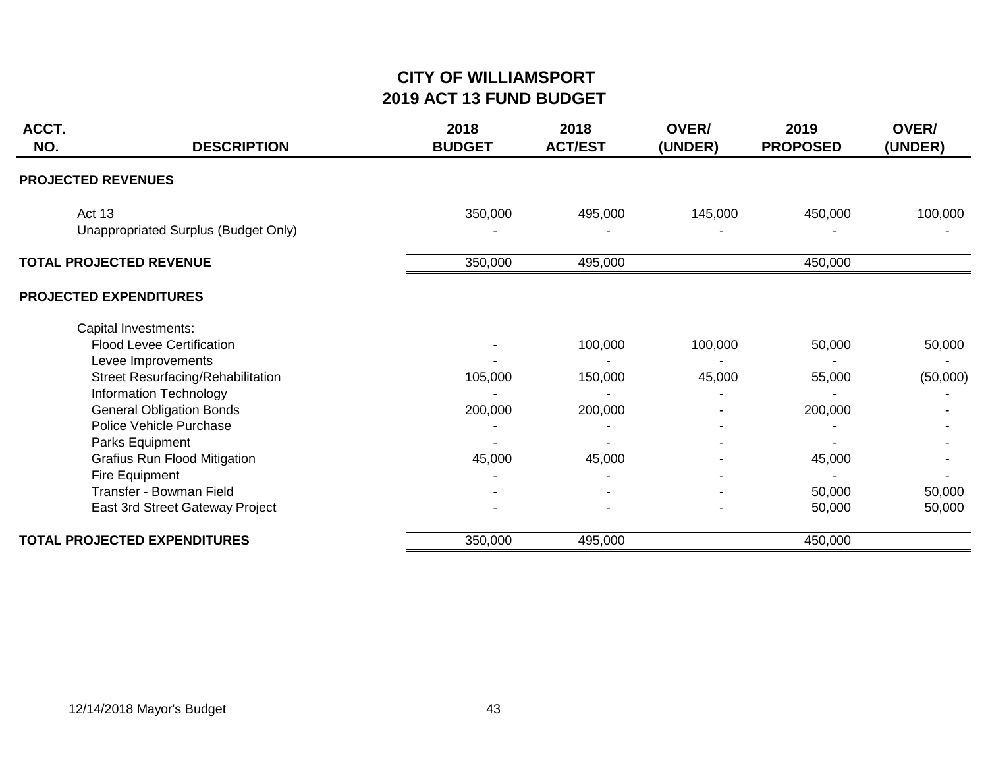#### **CITY OF WILLIAMSPORT 2019 ACT 13 FUND BUDGET**

| ACCT.<br>NO. | <b>DESCRIPTION</b>                                                             | 2018<br><b>BUDGET</b> | 2018<br><b>ACT/EST</b> | OVER/<br>(UNDER) | 2019<br><b>PROPOSED</b> | OVER/<br>(UNDER) |
|--------------|--------------------------------------------------------------------------------|-----------------------|------------------------|------------------|-------------------------|------------------|
|              | <b>PROJECTED REVENUES</b>                                                      |                       |                        |                  |                         |                  |
|              | Act 13<br>Unappropriated Surplus (Budget Only)                                 | 350,000               | 495,000                | 145,000          | 450,000                 | 100,000          |
|              | <b>TOTAL PROJECTED REVENUE</b>                                                 | 350,000               | 495,000                |                  | 450,000                 |                  |
|              | <b>PROJECTED EXPENDITURES</b>                                                  |                       |                        |                  |                         |                  |
|              | Capital Investments:<br><b>Flood Levee Certification</b><br>Levee Improvements |                       | 100,000                | 100,000          | 50,000                  | 50,000           |
|              | Street Resurfacing/Rehabilitation<br>Information Technology                    | 105,000               | 150,000                | 45,000           | 55,000                  | (50,000)         |
|              | <b>General Obligation Bonds</b><br>Police Vehicle Purchase<br>Parks Equipment  | 200,000               | 200,000                |                  | 200,000                 |                  |
|              | <b>Grafius Run Flood Mitigation</b><br>Fire Equipment                          | 45,000                | 45,000                 |                  | 45,000                  |                  |
|              | Transfer - Bowman Field<br>East 3rd Street Gateway Project                     |                       |                        |                  | 50,000<br>50,000        | 50,000<br>50,000 |
|              | <b>TOTAL PROJECTED EXPENDITURES</b>                                            | 350,000               | 495,000                |                  | 450,000                 |                  |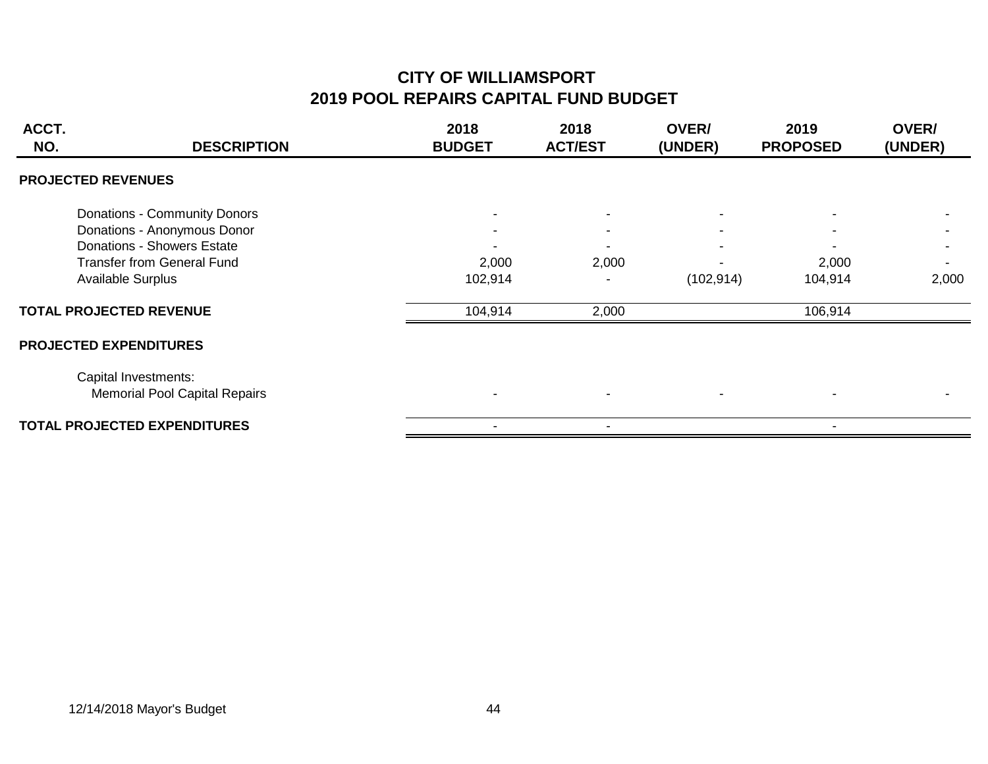### **CITY OF WILLIAMSPORT 2019 POOL REPAIRS CAPITAL FUND BUDGET**

| ACCT.<br>NO.                   | <b>DESCRIPTION</b>                                           | 2018<br><b>BUDGET</b> | 2018<br><b>ACT/EST</b> | <b>OVER/</b><br>(UNDER) | 2019<br><b>PROPOSED</b> | OVER/<br>(UNDER) |
|--------------------------------|--------------------------------------------------------------|-----------------------|------------------------|-------------------------|-------------------------|------------------|
| <b>PROJECTED REVENUES</b>      |                                                              |                       |                        |                         |                         |                  |
|                                | Donations - Community Donors                                 |                       |                        |                         |                         |                  |
|                                | Donations - Anonymous Donor                                  |                       |                        |                         |                         |                  |
|                                | Donations - Showers Estate                                   |                       |                        |                         |                         |                  |
|                                | <b>Transfer from General Fund</b>                            | 2,000                 | 2,000                  |                         | 2,000                   |                  |
| <b>Available Surplus</b>       |                                                              | 102,914               |                        | (102, 914)              | 104,914                 | 2,000            |
| <b>TOTAL PROJECTED REVENUE</b> |                                                              | 104,914               | 2,000                  |                         | 106,914                 |                  |
| <b>PROJECTED EXPENDITURES</b>  |                                                              |                       |                        |                         |                         |                  |
|                                | Capital Investments:<br><b>Memorial Pool Capital Repairs</b> |                       |                        |                         |                         |                  |
|                                | <b>TOTAL PROJECTED EXPENDITURES</b>                          |                       |                        |                         |                         |                  |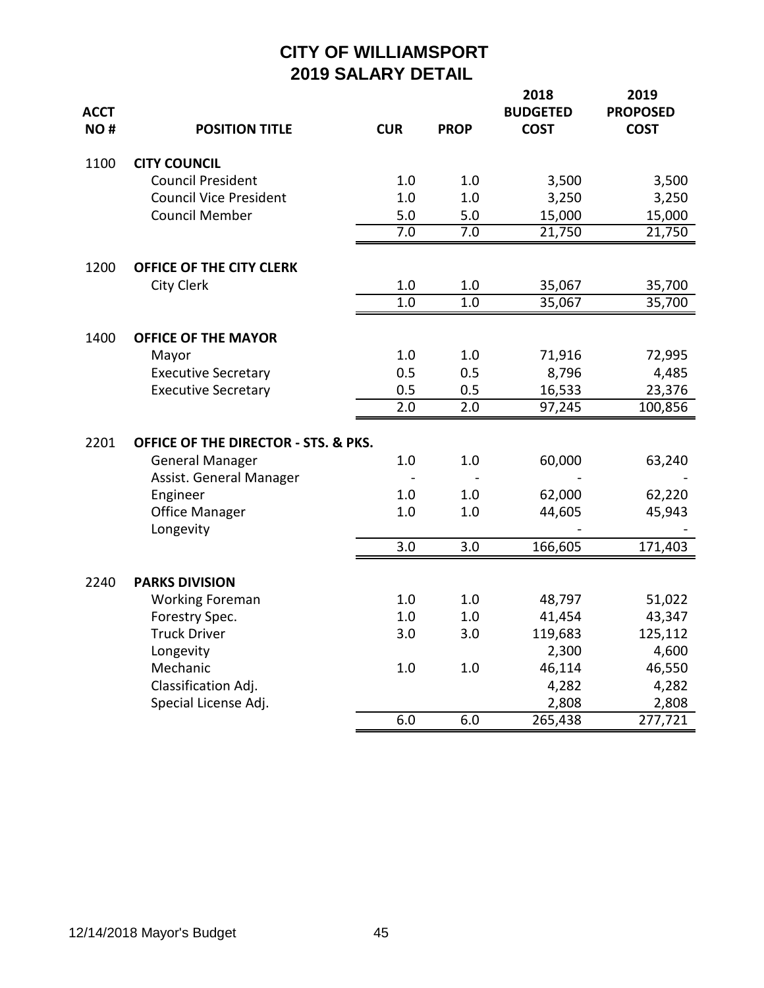| <b>ACCT</b><br>NO# | <b>POSITION TITLE</b>                | <b>CUR</b> | <b>PROP</b> | 2018<br><b>BUDGETED</b><br><b>COST</b> | 2019<br><b>PROPOSED</b><br><b>COST</b> |
|--------------------|--------------------------------------|------------|-------------|----------------------------------------|----------------------------------------|
| 1100               | <b>CITY COUNCIL</b>                  |            |             |                                        |                                        |
|                    | <b>Council President</b>             | 1.0        | 1.0         | 3,500                                  | 3,500                                  |
|                    | <b>Council Vice President</b>        | 1.0        | 1.0         | 3,250                                  | 3,250                                  |
|                    | <b>Council Member</b>                | 5.0        | 5.0         | 15,000                                 | 15,000                                 |
|                    |                                      | 7.0        | 7.0         | 21,750                                 | 21,750                                 |
| 1200               | OFFICE OF THE CITY CLERK             |            |             |                                        |                                        |
|                    | City Clerk                           | 1.0        | 1.0         | 35,067                                 | 35,700                                 |
|                    |                                      | 1.0        | 1.0         | $35,06\overline{7}$                    | 35,700                                 |
| 1400               | <b>OFFICE OF THE MAYOR</b>           |            |             |                                        |                                        |
|                    | Mayor                                | 1.0        | 1.0         | 71,916                                 | 72,995                                 |
|                    | <b>Executive Secretary</b>           | 0.5        | 0.5         | 8,796                                  | 4,485                                  |
|                    | <b>Executive Secretary</b>           | 0.5        | 0.5         | 16,533                                 | 23,376                                 |
|                    |                                      | 2.0        | 2.0         | 97,245                                 | 100,856                                |
| 2201               | OFFICE OF THE DIRECTOR - STS. & PKS. |            |             |                                        |                                        |
|                    | <b>General Manager</b>               | 1.0        | 1.0         | 60,000                                 | 63,240                                 |
|                    | Assist. General Manager              |            |             |                                        |                                        |
|                    | Engineer                             | 1.0        | 1.0         | 62,000                                 | 62,220                                 |
|                    | <b>Office Manager</b>                | 1.0        | 1.0         | 44,605                                 | 45,943                                 |
|                    | Longevity                            |            |             |                                        |                                        |
|                    |                                      | 3.0        | 3.0         | 166,605                                | 171,403                                |
| 2240               | <b>PARKS DIVISION</b>                |            |             |                                        |                                        |
|                    | <b>Working Foreman</b>               | 1.0        | 1.0         | 48,797                                 | 51,022                                 |
|                    | Forestry Spec.                       | 1.0        | 1.0         | 41,454                                 | 43,347                                 |
|                    | <b>Truck Driver</b>                  | 3.0        | 3.0         | 119,683                                | 125,112                                |
|                    | Longevity                            |            |             | 2,300                                  | 4,600                                  |
|                    | Mechanic                             | 1.0        | 1.0         | 46,114                                 | 46,550                                 |
|                    | Classification Adj.                  |            |             | 4,282                                  | 4,282                                  |
|                    | Special License Adj.                 |            |             | 2,808                                  | 2,808                                  |
|                    |                                      | 6.0        | 6.0         | 265,438                                | 277,721                                |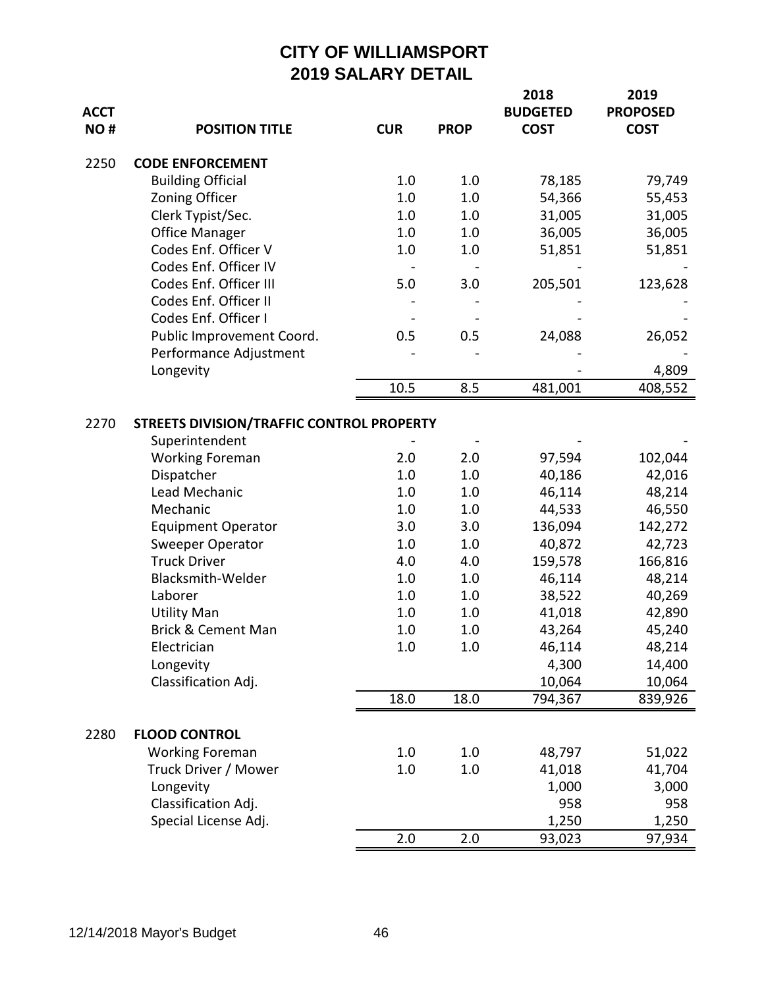| <b>ACCT</b><br>NO# | <b>POSITION TITLE</b>                                                                                                                                                                                                                                                                                                                   | <b>CUR</b>                                                                               | <b>PROP</b>                                                                              | 2018<br><b>BUDGETED</b><br><b>COST</b>                                                                                                               | 2019<br><b>PROPOSED</b><br><b>COST</b>                                                                                                                 |
|--------------------|-----------------------------------------------------------------------------------------------------------------------------------------------------------------------------------------------------------------------------------------------------------------------------------------------------------------------------------------|------------------------------------------------------------------------------------------|------------------------------------------------------------------------------------------|------------------------------------------------------------------------------------------------------------------------------------------------------|--------------------------------------------------------------------------------------------------------------------------------------------------------|
| 2250               | <b>CODE ENFORCEMENT</b>                                                                                                                                                                                                                                                                                                                 |                                                                                          |                                                                                          |                                                                                                                                                      |                                                                                                                                                        |
|                    | <b>Building Official</b>                                                                                                                                                                                                                                                                                                                | 1.0                                                                                      | 1.0                                                                                      | 78,185                                                                                                                                               | 79,749                                                                                                                                                 |
|                    | <b>Zoning Officer</b>                                                                                                                                                                                                                                                                                                                   | 1.0                                                                                      | 1.0                                                                                      | 54,366                                                                                                                                               | 55,453                                                                                                                                                 |
|                    | Clerk Typist/Sec.                                                                                                                                                                                                                                                                                                                       | 1.0                                                                                      | 1.0                                                                                      | 31,005                                                                                                                                               | 31,005                                                                                                                                                 |
|                    | <b>Office Manager</b>                                                                                                                                                                                                                                                                                                                   | 1.0                                                                                      | 1.0                                                                                      | 36,005                                                                                                                                               | 36,005                                                                                                                                                 |
|                    | Codes Enf. Officer V                                                                                                                                                                                                                                                                                                                    | 1.0                                                                                      | 1.0                                                                                      | 51,851                                                                                                                                               | 51,851                                                                                                                                                 |
|                    | Codes Enf. Officer IV                                                                                                                                                                                                                                                                                                                   |                                                                                          |                                                                                          |                                                                                                                                                      |                                                                                                                                                        |
|                    | Codes Enf. Officer III                                                                                                                                                                                                                                                                                                                  | 5.0                                                                                      | 3.0                                                                                      | 205,501                                                                                                                                              | 123,628                                                                                                                                                |
|                    | Codes Enf. Officer II                                                                                                                                                                                                                                                                                                                   |                                                                                          |                                                                                          |                                                                                                                                                      |                                                                                                                                                        |
|                    | Codes Enf. Officer I                                                                                                                                                                                                                                                                                                                    |                                                                                          |                                                                                          |                                                                                                                                                      |                                                                                                                                                        |
|                    | Public Improvement Coord.                                                                                                                                                                                                                                                                                                               | 0.5                                                                                      | 0.5                                                                                      | 24,088                                                                                                                                               | 26,052                                                                                                                                                 |
|                    | Performance Adjustment                                                                                                                                                                                                                                                                                                                  |                                                                                          |                                                                                          |                                                                                                                                                      |                                                                                                                                                        |
|                    | Longevity                                                                                                                                                                                                                                                                                                                               |                                                                                          |                                                                                          |                                                                                                                                                      | 4,809                                                                                                                                                  |
|                    |                                                                                                                                                                                                                                                                                                                                         | 10.5                                                                                     | 8.5                                                                                      | 481,001                                                                                                                                              | 408,552                                                                                                                                                |
| 2270               | STREETS DIVISION/TRAFFIC CONTROL PROPERTY<br>Superintendent<br><b>Working Foreman</b><br>Dispatcher<br>Lead Mechanic<br>Mechanic<br><b>Equipment Operator</b><br>Sweeper Operator<br><b>Truck Driver</b><br>Blacksmith-Welder<br>Laborer<br><b>Utility Man</b><br>Brick & Cement Man<br>Electrician<br>Longevity<br>Classification Adj. | 2.0<br>1.0<br>1.0<br>1.0<br>3.0<br>1.0<br>4.0<br>1.0<br>1.0<br>1.0<br>1.0<br>1.0<br>18.0 | 2.0<br>1.0<br>1.0<br>1.0<br>3.0<br>1.0<br>4.0<br>1.0<br>1.0<br>1.0<br>1.0<br>1.0<br>18.0 | 97,594<br>40,186<br>46,114<br>44,533<br>136,094<br>40,872<br>159,578<br>46,114<br>38,522<br>41,018<br>43,264<br>46,114<br>4,300<br>10,064<br>794,367 | 102,044<br>42,016<br>48,214<br>46,550<br>142,272<br>42,723<br>166,816<br>48,214<br>40,269<br>42,890<br>45,240<br>48,214<br>14,400<br>10,064<br>839,926 |
|                    |                                                                                                                                                                                                                                                                                                                                         |                                                                                          |                                                                                          |                                                                                                                                                      |                                                                                                                                                        |
| 2280               | <b>FLOOD CONTROL</b>                                                                                                                                                                                                                                                                                                                    |                                                                                          |                                                                                          |                                                                                                                                                      |                                                                                                                                                        |
|                    | <b>Working Foreman</b>                                                                                                                                                                                                                                                                                                                  | 1.0                                                                                      | 1.0                                                                                      | 48,797                                                                                                                                               | 51,022                                                                                                                                                 |
|                    | Truck Driver / Mower                                                                                                                                                                                                                                                                                                                    | 1.0                                                                                      | 1.0                                                                                      | 41,018                                                                                                                                               | 41,704                                                                                                                                                 |
|                    | Longevity                                                                                                                                                                                                                                                                                                                               |                                                                                          |                                                                                          | 1,000                                                                                                                                                | 3,000                                                                                                                                                  |
|                    | Classification Adj.                                                                                                                                                                                                                                                                                                                     |                                                                                          |                                                                                          | 958                                                                                                                                                  | 958                                                                                                                                                    |
|                    | Special License Adj.                                                                                                                                                                                                                                                                                                                    |                                                                                          |                                                                                          | 1,250                                                                                                                                                | 1,250                                                                                                                                                  |
|                    |                                                                                                                                                                                                                                                                                                                                         | 2.0                                                                                      | 2.0                                                                                      | 93,023                                                                                                                                               | 97,934                                                                                                                                                 |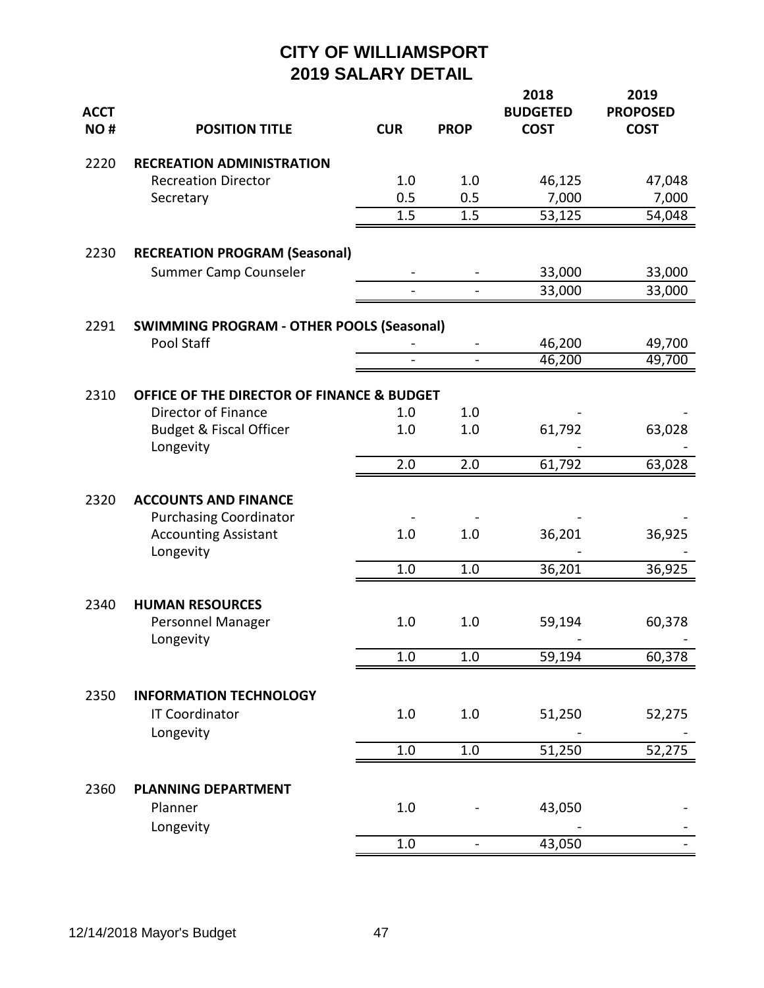| <b>ACCT</b><br>NO# | <b>POSITION TITLE</b>                                                     | <b>CUR</b>               | <b>PROP</b>              | 2018<br><b>BUDGETED</b><br><b>COST</b> | 2019<br><b>PROPOSED</b><br><b>COST</b> |
|--------------------|---------------------------------------------------------------------------|--------------------------|--------------------------|----------------------------------------|----------------------------------------|
| 2220               | <b>RECREATION ADMINISTRATION</b>                                          |                          |                          |                                        |                                        |
|                    | <b>Recreation Director</b>                                                | 1.0                      | 1.0                      | 46,125                                 | 47,048                                 |
|                    | Secretary                                                                 | 0.5                      | 0.5                      | 7,000                                  | 7,000                                  |
|                    |                                                                           | 1.5                      | 1.5                      | 53,125                                 | 54,048                                 |
| 2230               | <b>RECREATION PROGRAM (Seasonal)</b>                                      |                          |                          |                                        |                                        |
|                    | Summer Camp Counseler                                                     |                          |                          | 33,000                                 | 33,000                                 |
|                    |                                                                           | $\overline{a}$           |                          | 33,000                                 | 33,000                                 |
| 2291               | <b>SWIMMING PROGRAM - OTHER POOLS (Seasonal)</b>                          |                          |                          |                                        |                                        |
|                    | Pool Staff                                                                |                          |                          | 46,200                                 | 49,700                                 |
|                    |                                                                           | $\overline{\phantom{0}}$ | $\blacksquare$           | 46,200                                 | 49,700                                 |
| 2310               | OFFICE OF THE DIRECTOR OF FINANCE & BUDGET                                |                          |                          |                                        |                                        |
|                    | Director of Finance                                                       | 1.0                      | 1.0                      |                                        |                                        |
|                    | <b>Budget &amp; Fiscal Officer</b><br>Longevity                           | 1.0                      | 1.0                      | 61,792                                 | 63,028                                 |
|                    |                                                                           | 2.0                      | 2.0                      | 61,792                                 | 63,028                                 |
| 2320               | <b>ACCOUNTS AND FINANCE</b>                                               |                          |                          |                                        |                                        |
|                    | <b>Purchasing Coordinator</b><br><b>Accounting Assistant</b><br>Longevity | 1.0                      | 1.0                      | 36,201                                 | 36,925                                 |
|                    |                                                                           | 1.0                      | 1.0                      | 36,201                                 | 36,925                                 |
| 2340               | <b>HUMAN RESOURCES</b>                                                    |                          |                          |                                        |                                        |
|                    | Personnel Manager<br>Longevity                                            | 1.0                      | 1.0                      | 59,194                                 | 60,378                                 |
|                    |                                                                           | $1.0\,$                  | 1.0                      | 59,194                                 | 60,378                                 |
| 2350               | <b>INFORMATION TECHNOLOGY</b>                                             |                          |                          |                                        |                                        |
|                    | <b>IT Coordinator</b><br>Longevity                                        | 1.0                      | 1.0                      | 51,250                                 | 52,275                                 |
|                    |                                                                           | $1.0\,$                  | $1.0\,$                  | 51,250                                 | 52,275                                 |
| 2360               | <b>PLANNING DEPARTMENT</b>                                                |                          |                          |                                        |                                        |
|                    | Planner<br>Longevity                                                      | 1.0                      |                          | 43,050                                 |                                        |
|                    |                                                                           | $1.0\,$                  | $\overline{\phantom{0}}$ | 43,050                                 |                                        |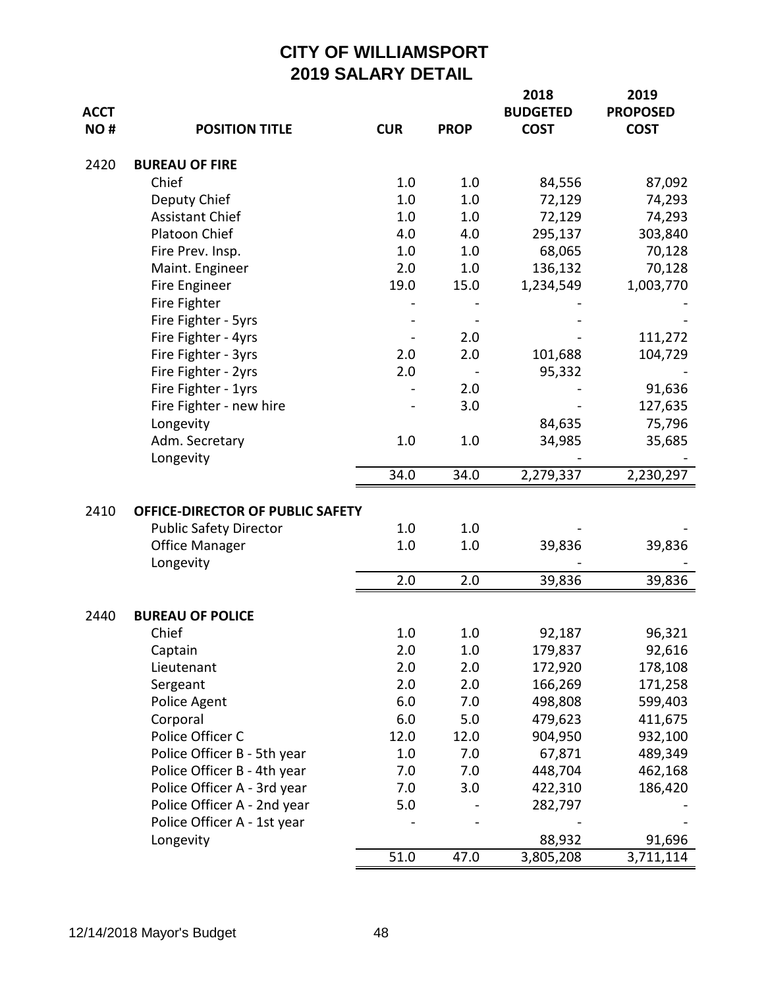| ACCT<br>NO# | <b>POSITION TITLE</b>                    | <b>CUR</b> | <b>PROP</b> | 2018<br><b>BUDGETED</b><br><b>COST</b> | 2019<br><b>PROPOSED</b><br><b>COST</b> |
|-------------|------------------------------------------|------------|-------------|----------------------------------------|----------------------------------------|
| 2420        | <b>BUREAU OF FIRE</b>                    |            |             |                                        |                                        |
|             | Chief                                    | 1.0        | 1.0         | 84,556                                 | 87,092                                 |
|             | Deputy Chief                             | 1.0        | 1.0         | 72,129                                 | 74,293                                 |
|             | <b>Assistant Chief</b>                   | 1.0        | 1.0         | 72,129                                 | 74,293                                 |
|             | Platoon Chief                            | 4.0        | 4.0         | 295,137                                | 303,840                                |
|             | Fire Prev. Insp.                         | 1.0        | 1.0         | 68,065                                 | 70,128                                 |
|             | Maint. Engineer                          | 2.0        | 1.0         | 136,132                                | 70,128                                 |
|             | Fire Engineer                            | 19.0       | 15.0        | 1,234,549                              | 1,003,770                              |
|             | Fire Fighter                             |            |             |                                        |                                        |
|             | Fire Fighter - 5yrs                      |            |             |                                        |                                        |
|             | Fire Fighter - 4yrs                      |            | 2.0         |                                        | 111,272                                |
|             | Fire Fighter - 3yrs                      | 2.0        | 2.0         | 101,688                                | 104,729                                |
|             | Fire Fighter - 2yrs                      | 2.0        |             | 95,332                                 |                                        |
|             | Fire Fighter - 1yrs                      |            | 2.0         |                                        | 91,636                                 |
|             | Fire Fighter - new hire                  |            | 3.0         |                                        | 127,635                                |
|             | Longevity                                |            |             | 84,635                                 | 75,796                                 |
|             | Adm. Secretary                           | 1.0        | 1.0         | 34,985                                 | 35,685                                 |
|             | Longevity                                |            |             |                                        |                                        |
|             |                                          | 34.0       | 34.0        | 2,279,337                              | 2,230,297                              |
| 2410        | OFFICE-DIRECTOR OF PUBLIC SAFETY         |            |             |                                        |                                        |
|             | <b>Public Safety Director</b>            | 1.0        | 1.0         |                                        |                                        |
|             | <b>Office Manager</b>                    | 1.0        | 1.0         | 39,836                                 | 39,836                                 |
|             | Longevity                                |            |             |                                        |                                        |
|             |                                          | 2.0        | 2.0         | 39,836                                 | 39,836                                 |
|             |                                          |            |             |                                        |                                        |
| 2440        | <b>BUREAU OF POLICE</b>                  |            |             |                                        |                                        |
|             | Chief                                    | 1.0        | 1.0         | 92,187                                 | 96,321                                 |
|             | Captain                                  | 2.0        | $1.0\,$     | 179,837                                | 92,616                                 |
|             | Lieutenant                               | 2.0        | 2.0         | 172,920                                | 178,108                                |
|             | Sergeant                                 | 2.0        | 2.0         | 166,269                                | 171,258                                |
|             | Police Agent                             | 6.0        | 7.0         | 498,808                                | 599,403                                |
|             | Corporal                                 | 6.0        | 5.0         | 479,623                                | 411,675                                |
|             | Police Officer C                         | 12.0       | 12.0        | 904,950                                | 932,100                                |
|             | Police Officer B - 5th year              | 1.0        | 7.0         | 67,871                                 | 489,349                                |
|             | Police Officer B - 4th year              | 7.0        | 7.0         | 448,704                                | 462,168                                |
|             | Police Officer A - 3rd year              | 7.0        | 3.0         | 422,310                                | 186,420                                |
|             | Police Officer A - 2nd year              | 5.0        |             | 282,797                                |                                        |
|             | Police Officer A - 1st year<br>Longevity |            |             | 88,932                                 | 91,696                                 |
|             |                                          | 51.0       | 47.0        | 3,805,208                              | 3,711,114                              |
|             |                                          |            |             |                                        |                                        |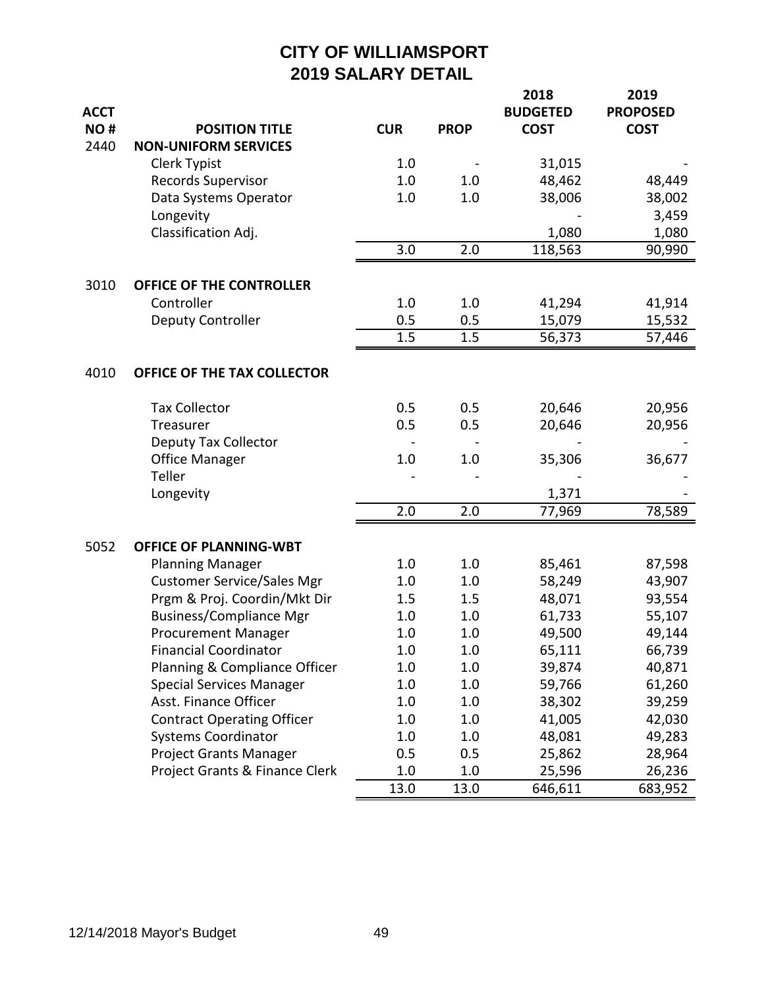|             |                                   |            |             | 2018            | 2019            |
|-------------|-----------------------------------|------------|-------------|-----------------|-----------------|
| <b>ACCT</b> |                                   |            |             | <b>BUDGETED</b> | <b>PROPOSED</b> |
| NO#         | <b>POSITION TITLE</b>             | <b>CUR</b> | <b>PROP</b> | <b>COST</b>     | <b>COST</b>     |
| 2440        | <b>NON-UNIFORM SERVICES</b>       |            |             |                 |                 |
|             | Clerk Typist                      | 1.0        |             | 31,015          |                 |
|             | <b>Records Supervisor</b>         | 1.0        | 1.0         | 48,462          | 48,449          |
|             | Data Systems Operator             | 1.0        | 1.0         | 38,006          | 38,002          |
|             | Longevity                         |            |             |                 | 3,459           |
|             | Classification Adj.               |            |             | 1,080           | 1,080           |
|             |                                   | 3.0        | 2.0         | 118,563         | 90,990          |
| 3010        | OFFICE OF THE CONTROLLER          |            |             |                 |                 |
|             | Controller                        | 1.0        | 1.0         | 41,294          | 41,914          |
|             | <b>Deputy Controller</b>          | 0.5        | 0.5         | 15,079          | 15,532          |
|             |                                   | 1.5        | 1.5         | 56,373          | 57,446          |
|             |                                   |            |             |                 |                 |
| 4010        | OFFICE OF THE TAX COLLECTOR       |            |             |                 |                 |
|             | <b>Tax Collector</b>              | 0.5        | 0.5         | 20,646          | 20,956          |
|             | Treasurer                         | 0.5        | 0.5         | 20,646          | 20,956          |
|             | <b>Deputy Tax Collector</b>       |            |             |                 |                 |
|             | <b>Office Manager</b>             | 1.0        | 1.0         | 35,306          | 36,677          |
|             | Teller                            |            |             |                 |                 |
|             | Longevity                         |            |             | 1,371           |                 |
|             |                                   | 2.0        | 2.0         | 77,969          | 78,589          |
| 5052        | <b>OFFICE OF PLANNING-WBT</b>     |            |             |                 |                 |
|             | <b>Planning Manager</b>           | 1.0        | 1.0         | 85,461          | 87,598          |
|             | <b>Customer Service/Sales Mgr</b> | 1.0        | 1.0         | 58,249          | 43,907          |
|             | Prgm & Proj. Coordin/Mkt Dir      | 1.5        | 1.5         | 48,071          | 93,554          |
|             | <b>Business/Compliance Mgr</b>    | 1.0        | 1.0         | 61,733          | 55,107          |
|             | <b>Procurement Manager</b>        | 1.0        | 1.0         | 49,500          | 49,144          |
|             | <b>Financial Coordinator</b>      | 1.0        | 1.0         | 65,111          | 66,739          |
|             | Planning & Compliance Officer     | 1.0        | $1.0\,$     | 39,874          | 40,871          |
|             | <b>Special Services Manager</b>   | 1.0        | 1.0         | 59,766          | 61,260          |
|             | Asst. Finance Officer             | 1.0        | 1.0         | 38,302          | 39,259          |
|             | <b>Contract Operating Officer</b> | 1.0        | 1.0         | 41,005          | 42,030          |
|             | <b>Systems Coordinator</b>        | 1.0        | 1.0         | 48,081          | 49,283          |
|             | <b>Project Grants Manager</b>     | 0.5        | 0.5         | 25,862          | 28,964          |
|             | Project Grants & Finance Clerk    | 1.0        | 1.0         | 25,596          | 26,236          |
|             |                                   | 13.0       | 13.0        | 646,611         | 683,952         |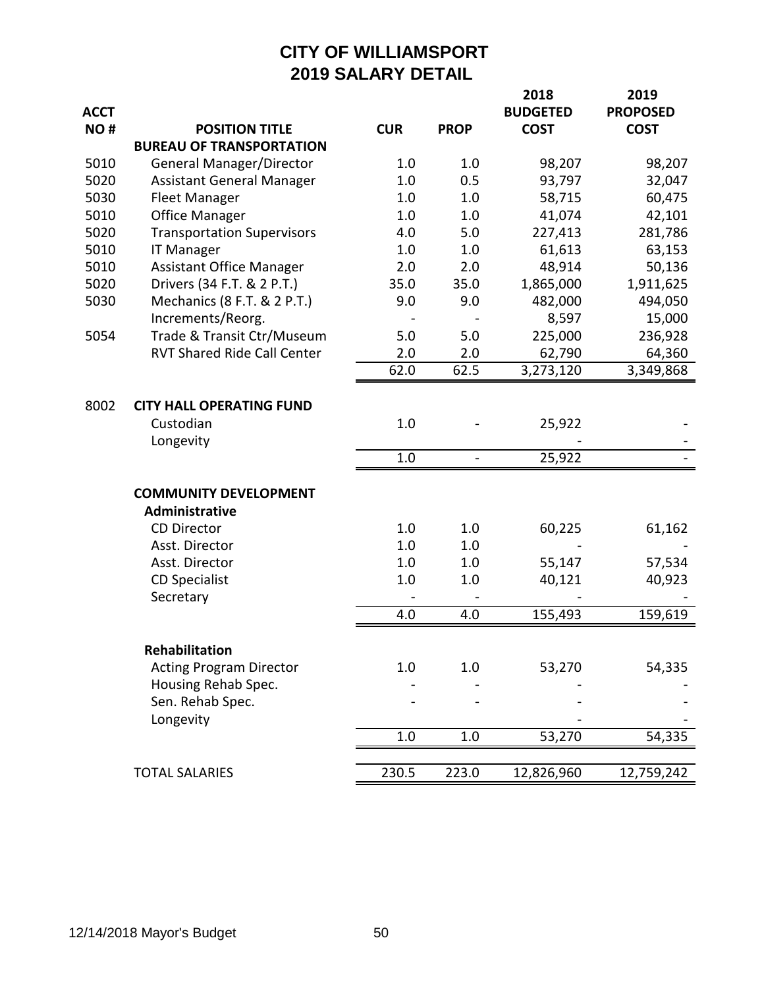|             |                                    |            |                          | 2018            | 2019            |
|-------------|------------------------------------|------------|--------------------------|-----------------|-----------------|
| <b>ACCT</b> |                                    |            |                          | <b>BUDGETED</b> | <b>PROPOSED</b> |
| NO#         | <b>POSITION TITLE</b>              | <b>CUR</b> | <b>PROP</b>              | <b>COST</b>     | <b>COST</b>     |
|             | <b>BUREAU OF TRANSPORTATION</b>    |            |                          |                 |                 |
| 5010        | General Manager/Director           | 1.0        | 1.0                      | 98,207          | 98,207          |
| 5020        | <b>Assistant General Manager</b>   | 1.0        | 0.5                      | 93,797          | 32,047          |
| 5030        | <b>Fleet Manager</b>               | 1.0        | 1.0                      | 58,715          | 60,475          |
| 5010        | <b>Office Manager</b>              | 1.0        | 1.0                      | 41,074          | 42,101          |
| 5020        | <b>Transportation Supervisors</b>  | 4.0        | 5.0                      | 227,413         | 281,786         |
| 5010        | <b>IT Manager</b>                  | 1.0        | 1.0                      | 61,613          | 63,153          |
| 5010        | <b>Assistant Office Manager</b>    | 2.0        | 2.0                      | 48,914          | 50,136          |
| 5020        | Drivers (34 F.T. & 2 P.T.)         | 35.0       | 35.0                     | 1,865,000       | 1,911,625       |
| 5030        | Mechanics (8 F.T. & 2 P.T.)        | 9.0        | 9.0                      | 482,000         | 494,050         |
|             | Increments/Reorg.                  |            |                          | 8,597           | 15,000          |
| 5054        | Trade & Transit Ctr/Museum         | 5.0        | 5.0                      | 225,000         | 236,928         |
|             | <b>RVT Shared Ride Call Center</b> | 2.0        | 2.0                      | 62,790          | 64,360          |
|             |                                    | 62.0       | 62.5                     | 3,273,120       | 3,349,868       |
|             |                                    |            |                          |                 |                 |
| 8002        | <b>CITY HALL OPERATING FUND</b>    |            |                          |                 |                 |
|             | Custodian                          | 1.0        |                          | 25,922          |                 |
|             | Longevity                          |            |                          |                 |                 |
|             |                                    | 1.0        | $\overline{\phantom{0}}$ | 25,922          |                 |
|             |                                    |            |                          |                 |                 |
|             | <b>COMMUNITY DEVELOPMENT</b>       |            |                          |                 |                 |
|             | Administrative                     |            |                          |                 |                 |
|             | <b>CD Director</b>                 | 1.0        | 1.0                      | 60,225          | 61,162          |
|             | Asst. Director                     | 1.0        | 1.0                      |                 |                 |
|             | Asst. Director                     | 1.0        | 1.0                      | 55,147          | 57,534          |
|             | <b>CD Specialist</b>               | 1.0        | 1.0                      | 40,121          | 40,923          |
|             | Secretary                          |            |                          |                 |                 |
|             |                                    | 4.0        | 4.0                      | 155,493         | 159,619         |
|             |                                    |            |                          |                 |                 |
|             | Rehabilitation                     |            |                          |                 |                 |
|             | <b>Acting Program Director</b>     | 1.0        | 1.0                      | 53,270          | 54,335          |
|             | Housing Rehab Spec.                |            |                          |                 |                 |
|             | Sen. Rehab Spec.                   |            |                          |                 |                 |
|             | Longevity                          |            |                          |                 |                 |
|             |                                    | 1.0        | 1.0                      | 53,270          | 54,335          |
|             |                                    |            |                          |                 |                 |
|             | <b>TOTAL SALARIES</b>              | 230.5      | 223.0                    | 12,826,960      | 12,759,242      |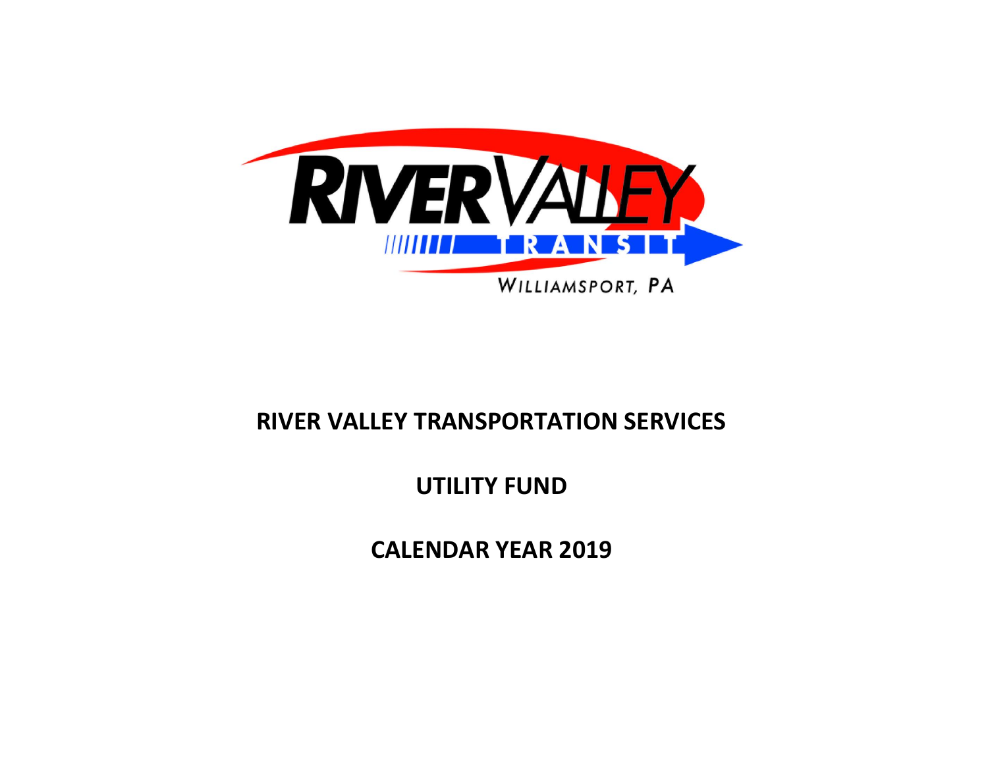

# **RIVER VALLEY TRANSPORTATION SERVICES**

# **UTILITY FUND**

**CALENDAR YEAR 2019**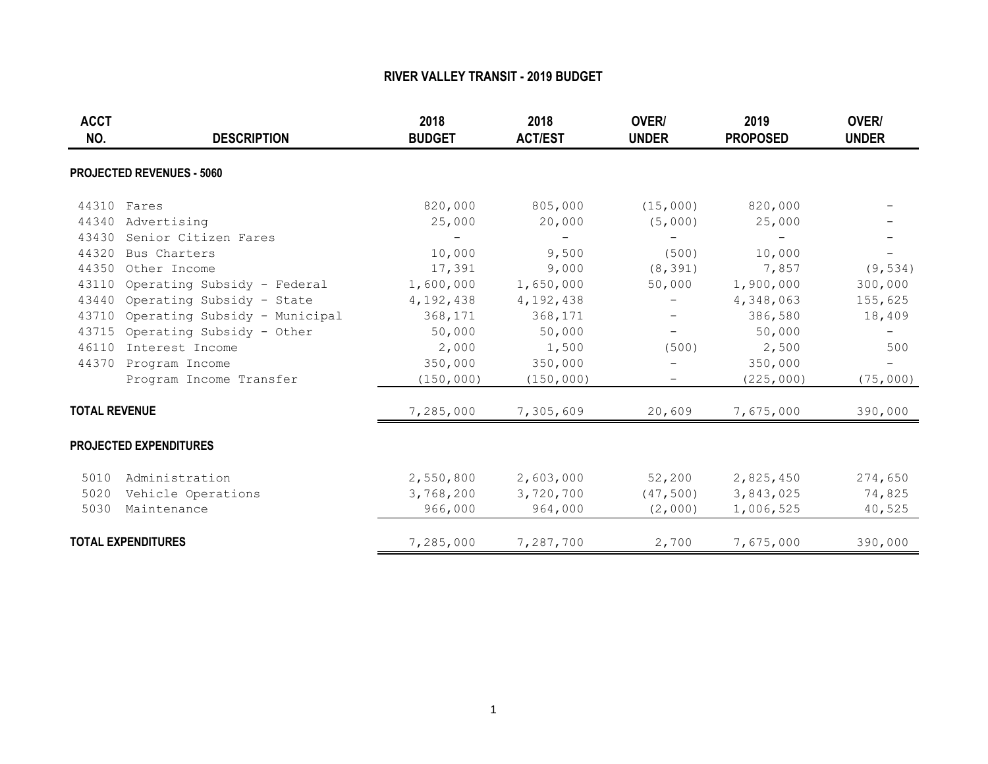| <b>ACCT</b><br>NO.   | <b>DESCRIPTION</b>               | 2018<br><b>BUDGET</b>    | 2018<br><b>ACT/EST</b>   | OVER/<br><b>UNDER</b>    | 2019<br><b>PROPOSED</b> | OVER/<br><b>UNDER</b> |
|----------------------|----------------------------------|--------------------------|--------------------------|--------------------------|-------------------------|-----------------------|
|                      | <b>PROJECTED REVENUES - 5060</b> |                          |                          |                          |                         |                       |
| 44310                | Fares                            | 820,000                  | 805,000                  | (15,000)                 | 820,000                 |                       |
| 44340                | Advertising                      | 25,000                   | 20,000                   | (5,000)                  | 25,000                  |                       |
| 43430                | Senior Citizen Fares             | $\overline{\phantom{0}}$ | $\overline{\phantom{m}}$ |                          |                         |                       |
| 44320                | Bus Charters                     | 10,000                   | 9,500                    | (500)                    | 10,000                  |                       |
| 44350                | Other Income                     | 17,391                   | 9,000                    | (8, 391)                 | 7,857                   | (9, 534)              |
| 43110                | Operating Subsidy - Federal      | 1,600,000                | 1,650,000                | 50,000                   | 1,900,000               | 300,000               |
| 43440                | Operating Subsidy - State        | 4, 192, 438              | 4, 192, 438              |                          | 4,348,063               | 155,625               |
| 43710                | Operating Subsidy - Municipal    | 368,171                  | 368,171                  |                          | 386,580                 | 18,409                |
| 43715                | Operating Subsidy - Other        | 50,000                   | 50,000                   | $\overline{\phantom{0}}$ | 50,000                  |                       |
| 46110                | Interest Income                  | 2,000                    | 1,500                    | (500)                    | 2,500                   | 500                   |
|                      | 44370 Program Income             | 350,000                  | 350,000                  |                          | 350,000                 | $-$                   |
|                      | Program Income Transfer          | (150, 000)               | (150, 000)               |                          | (225, 000)              | (75,000)              |
| <b>TOTAL REVENUE</b> |                                  | 7,285,000                | 7,305,609                | 20,609                   | 7,675,000               | 390,000               |
|                      | <b>PROJECTED EXPENDITURES</b>    |                          |                          |                          |                         |                       |
| 5010                 | Administration                   | 2,550,800                | 2,603,000                | 52,200                   | 2,825,450               | 274,650               |
| 5020                 | Vehicle Operations               | 3,768,200                | 3,720,700                | (47, 500)                | 3,843,025               | 74,825                |
| 5030                 | Maintenance                      | 966,000                  | 964,000                  | (2,000)                  | 1,006,525               | 40,525                |
|                      | <b>TOTAL EXPENDITURES</b>        | 7,285,000                | 7,287,700                | 2,700                    | 7,675,000               | 390,000               |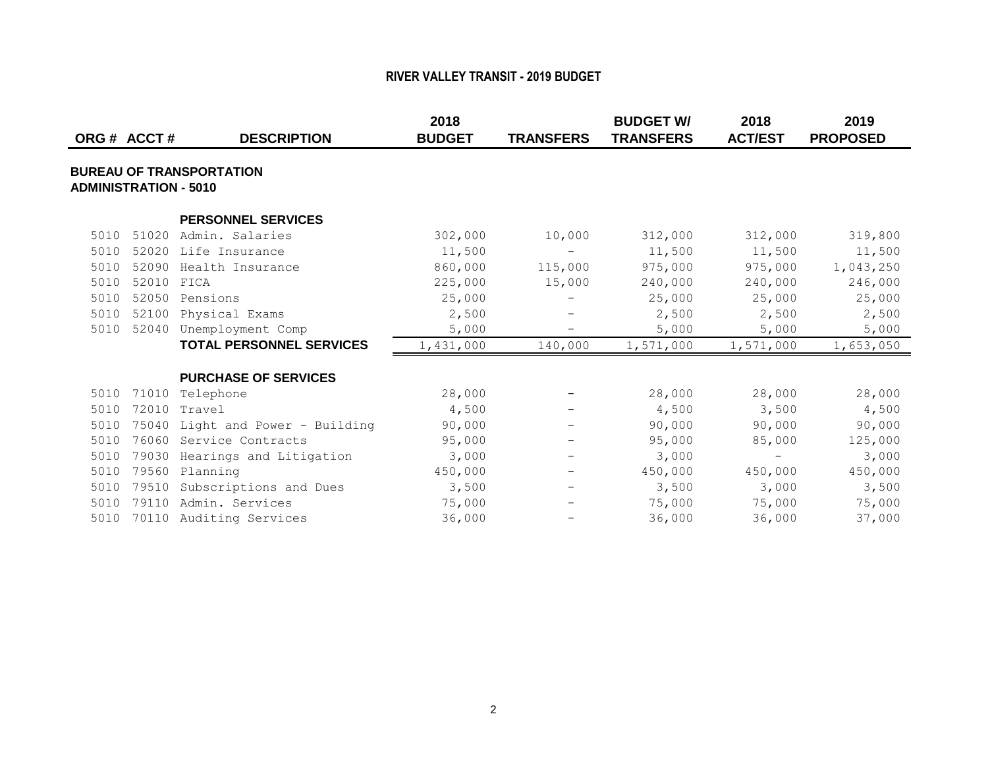| ORG# ACCT#                   |            | <b>DESCRIPTION</b>               | 2018<br><b>BUDGET</b> | <b>TRANSFERS</b>         | <b>BUDGET W/</b><br><b>TRANSFERS</b> | 2018<br><b>ACT/EST</b> | 2019<br><b>PROPOSED</b> |
|------------------------------|------------|----------------------------------|-----------------------|--------------------------|--------------------------------------|------------------------|-------------------------|
| <b>ADMINISTRATION - 5010</b> |            | <b>BUREAU OF TRANSPORTATION</b>  |                       |                          |                                      |                        |                         |
|                              |            | <b>PERSONNEL SERVICES</b>        |                       |                          |                                      |                        |                         |
| 5010                         | 51020      | Admin. Salaries                  | 302,000               | 10,000                   | 312,000                              | 312,000                | 319,800                 |
| 5010                         |            | 52020 Life Insurance             | 11,500                | $\overline{\phantom{0}}$ | 11,500                               | 11,500                 | 11,500                  |
| 5010                         | 52090      | Health Insurance                 | 860,000               | 115,000                  | 975,000                              | 975,000                | 1,043,250               |
| 5010                         | 52010 FICA |                                  | 225,000               | 15,000                   | 240,000                              | 240,000                | 246,000                 |
| 5010                         | 52050      | Pensions                         | 25,000                | $\overline{\phantom{0}}$ | 25,000                               | 25,000                 | 25,000                  |
| 5010                         | 52100      | Physical Exams                   | 2,500                 | $\overline{\phantom{m}}$ | 2,500                                | 2,500                  | 2,500                   |
| 5010                         |            | 52040 Unemployment Comp          | 5,000                 | $\overline{\phantom{m}}$ | 5,000                                | 5,000                  | 5,000                   |
|                              |            | <b>TOTAL PERSONNEL SERVICES</b>  | 1,431,000             | 140,000                  | 1,571,000                            | 1,571,000              | 1,653,050               |
|                              |            | <b>PURCHASE OF SERVICES</b>      |                       |                          |                                      |                        |                         |
| 5010                         | 71010      | Telephone                        | 28,000                | $\overline{\phantom{m}}$ | 28,000                               | 28,000                 | 28,000                  |
| 5010                         |            | 72010 Travel                     | 4,500                 | $\qquad \qquad -$        | 4,500                                | 3,500                  | 4,500                   |
| 5010                         |            | 75040 Light and Power - Building | 90,000                |                          | 90,000                               | 90,000                 | 90,000                  |
| 5010                         |            | 76060 Service Contracts          | 95,000                | $\overline{\phantom{m}}$ | 95,000                               | 85,000                 | 125,000                 |
| 5010                         | 79030      | Hearings and Litigation          | 3,000                 | $\overline{\phantom{m}}$ | 3,000                                |                        | 3,000                   |
| 5010                         |            | 79560 Planning                   | 450,000               | $\overline{\phantom{a}}$ | 450,000                              | 450,000                | 450,000                 |
| 5010                         |            | 79510 Subscriptions and Dues     | 3,500                 | $\overline{\phantom{m}}$ | 3,500                                | 3,000                  | 3,500                   |
| 5010                         |            | 79110 Admin. Services            | 75,000                | $\overline{\phantom{0}}$ | 75,000                               | 75,000                 | 75,000                  |
| 5010                         |            | 70110 Auditing Services          | 36,000                |                          | 36,000                               | 36,000                 | 37,000                  |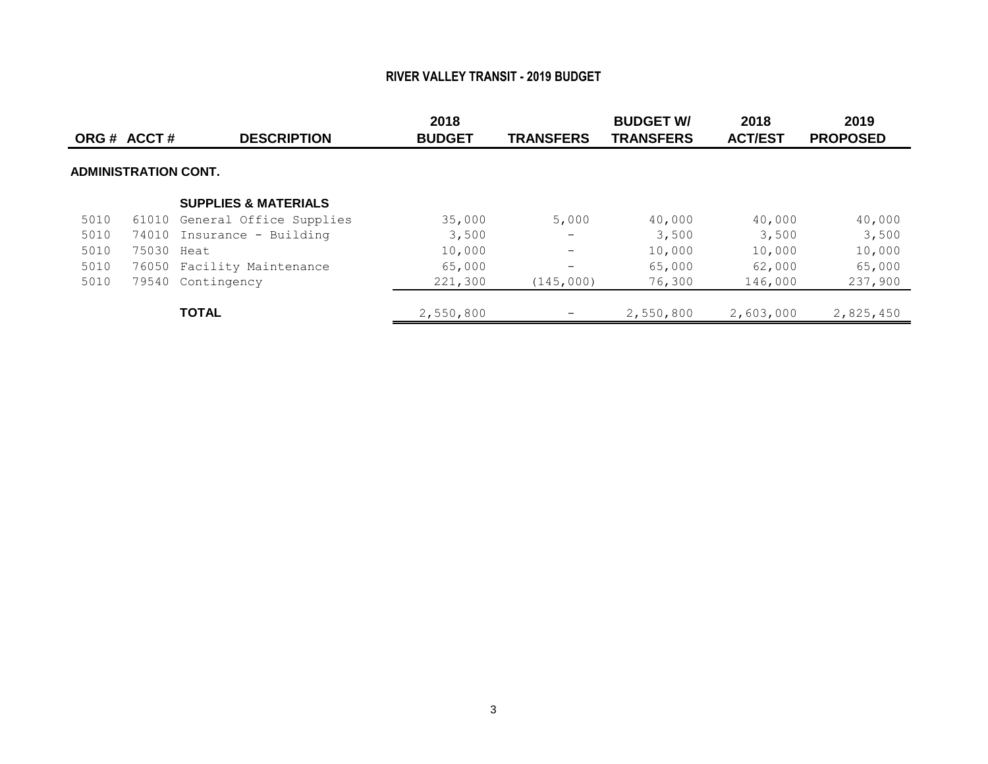|      | ORG # ACCT #                | <b>DESCRIPTION</b>              | 2018<br><b>BUDGET</b> | <b>TRANSFERS</b>         | <b>BUDGET W/</b><br><b>TRANSFERS</b> | 2018<br><b>ACT/EST</b> | 2019<br><b>PROPOSED</b> |
|------|-----------------------------|---------------------------------|-----------------------|--------------------------|--------------------------------------|------------------------|-------------------------|
|      | <b>ADMINISTRATION CONT.</b> |                                 |                       |                          |                                      |                        |                         |
|      |                             | <b>SUPPLIES &amp; MATERIALS</b> |                       |                          |                                      |                        |                         |
| 5010 |                             | 61010 General Office Supplies   | 35,000                | 5,000                    | 40,000                               | 40,000                 | 40,000                  |
| 5010 |                             | 74010 Insurance - Building      | 3,500                 | $\overline{\phantom{m}}$ | 3,500                                | 3,500                  | 3,500                   |
| 5010 | 75030 Heat                  |                                 | 10,000                | $\qquad \qquad -$        | 10,000                               | 10,000                 | 10,000                  |
| 5010 |                             | 76050 Facility Maintenance      | 65,000                | $\qquad \qquad -$        | 65,000                               | 62,000                 | 65,000                  |
| 5010 |                             | 79540 Contingency               | 221,300               | (145,000)                | 76,300                               | 146,000                | 237,900                 |
|      |                             | <b>TOTAL</b>                    | 2,550,800             | $\overline{\phantom{0}}$ | 2,550,800                            | 2,603,000              | 2,825,450               |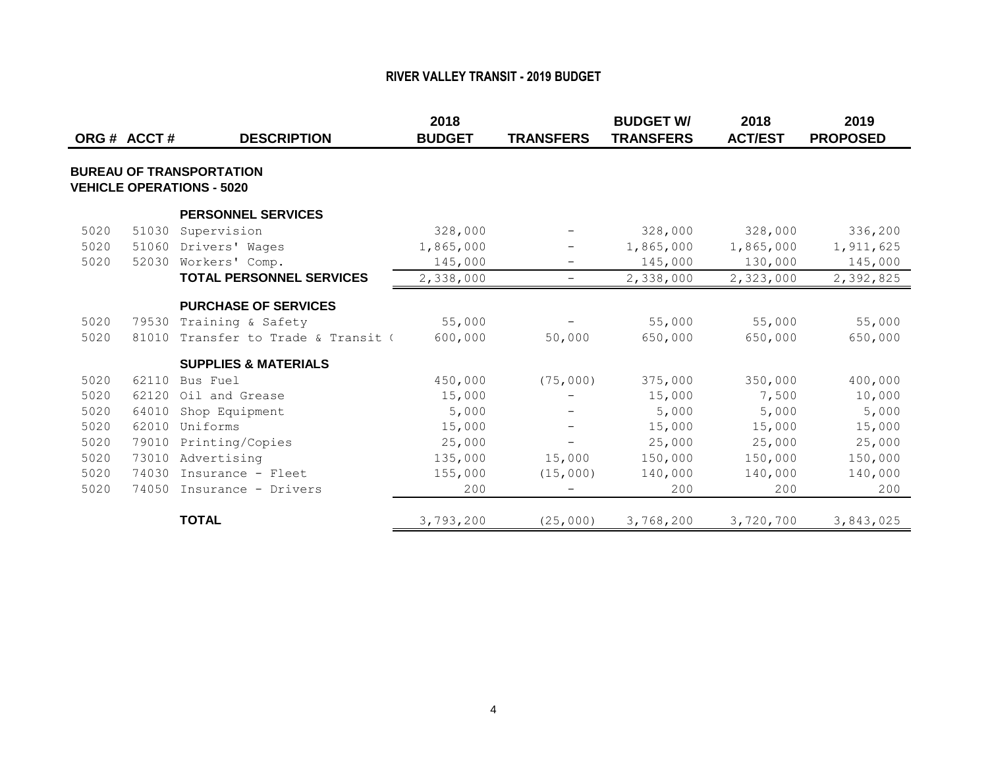|      |              |                                  | 2018          |                          | <b>BUDGET W/</b> | 2018           | 2019            |
|------|--------------|----------------------------------|---------------|--------------------------|------------------|----------------|-----------------|
|      | ORG # ACCT # | <b>DESCRIPTION</b>               | <b>BUDGET</b> | <b>TRANSFERS</b>         | <b>TRANSFERS</b> | <b>ACT/EST</b> | <b>PROPOSED</b> |
|      |              |                                  |               |                          |                  |                |                 |
|      |              | <b>BUREAU OF TRANSPORTATION</b>  |               |                          |                  |                |                 |
|      |              | <b>VEHICLE OPERATIONS - 5020</b> |               |                          |                  |                |                 |
|      |              | <b>PERSONNEL SERVICES</b>        |               |                          |                  |                |                 |
| 5020 | 51030        | Supervision                      | 328,000       |                          | 328,000          | 328,000        | 336,200         |
| 5020 | 51060        | Drivers' Wages                   | 1,865,000     |                          | 1,865,000        | 1,865,000      | 1,911,625       |
| 5020 | 52030        | Workers' Comp.                   | 145,000       | $\overline{\phantom{0}}$ | 145,000          | 130,000        | 145,000         |
|      |              | <b>TOTAL PERSONNEL SERVICES</b>  | 2,338,000     | $\qquad \qquad -$        | 2,338,000        | 2,323,000      | 2,392,825       |
|      |              | <b>PURCHASE OF SERVICES</b>      |               |                          |                  |                |                 |
| 5020 | 79530        | Training & Safety                | 55,000        |                          | 55,000           | 55,000         | 55,000          |
| 5020 | 81010        | Transfer to Trade & Transit (    | 600,000       | 50,000                   | 650,000          | 650,000        | 650,000         |
|      |              | <b>SUPPLIES &amp; MATERIALS</b>  |               |                          |                  |                |                 |
| 5020 | 62110        | Bus Fuel                         | 450,000       | (75,000)                 | 375,000          | 350,000        | 400,000         |
| 5020 | 62120        | Oil and Grease                   | 15,000        |                          | 15,000           | 7,500          | 10,000          |
| 5020 | 64010        | Shop Equipment                   | 5,000         |                          | 5,000            | 5,000          | 5,000           |
| 5020 | 62010        | Uniforms                         | 15,000        | $\overline{\phantom{0}}$ | 15,000           | 15,000         | 15,000          |
| 5020 | 79010        | Printing/Copies                  | 25,000        | $\overline{\phantom{0}}$ | 25,000           | 25,000         | 25,000          |
| 5020 | 73010        | Advertising                      | 135,000       | 15,000                   | 150,000          | 150,000        | 150,000         |
| 5020 | 74030        | Insurance - Fleet                | 155,000       | (15,000)                 | 140,000          | 140,000        | 140,000         |
| 5020 | 74050        | Insurance - Drivers              | 200           |                          | 200              | 200            | 200             |
|      |              | <b>TOTAL</b>                     | 3,793,200     | (25,000)                 | 3,768,200        | 3,720,700      | 3,843,025       |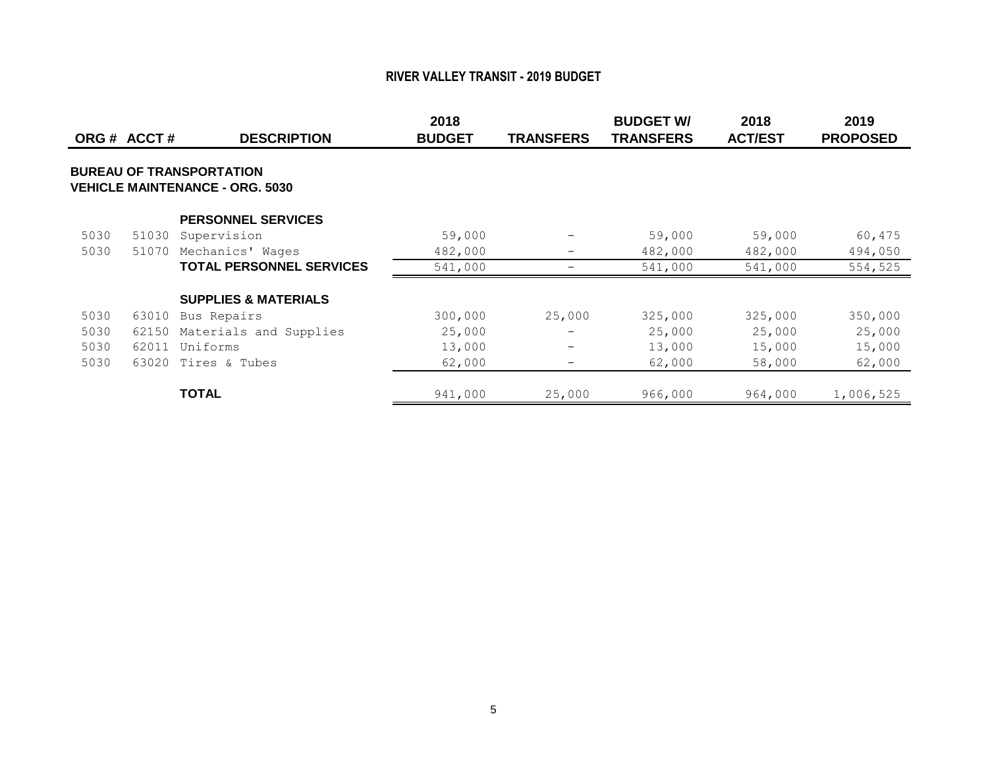|      | ORG # ACCT # | <b>DESCRIPTION</b>                                                        | 2018<br><b>BUDGET</b> | <b>TRANSFERS</b> | <b>BUDGET W/</b><br><b>TRANSFERS</b> | 2018<br><b>ACT/EST</b> | 2019<br><b>PROPOSED</b> |
|------|--------------|---------------------------------------------------------------------------|-----------------------|------------------|--------------------------------------|------------------------|-------------------------|
|      |              | <b>BUREAU OF TRANSPORTATION</b><br><b>VEHICLE MAINTENANCE - ORG. 5030</b> |                       |                  |                                      |                        |                         |
|      |              | <b>PERSONNEL SERVICES</b>                                                 |                       |                  |                                      |                        |                         |
| 5030 | 51030        | Supervision                                                               | 59,000                |                  | 59,000                               | 59,000                 | 60,475                  |
| 5030 | 51070        | Mechanics' Wages                                                          | 482,000               |                  | 482,000                              | 482,000                | 494,050                 |
|      |              | <b>TOTAL PERSONNEL SERVICES</b>                                           | 541,000               |                  | 541,000                              | 541,000                | 554,525                 |
|      |              | <b>SUPPLIES &amp; MATERIALS</b>                                           |                       |                  |                                      |                        |                         |
| 5030 | 63010        | Bus Repairs                                                               | 300,000               | 25,000           | 325,000                              | 325,000                | 350,000                 |
| 5030 | 62150        | Materials and Supplies                                                    | 25,000                |                  | 25,000                               | 25,000                 | 25,000                  |
| 5030 | 62011        | Uniforms                                                                  | 13,000                |                  | 13,000                               | 15,000                 | 15,000                  |
| 5030 | 63020        | Tires & Tubes                                                             | 62,000                | -                | 62,000                               | 58,000                 | 62,000                  |
|      |              | <b>TOTAL</b>                                                              | 941,000               | 25,000           | 966,000                              | 964,000                | 1,006,525               |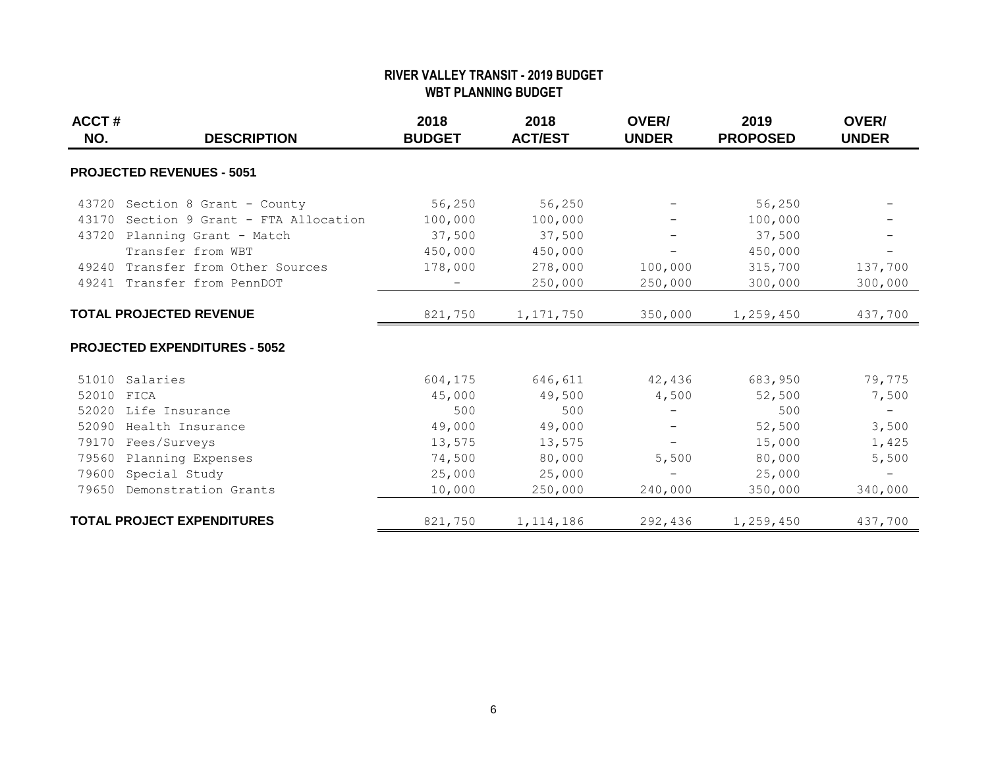#### **RIVER VALLEY TRANSIT - 2019 BUDGET WBT PLANNING BUDGET**

| ACCT#<br>NO. | <b>DESCRIPTION</b>                     | 2018<br><b>BUDGET</b> | 2018<br><b>ACT/EST</b> | OVER/<br><b>UNDER</b>    | 2019<br><b>PROPOSED</b> | OVER/<br><b>UNDER</b>    |
|--------------|----------------------------------------|-----------------------|------------------------|--------------------------|-------------------------|--------------------------|
|              | <b>PROJECTED REVENUES - 5051</b>       |                       |                        |                          |                         |                          |
|              | 43720 Section 8 Grant - County         | 56,250                | 56,250                 |                          | 56,250                  |                          |
|              | 43170 Section 9 Grant - FTA Allocation | 100,000               | 100,000                |                          | 100,000                 |                          |
|              | 43720 Planning Grant - Match           | 37,500                | 37,500                 |                          | 37,500                  |                          |
|              | Transfer from WBT                      | 450,000               | 450,000                | $\overline{\phantom{0}}$ | 450,000                 |                          |
|              | 49240 Transfer from Other Sources      | 178,000               | 278,000                | 100,000                  | 315,700                 | 137,700                  |
|              | 49241 Transfer from PennDOT            |                       | 250,000                | 250,000                  | 300,000                 | 300,000                  |
|              | <b>TOTAL PROJECTED REVENUE</b>         | 821,750               | 1, 171, 750            | 350,000                  | 1,259,450               | 437,700                  |
|              | <b>PROJECTED EXPENDITURES - 5052</b>   |                       |                        |                          |                         |                          |
|              | 51010 Salaries                         | 604,175               | 646,611                | 42,436                   | 683,950                 | 79,775                   |
| 52010        | FICA                                   | 45,000                | 49,500                 | 4,500                    | 52,500                  | 7,500                    |
|              | 52020 Life Insurance                   | 500                   | 500                    |                          | 500                     | $\overline{\phantom{m}}$ |
| 52090        | Health Insurance                       | 49,000                | 49,000                 | $\overline{\phantom{m}}$ | 52,500                  | 3,500                    |
| 79170        | Fees/Surveys                           | 13,575                | 13,575                 |                          | 15,000                  | 1,425                    |
| 79560        | Planning Expenses                      | 74,500                | 80,000                 | 5,500                    | 80,000                  | 5,500                    |
| 79600        | Special Study                          | 25,000                | 25,000                 |                          | 25,000                  | $\overline{\phantom{0}}$ |
| 79650        | Demonstration Grants                   | 10,000                | 250,000                | 240,000                  | 350,000                 | 340,000                  |
|              | <b>TOTAL PROJECT EXPENDITURES</b>      | 821,750               | 1, 114, 186            | 292,436                  | 1,259,450               | 437,700                  |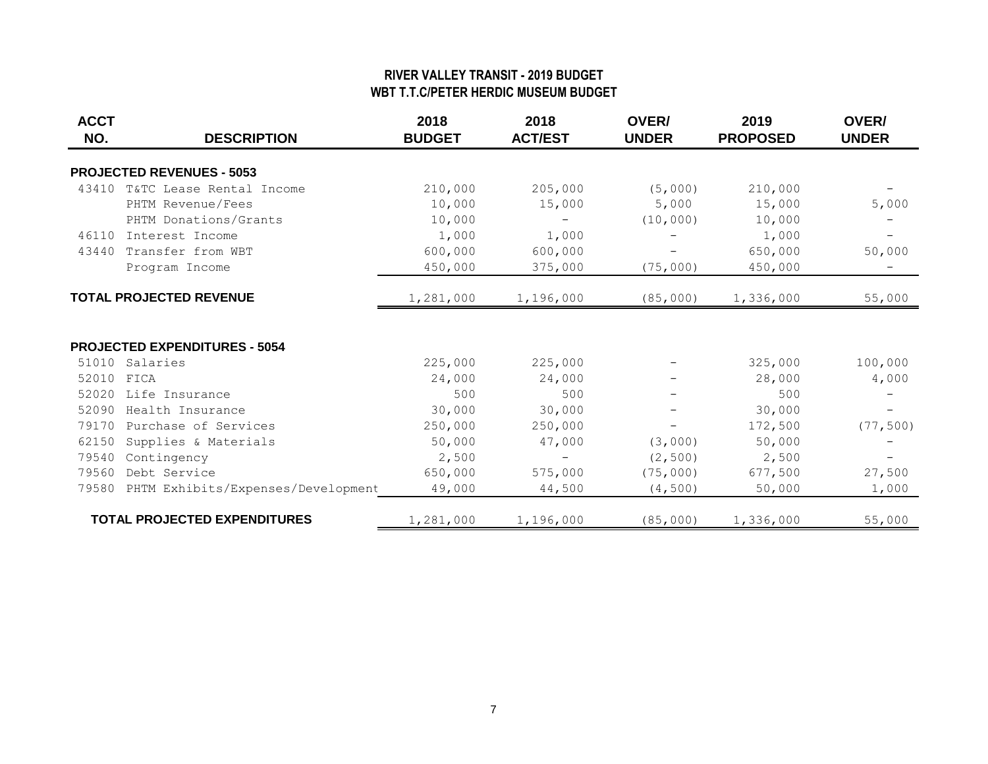#### **RIVER VALLEY TRANSIT - 2019 BUDGET WBT T.T.C/PETER HERDIC MUSEUM BUDGET**

| <b>ACCT</b><br>NO. | <b>DESCRIPTION</b>                   | 2018<br><b>BUDGET</b> | 2018<br><b>ACT/EST</b> | OVER/<br><b>UNDER</b> | 2019<br><b>PROPOSED</b> | OVER/<br><b>UNDER</b> |
|--------------------|--------------------------------------|-----------------------|------------------------|-----------------------|-------------------------|-----------------------|
|                    | <b>PROJECTED REVENUES - 5053</b>     |                       |                        |                       |                         |                       |
| 43410              | T&TC Lease Rental Income             | 210,000               | 205,000                | (5,000)               | 210,000                 |                       |
|                    | PHTM Revenue/Fees                    | 10,000                | 15,000                 | 5,000                 | 15,000                  | 5,000                 |
|                    | PHTM Donations/Grants                | 10,000                | $\qquad \qquad -$      | (10, 000)             | 10,000                  |                       |
| 46110              | Interest Income                      | 1,000                 | 1,000                  |                       | 1,000                   |                       |
| 43440              | Transfer from WBT                    | 600,000               | 600,000                |                       | 650,000                 | 50,000                |
|                    | Program Income                       | 450,000               | 375,000                | (75,000)              | 450,000                 |                       |
|                    | <b>TOTAL PROJECTED REVENUE</b>       | 1,281,000             | 1,196,000              | (85,000)              | 1,336,000               | 55,000                |
|                    | <b>PROJECTED EXPENDITURES - 5054</b> |                       |                        |                       |                         |                       |
| 51010              | Salaries                             | 225,000               | 225,000                |                       | 325,000                 | 100,000               |
| 52010              | FICA                                 | 24,000                | 24,000                 |                       | 28,000                  | 4,000                 |
| 52020              | Life Insurance                       | 500                   | 500                    |                       | 500                     |                       |
| 52090              | Health Insurance                     | 30,000                | 30,000                 |                       | 30,000                  |                       |
| 79170              | Purchase of Services                 | 250,000               | 250,000                |                       | 172,500                 | (77, 500)             |
| 62150              | Supplies & Materials                 | 50,000                | 47,000                 | (3,000)               | 50,000                  |                       |
| 79540              | Contingency                          | 2,500                 |                        | (2, 500)              | 2,500                   |                       |
| 79560              | Debt Service                         | 650,000               | 575,000                | (75,000)              | 677,500                 | 27,500                |
| 79580              | PHTM Exhibits/Expenses/Development   | 49,000                | 44,500                 | (4, 500)              | 50,000                  | 1,000                 |
|                    | <b>TOTAL PROJECTED EXPENDITURES</b>  | 1,281,000             | 1,196,000              | (85,000)              | 1,336,000               | 55,000                |